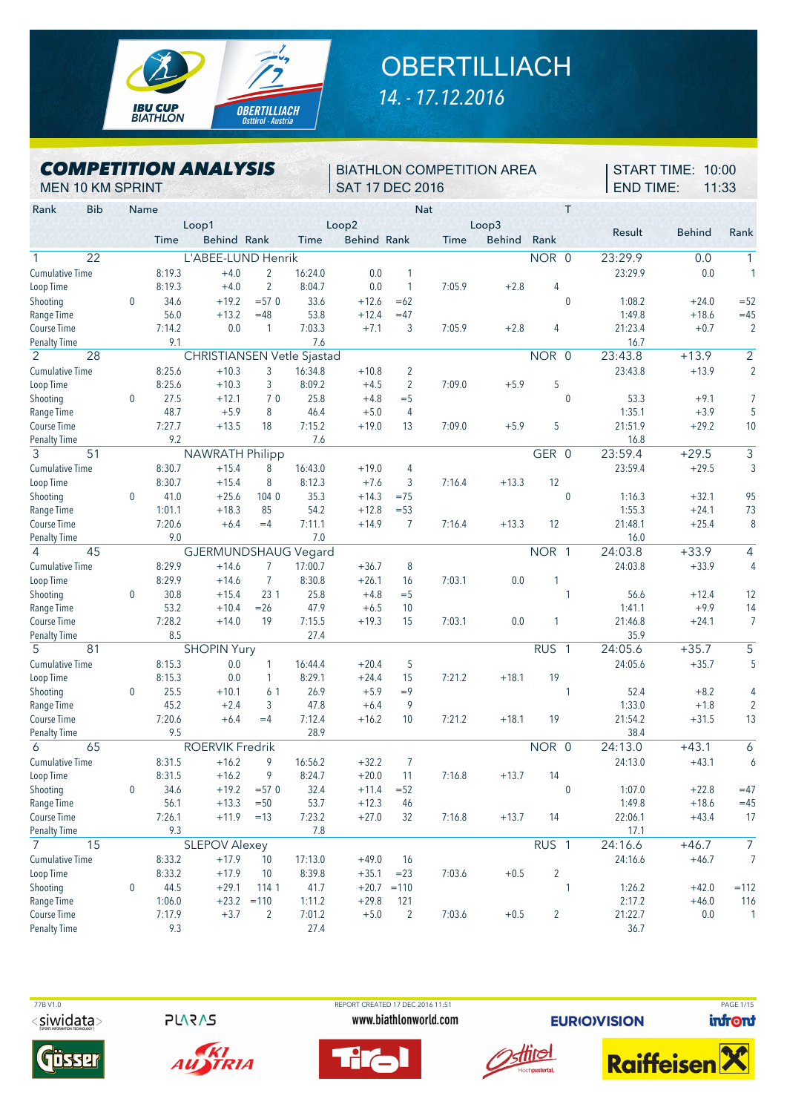

## **OBERTILLIACH** *14. - 17.12.2016*

*COMPETITION ANALYSIS* MEN 10 KM SPRINT

BIATHLON COMPETITION AREA SAT 17 DEC 2016

START TIME: 10:00 END TIME: 11:33

| Rank<br><b>Bib</b>                  | Name         |                  |                            |                |                   |                    |                | <b>Nat</b> |               |                  | Τ              |                  |               |                         |
|-------------------------------------|--------------|------------------|----------------------------|----------------|-------------------|--------------------|----------------|------------|---------------|------------------|----------------|------------------|---------------|-------------------------|
|                                     |              |                  | Loop1                      |                |                   | Loop2              |                |            | Loop3         |                  |                |                  |               |                         |
|                                     |              | Time             | Behind Rank                |                | Time              | <b>Behind Rank</b> |                | Time       | <b>Behind</b> | Rank             |                | Result           | <b>Behind</b> | Rank                    |
| $\overline{22}$                     |              |                  | L'ABEE-LUND Henrik         |                |                   |                    |                |            |               | NOR 0            |                | 23:29.9          | 0.0           | 1                       |
| <b>Cumulative Time</b>              |              | 8:19.3           | $+4.0$                     | 2              | 16:24.0           | 0.0                | 1              |            |               |                  |                | 23:29.9          | 0.0           |                         |
| Loop Time                           |              | 8:19.3           | $+4.0$                     | $\overline{2}$ | 8:04.7            | 0.0                | 1              | 7:05.9     | $+2.8$        | 4                |                |                  |               |                         |
| Shooting                            | $\mathbf{0}$ | 34.6             | $+19.2$                    | $= 570$        | 33.6              | $+12.6$            | $=62$          |            |               |                  | $\mathbf 0$    | 1:08.2           | $+24.0$       | $=52$                   |
| Range Time                          |              | 56.0             | $+13.2$                    | $=48$          | 53.8              | $+12.4$            | $=47$          |            |               |                  |                | 1:49.8           | $+18.6$       | $=45$                   |
| Course Time                         |              | 7:14.2           | 0.0                        | 1              | 7:03.3            | $+7.1$             | 3              | 7:05.9     | $+2.8$        | 4                |                | 21:23.4          | $+0.7$        | ź                       |
| <b>Penalty Time</b>                 |              | 9.1              |                            |                | 7.6               |                    |                |            |               |                  |                | 16.7             |               |                         |
| 2<br>28                             |              |                  | CHRISTIANSEN Vetle Sjastad |                |                   |                    |                |            |               | NOR 0            |                | 23:43.8          | $+13.9$       | $\overline{2}$          |
| <b>Cumulative Time</b>              |              | 8:25.6           | $+10.3$                    | 3              | 16:34.8           | $+10.8$            | $\overline{2}$ |            |               |                  |                | 23:43.8          | $+13.9$       | ź                       |
| Loop Time                           |              | 8:25.6           | $+10.3$                    | 3              | 8:09.2            | $+4.5$             | $\overline{2}$ | 7:09.0     | $+5.9$        | 5                |                |                  |               |                         |
| Shooting                            | $\mathbf{0}$ | 27.5             | $+12.1$                    | 70             | 25.8              | $+4.8$             | $=$ 5          |            |               |                  | $\mathbf{0}$   | 53.3             | $+9.1$        | 7                       |
| Range Time                          |              | 48.7             | $+5.9$                     | 8              | 46.4              | $+5.0$             | 4              |            |               |                  |                | 1:35.1           | $+3.9$        | $\overline{\cdot}$      |
| Course Time                         |              | 7:27.7           | $+13.5$                    | 18             | 7:15.2            | $+19.0$            | 13             | 7:09.0     | $+5.9$        | 5                |                | 21:51.9          | $+29.2$       | 1 <sup>1</sup>          |
| <b>Penalty Time</b>                 |              | 9.2              |                            |                | 7.6               |                    |                |            |               |                  |                | 16.8             |               |                         |
| 3<br>51                             |              |                  | <b>NAWRATH Philipp</b>     |                |                   |                    |                |            |               | GER 0            |                | 23:59.4          | $+29.5$       | 3                       |
| <b>Cumulative Time</b>              |              | 8:30.7           | $+15.4$                    | 8              | 16:43.0           | $+19.0$            | 4              |            |               |                  |                | 23:59.4          | $+29.5$       | ă                       |
| Loop Time                           |              | 8:30.7           | $+15.4$                    | 8              | 8:12.3            | $+7.6$             | 3              | 7:16.4     | $+13.3$       | 12               |                |                  |               |                         |
| Shooting                            | $\mathbf{0}$ | 41.0             | $+25.6$                    | 104 0          | 35.3              | $+14.3$            | $=75$          |            |               |                  | $\mathbf{0}$   | 1:16.3           | $+32.1$       | 95                      |
| Range Time                          |              | 1:01.1           | $+18.3$                    | 85             | 54.2              | $+12.8$            | $= 53$         |            |               |                  |                | 1:55.3           | $+24.1$       | 73                      |
| <b>Course Time</b>                  |              | 7:20.6           | $+6.4$                     | $=4$           | 7:11.1            | $+14.9$            | 7              | 7:16.4     | $+13.3$       | 12               |                | 21:48.1          | $+25.4$       | ξ                       |
| <b>Penalty Time</b>                 |              | 9.0              |                            |                | 7.0               |                    |                |            |               |                  |                | 16.0             |               |                         |
| $\overline{\mathcal{L}}$<br>45      |              |                  | GJERMUNDSHAUG Vegard       |                |                   |                    |                |            |               | NOR 1            |                | 24:03.8          | $+33.9$       | 4                       |
| <b>Cumulative Time</b>              |              | 8:29.9           | $+14.6$                    | 7              | 17:00.7           | $+36.7$            | 8              |            |               |                  |                | 24:03.8          | $+33.9$       | $\overline{\mathbf{r}}$ |
| Loop Time                           |              | 8:29.9           | $+14.6$                    | $\overline{7}$ | 8:30.8            | $+26.1$            | 16             | 7:03.1     | 0.0           | 1                |                |                  |               |                         |
| Shooting                            | 0            | 30.8             | $+15.4$                    | 23 1           | 25.8              | $+4.8$             | $=$ 5          |            |               |                  | 1              | 56.6             | $+12.4$       | 12                      |
| Range Time                          |              | 53.2             | $+10.4$                    | $=26$          | 47.9              | $+6.5$             | 10             |            |               |                  |                | 1:41.1           | $+9.9$        | 14                      |
| Course Time                         |              | 7:28.2           | $+14.0$                    | 19             | 7:15.5            | $+19.3$            | 15             | 7:03.1     | 0.0           | 1                |                | 21:46.8          | $+24.1$       | ī                       |
| <b>Penalty Time</b>                 |              | 8.5              |                            |                | 27.4              |                    |                |            |               |                  |                | 35.9             |               |                         |
| 5<br>81                             |              |                  | <b>SHOPIN Yury</b>         |                |                   |                    |                |            |               | <b>RUS</b>       | $\overline{1}$ | 24:05.6          | $+35.7$       | 5                       |
| <b>Cumulative Time</b>              |              | 8:15.3           | 0.0                        | $\mathbf{1}$   | 16:44.4           | $+20.4$            | 5              |            |               |                  |                | 24:05.6          | $+35.7$       | ŗ                       |
| Loop Time                           |              | 8:15.3           | 0.0                        | $\mathbf{1}$   | 8:29.1            | $+24.4$            | 15             | 7:21.2     | $+18.1$       | 19               |                |                  |               |                         |
| Shooting                            | $\mathbf{0}$ | 25.5             | $+10.1$                    | 6 1            | 26.9              | $+5.9$             | $=9$           |            |               |                  | 1              | 52.4             | $+8.2$        | L                       |
| Range Time                          |              | 45.2             | $+2.4$                     | 3              | 47.8              | $+6.4$             | 9              |            |               |                  |                | 1:33.0           | $+1.8$        | ź                       |
| Course Time                         |              | 7:20.6           | $+6.4$                     | $=4$           | 7:12.4            | $+16.2$            | 10             | 7:21.2     | $+18.1$       | 19               |                | 21:54.2          | $+31.5$       | 13                      |
| <b>Penalty Time</b>                 |              | 9.5              |                            |                | 28.9              |                    |                |            |               |                  |                | 38.4             |               |                         |
| 65<br>6                             |              |                  | <b>ROERVIK Fredrik</b>     |                |                   |                    |                |            |               | NOR 0            |                | 24:13.0          | $+43.1$       | 6                       |
| <b>Cumulative Time</b>              |              | 8:31.5           | $+16.2$                    | 9              | 16:56.2           | $+32.2$            | $\overline{7}$ |            |               |                  |                | 24:13.0          | $+43.1$       | $\epsilon$              |
| Loop Time                           |              | 8:31.5           | $+16.2$                    | 9              | 8:24.7            | $+20.0$            | 11             | 7:16.8     | $+13.7$       | 14               |                |                  |               |                         |
| Shooting                            | 0            | 34.6             | $+19.2$                    | $= 570$        | 32.4              | $+11.4$            | $=52$          |            |               |                  | $\mathbf{0}$   | 1:07.0           | $+22.8$       | $=47$                   |
| Range Time                          |              | 56.1             | $+13.3$                    | $=50$          | 53.7              | $+12.3$            | 46             |            |               |                  |                | 1:49.8           | $+18.6$       | $=45$                   |
| Course Time                         |              | 7:26.1           | $+11.9$                    | $=13$          | 7:23.2            | $+27.0$            | 32             | 7:16.8     | $+13.7$       | 14               |                | 22:06.1          | $+43.4$       | 17                      |
| <b>Penalty Time</b>                 |              | 9.3              |                            |                | 7.8               |                    |                |            |               |                  |                | 17.1             |               |                         |
| $\overline{7}$<br>15                |              |                  | <b>SLEPOV Alexey</b>       |                |                   |                    |                |            |               | RUS <sub>1</sub> |                | 24:16.6          | $+46.7$       | 7                       |
|                                     |              |                  |                            |                |                   |                    |                |            |               |                  |                |                  |               |                         |
| <b>Cumulative Time</b><br>Loop Time |              | 8:33.2<br>8:33.2 | $+17.9$<br>$+17.9$         | 10<br>10       | 17:13.0<br>8:39.8 | $+49.0$<br>$+35.1$ | 16<br>$= 23$   | 7:03.6     | $+0.5$        | $\overline{2}$   |                | 24:16.6          | $+46.7$       | 7                       |
| Shooting                            | $\pmb{0}$    | 44.5             | $+29.1$                    | 114 1          | 41.7              |                    | $+20.7 = 110$  |            |               |                  | 1              |                  | $+42.0$       | $=112$                  |
| Range Time                          |              | 1:06.0           | $+23.2$                    | $=110$         | 1:11.2            | $+29.8$            | 121            |            |               |                  |                | 1:26.2<br>2:17.2 | $+46.0$       | 116                     |
| Course Time                         |              | 7:17.9           | $+3.7$                     | $\overline{2}$ | 7:01.2            | $+5.0$             | $\overline{2}$ | 7:03.6     | $+0.5$        | $\overline{2}$   |                | 21:22.7          | 0.0           |                         |
| <b>Penalty Time</b>                 |              | 9.3              |                            |                | 27.4              |                    |                |            |               |                  |                | 36.7             |               |                         |
|                                     |              |                  |                            |                |                   |                    |                |            |               |                  |                |                  |               |                         |

<siwidata>

**245AJS** 













**EURIO)VISION** 

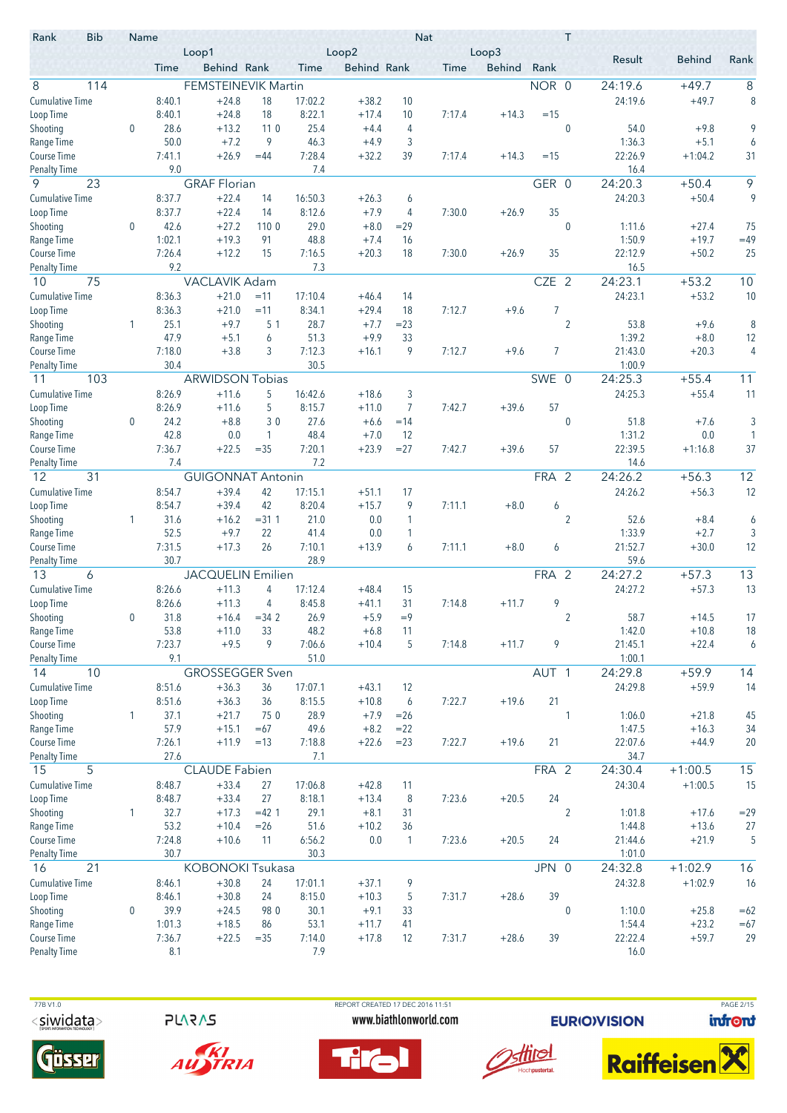| Rank                               | <b>Bib</b> | Name         |                  | Loop1                    |             |                   | Loop2              |                         | <b>Nat</b> | Loop3         |                  | Τ                |                 |               |        |
|------------------------------------|------------|--------------|------------------|--------------------------|-------------|-------------------|--------------------|-------------------------|------------|---------------|------------------|------------------|-----------------|---------------|--------|
|                                    |            |              | Time             | Behind Rank              |             | Time              | <b>Behind Rank</b> |                         | Time       | <b>Behind</b> | Rank             |                  | Result          | <b>Behind</b> | Rank   |
| 8                                  | 114        |              |                  | FEMSTEINEVIK Martin      |             |                   |                    |                         |            |               | NOR 0            |                  | 24:19.6         | $+49.7$       | 8      |
| <b>Cumulative Time</b>             |            |              | 8:40.1           | $+24.8$                  | 18          | 17:02.2           | $+38.2$            | 10                      |            |               |                  |                  | 24:19.6         | $+49.7$       | 8      |
| Loop Time                          |            |              | 8:40.1           | $+24.8$                  | 18          | 8:22.1            | $+17.4$            | 10                      | 7:17.4     | $+14.3$       | $=15$            |                  |                 |               |        |
| Shooting                           |            | $\mathbf{0}$ | 28.6             | $+13.2$                  | 110         | 25.4              | $+4.4$             | 4                       |            |               |                  | $\mathbf 0$      | 54.0            | $+9.8$        | 9      |
| Range Time                         |            |              | 50.0             | $+7.2$                   | 9           | 46.3              | $+4.9$             | 3                       |            |               |                  |                  | 1:36.3          | $+5.1$        | 6      |
| Course Time                        |            |              | 7:41.1           | $+26.9$                  | $=44$       | 7:28.4            | $+32.2$            | 39                      | 7:17.4     | $+14.3$       | $=15$            |                  | 22:26.9         | $+1:04.2$     | 31     |
| <b>Penalty Time</b>                |            |              | 9.0              |                          |             | 7.4               |                    |                         |            |               |                  |                  | 16.4            |               |        |
| 9                                  | 23         |              |                  | <b>GRAF Florian</b>      |             |                   |                    |                         |            |               | GER 0            |                  | 24:20.3         | $+50.4$       | 9      |
| <b>Cumulative Time</b>             |            |              | 8:37.7<br>8:37.7 | $+22.4$<br>$+22.4$       | 14          | 16:50.3           | $+26.3$            | 6                       |            |               | 35               |                  | 24:20.3         | $+50.4$       | 9      |
| Loop Time                          |            |              | 42.6             | $+27.2$                  | 14<br>110 0 | 8:12.6<br>29.0    | $+7.9$<br>$+8.0$   | 4<br>$=29$              | 7:30.0     | $+26.9$       |                  | $\mathbf{0}$     | 1:11.6          | $+27.4$       | 75     |
| Shooting<br>Range Time             |            | 0            | 1:02.1           | $+19.3$                  | 91          | 48.8              | $+7.4$             | 16                      |            |               |                  |                  | 1:50.9          | $+19.7$       | $=49$  |
| Course Time                        |            |              | 7:26.4           | $+12.2$                  | 15          | 7:16.5            | $+20.3$            | 18                      | 7:30.0     | $+26.9$       | 35               |                  | 22:12.9         | $+50.2$       | 25     |
| <b>Penalty Time</b>                |            |              | 9.2              |                          |             | 7.3               |                    |                         |            |               |                  |                  | 16.5            |               |        |
| 10                                 | 75         |              |                  | VACLAVIK Adam            |             |                   |                    |                         |            |               | CZE 2            |                  | 24:23.1         | $+53.2$       | 10     |
| <b>Cumulative Time</b>             |            |              | 8:36.3           | $+21.0$                  | $=11$       | 17:10.4           | $+46.4$            | 14                      |            |               |                  |                  | 24:23.1         | $+53.2$       | 10     |
| Loop Time                          |            |              | 8:36.3           | $+21.0$                  | $=11$       | 8:34.1            | $+29.4$            | 18                      | 7:12.7     | $+9.6$        | 7                |                  |                 |               |        |
| Shooting                           |            | 1            | 25.1             | $+9.7$                   | 5 1         | 28.7              | $+7.7$             | $= 23$                  |            |               |                  | $\overline{2}$   | 53.8            | $+9.6$        | 8      |
| Range Time                         |            |              | 47.9             | $+5.1$                   | 6           | 51.3              | $+9.9$             | 33                      |            |               |                  |                  | 1:39.2          | $+8.0$        | 12     |
| Course Time                        |            |              | 7:18.0           | $+3.8$                   | 3           | 7:12.3            | $+16.1$            | 9                       | 7:12.7     | $+9.6$        | 7                |                  | 21:43.0         | $+20.3$       | 4      |
| <b>Penalty Time</b>                |            |              | 30.4             |                          |             | 30.5              |                    |                         |            |               |                  |                  | 1:00.9          |               |        |
| 11                                 | 103        |              |                  | <b>ARWIDSON Tobias</b>   |             |                   |                    |                         |            |               | SWE 0            |                  | 24:25.3         | $+55.4$       | 11     |
| <b>Cumulative Time</b>             |            |              | 8:26.9           | $+11.6$                  | 5           | 16:42.6           | $+18.6$            | 3                       |            |               |                  |                  | 24:25.3         | $+55.4$       | 11     |
| Loop Time                          |            |              | 8:26.9           | $+11.6$                  | 5<br>30     | 8:15.7            | $+11.0$            | $\overline{7}$<br>$=14$ | 7:42.7     | $+39.6$       | 57               | $\mathbf 0$      |                 | $+7.6$        |        |
| Shooting<br>Range Time             |            | $\mathbf 0$  | 24.2<br>42.8     | $+8.8$<br>0.0            | 1           | 27.6<br>48.4      | $+6.6$<br>$+7.0$   | 12                      |            |               |                  |                  | 51.8<br>1:31.2  | 0.0           | 3<br>1 |
| Course Time                        |            |              | 7:36.7           | $+22.5$                  | $= 35$      | 7:20.1            | $+23.9$            | $= 27$                  | 7:42.7     | $+39.6$       | 57               |                  | 22:39.5         | $+1:16.8$     | 37     |
| <b>Penalty Time</b>                |            |              | 7.4              |                          |             | 7.2               |                    |                         |            |               |                  |                  | 14.6            |               |        |
| 12                                 | 31         |              |                  | <b>GUIGONNAT Antonin</b> |             |                   |                    |                         |            |               | FRA 2            |                  | 24:26.2         | $+56.3$       | 12     |
| <b>Cumulative Time</b>             |            |              | 8:54.7           | $+39.4$                  | 42          | 17:15.1           | $+51.1$            | 17                      |            |               |                  |                  | 24:26.2         | $+56.3$       | 12     |
| Loop Time                          |            |              | 8:54.7           | $+39.4$                  | 42          | 8:20.4            | $+15.7$            | 9                       | 7:11.1     | $+8.0$        | 6                |                  |                 |               |        |
| Shooting                           |            | 1            | 31.6             | $+16.2$                  | $= 311$     | 21.0              | 0.0                | 1                       |            |               |                  | $\overline{2}$   | 52.6            | $+8.4$        | 6      |
| Range Time                         |            |              | 52.5             | $+9.7$                   | 22          | 41.4              | 0.0                | 1                       |            |               |                  |                  | 1:33.9          | $+2.7$        | 3      |
| Course Time                        |            |              | 7:31.5           | $+17.3$                  | 26          | 7:10.1            | $+13.9$            | 6                       | 7:11.1     | $+8.0$        | 6                |                  | 21:52.7         | $+30.0$       | 12     |
| <b>Penalty Time</b>                |            |              | 30.7             |                          |             | 28.9              |                    |                         |            |               |                  |                  | 59.6            |               |        |
| 13                                 | 6          |              |                  | <b>JACQUELIN Emilien</b> |             |                   |                    |                         |            |               | FRA 2            |                  | 24:27.2         | $+57.3$       | 13     |
| <b>Cumulative Time</b>             |            |              | 8:26.6<br>8:26.6 | $+11.3$<br>$+11.3$       | 4<br>4      | 17:12.4<br>8:45.8 | $+48.4$<br>$+41.1$ | 15<br>31                | 7:14.8     | $+11.7$       | 9                |                  | 24:27.2         | $+57.3$       | 13     |
| Loop Time<br>Shooting              |            | 0            | 31.8             | $+16.4$                  | $= 34.2$    | 26.9              | $+5.9$             | $=9$                    |            |               |                  | $\overline{2}$   | 58.7            | $+14.5$       | 17     |
| Range Time                         |            |              | 53.8             | $+11.0$                  | 33          | 48.2              | $+6.8$             | 11                      |            |               |                  |                  | 1:42.0          | $+10.8$       | 18     |
| Course Time                        |            |              | 7:23.7           | $+9.5$                   | 9           | 7:06.6            | $+10.4$            | 5                       | 7:14.8     | $+11.7$       | 9                |                  | 21:45.1         | $+22.4$       | 6      |
| <b>Penalty Time</b>                |            |              | 9.1              |                          |             | 51.0              |                    |                         |            |               |                  |                  | 1:00.1          |               |        |
| 14                                 | 10         |              |                  | <b>GROSSEGGER Sven</b>   |             |                   |                    |                         |            |               | AUT <sub>1</sub> |                  | 24:29.8         | $+59.9$       | 14     |
| <b>Cumulative Time</b>             |            |              | 8:51.6           | $+36.3$                  | 36          | 17:07.1           | $+43.1$            | 12                      |            |               |                  |                  | 24:29.8         | $+59.9$       | 14     |
| Loop Time                          |            |              | 8:51.6           | $+36.3$                  | 36          | 8:15.5            | $+10.8$            | 6                       | 7:22.7     | $+19.6$       | 21               |                  |                 |               |        |
| Shooting                           |            | 1            | 37.1             | $+21.7$                  | 75 0        | 28.9              | $+7.9$             | $=26$                   |            |               |                  | 1                | 1:06.0          | $+21.8$       | 45     |
| Range Time                         |            |              | 57.9             | $+15.1$                  | $=67$       | 49.6              | $+8.2$             | $= 22$                  |            |               |                  |                  | 1:47.5          | $+16.3$       | 34     |
| Course Time                        |            |              | 7:26.1           | $+11.9$                  | $=13$       | 7:18.8            | $+22.6$            | $= 23$                  | 7:22.7     | $+19.6$       | 21               |                  | 22:07.6         | $+44.9$       | 20     |
| <b>Penalty Time</b><br>15          | 5          |              | 27.6             | <b>CLAUDE Fabien</b>     |             | 7.1               |                    |                         |            |               | FRA 2            |                  | 34.7<br>24:30.4 | $+1:00.5$     | 15     |
| <b>Cumulative Time</b>             |            |              | 8:48.7           | $+33.4$                  | 27          | 17:06.8           | $+42.8$            | 11                      |            |               |                  |                  | 24:30.4         | $+1:00.5$     | 15     |
| Loop Time                          |            |              | 8:48.7           | $+33.4$                  | 27          | 8:18.1            | $+13.4$            | 8                       | 7:23.6     | $+20.5$       | 24               |                  |                 |               |        |
| Shooting                           |            | 1            | 32.7             | $+17.3$                  | $=42$ 1     | 29.1              | $+8.1$             | 31                      |            |               |                  | $\overline{2}$   | 1:01.8          | $+17.6$       | $= 29$ |
| Range Time                         |            |              | 53.2             | $+10.4$                  | $=26$       | 51.6              | $+10.2$            | 36                      |            |               |                  |                  | 1:44.8          | $+13.6$       | 27     |
| Course Time                        |            |              | 7:24.8           | $+10.6$                  | 11          | 6:56.2            | 0.0                | 1                       | 7:23.6     | $+20.5$       | 24               |                  | 21:44.6         | $+21.9$       | 5      |
| <b>Penalty Time</b>                |            |              | 30.7             |                          |             | 30.3              |                    |                         |            |               |                  |                  | 1:01.0          |               |        |
| 16                                 | 21         |              |                  | <b>KOBONOKI Tsukasa</b>  |             |                   |                    |                         |            |               | JPN 0            |                  | 24:32.8         | $+1:02.9$     | 16     |
| <b>Cumulative Time</b>             |            |              | 8:46.1           | $+30.8$                  | 24          | 17:01.1           | $+37.1$            | 9                       |            |               |                  |                  | 24:32.8         | $+1:02.9$     | 16     |
| Loop Time                          |            |              | 8:46.1           | $+30.8$                  | 24          | 8:15.0            | $+10.3$            | 5                       | 7:31.7     | $+28.6$       | 39               |                  |                 |               |        |
| Shooting                           |            | 0            | 39.9             | $+24.5$                  | 98 0        | 30.1              | $+9.1$             | 33                      |            |               |                  | $\boldsymbol{0}$ | 1:10.0          | $+25.8$       | $=62$  |
| Range Time                         |            |              | 1:01.3           | $+18.5$                  | 86          | 53.1              | $+11.7$            | 41                      |            |               |                  |                  | 1:54.4          | $+23.2$       | $=67$  |
| Course Time<br><b>Penalty Time</b> |            |              | 7:36.7           | $+22.5$                  | $= 35$      | 7:14.0<br>7.9     | $+17.8$            | 12                      | 7:31.7     | $+28.6$       | 39               |                  | 22:22.4         | $+59.7$       | 29     |
|                                    |            |              | 8.1              |                          |             |                   |                    |                         |            |               |                  |                  | 16.0            |               |        |

**PLARAS** 





REPORT CREATED 17 DEC 2016 11:51 www.biathlonworld.com





**EURIOVISION** 



PAGE 2/15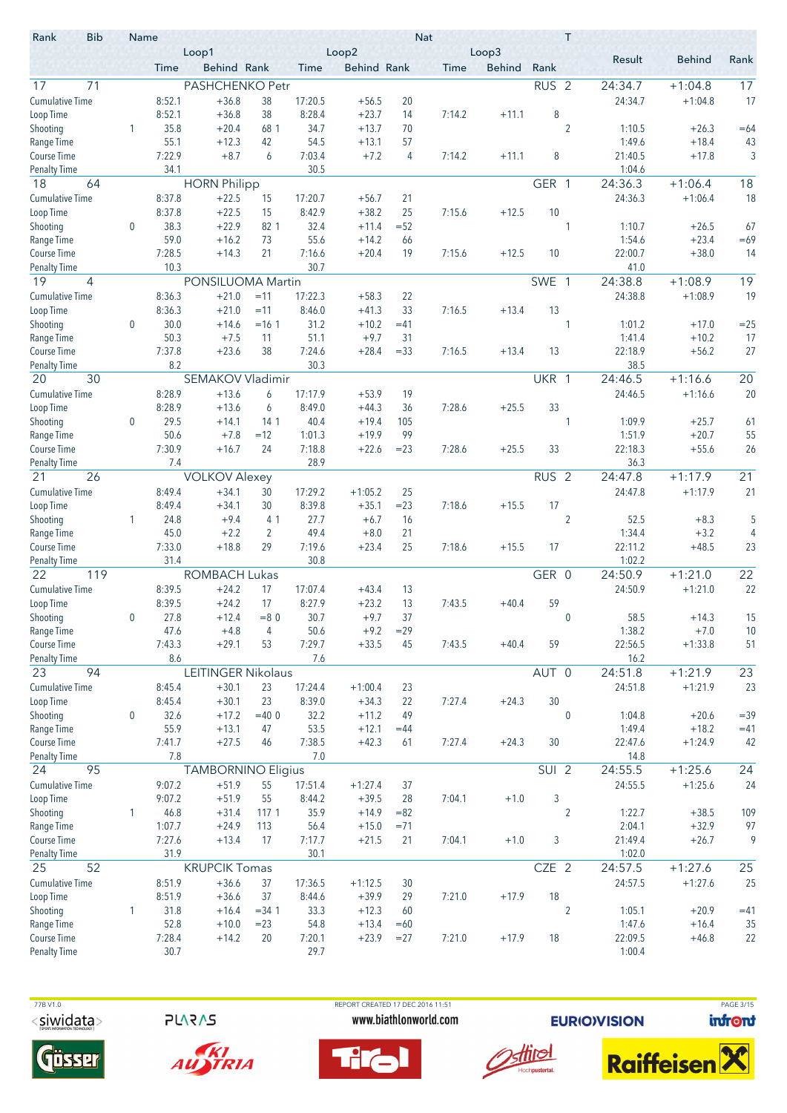| Rank                                | <b>Bib</b> | Name             |                  | Loop1                     |                      |                   | Loop2              |              | <b>Nat</b>  | Loop3         |                  | T              |                   |                    |                 |
|-------------------------------------|------------|------------------|------------------|---------------------------|----------------------|-------------------|--------------------|--------------|-------------|---------------|------------------|----------------|-------------------|--------------------|-----------------|
|                                     |            |                  | Time             | Behind Rank               |                      | Time              | <b>Behind Rank</b> |              | <b>Time</b> | <b>Behind</b> | Rank             |                | Result            | <b>Behind</b>      | Rank            |
| 17                                  | 71         |                  |                  | PASHCHENKO Petr           |                      |                   |                    |              |             |               | RUS <sub>2</sub> |                | 24:34.7           | $+1:04.8$          | 17              |
| <b>Cumulative Time</b>              |            |                  | 8:52.1           | $+36.8$                   | 38                   | 17:20.5           | $+56.5$            | 20           |             |               |                  |                | 24:34.7           | $+1:04.8$          | 17              |
| Loop Time                           |            |                  | 8:52.1           | $+36.8$                   | 38                   | 8:28.4            | $+23.7$            | 14           | 7:14.2      | $+11.1$       | 8                |                |                   |                    |                 |
| Shooting                            |            | 1                | 35.8             | $+20.4$                   | 68 1                 | 34.7              | $+13.7$            | 70           |             |               |                  | $\overline{2}$ | 1:10.5            | $+26.3$            | $=64$           |
| Range Time                          |            |                  | 55.1             | $+12.3$                   | 42                   | 54.5              | $+13.1$            | 57           |             |               |                  |                | 1:49.6            | $+18.4$            | 43              |
| <b>Course Time</b>                  |            |                  | 7:22.9           | $+8.7$                    | 6                    | 7:03.4            | $+7.2$             | 4            | 7:14.2      | $+11.1$       | 8                |                | 21:40.5           | $+17.8$            | 3               |
| <b>Penalty Time</b>                 |            |                  | 34.1             |                           |                      | 30.5              |                    |              |             |               |                  |                | 1:04.6            |                    |                 |
| 18                                  | 64         |                  |                  | <b>HORN Philipp</b>       |                      |                   |                    |              |             |               | GER 1            |                | 24:36.3           | $+1:06.4$          | 18              |
| <b>Cumulative Time</b>              |            |                  | 8:37.8           | $+22.5$                   | 15<br>15             | 17:20.7           | $+56.7$            | 21           |             |               | 10               |                | 24:36.3           | $+1:06.4$          | 18              |
| Loop Time<br>Shooting               |            | $\mathbf 0$      | 8:37.8<br>38.3   | $+22.5$<br>$+22.9$        | 82 1                 | 8:42.9<br>32.4    | $+38.2$<br>$+11.4$ | 25<br>$= 52$ | 7:15.6      | $+12.5$       |                  | 1              | 1:10.7            |                    | 67              |
| Range Time                          |            |                  | 59.0             | $+16.2$                   | 73                   | 55.6              | $+14.2$            | 66           |             |               |                  |                | 1:54.6            | $+26.5$<br>$+23.4$ | $=69$           |
| Course Time                         |            |                  | 7:28.5           | $+14.3$                   | 21                   | 7:16.6            | $+20.4$            | 19           | 7:15.6      | $+12.5$       | 10               |                | 22:00.7           | $+38.0$            | 14              |
| <b>Penalty Time</b>                 |            |                  | 10.3             |                           |                      | 30.7              |                    |              |             |               |                  |                | 41.0              |                    |                 |
| 19                                  | 4          |                  |                  | PONSILUOMA Martin         |                      |                   |                    |              |             |               | SWE 1            |                | 24:38.8           | $+1:08.9$          | 19              |
| <b>Cumulative Time</b>              |            |                  | 8:36.3           | $+21.0$                   | $=11$                | 17:22.3           | $+58.3$            | 22           |             |               |                  |                | 24:38.8           | $+1:08.9$          | 19              |
| Loop Time                           |            |                  | 8:36.3           | $+21.0$                   | $=11$                | 8:46.0            | $+41.3$            | 33           | 7:16.5      | $+13.4$       | 13               |                |                   |                    |                 |
| Shooting                            |            | 0                | 30.0             | $+14.6$                   | $=16.1$              | 31.2              | $+10.2$            | $=41$        |             |               |                  | 1              | 1:01.2            | $+17.0$            | $=25$           |
| Range Time                          |            |                  | 50.3             | $+7.5$                    | 11                   | 51.1              | $+9.7$             | 31           |             |               |                  |                | 1:41.4            | $+10.2$            | 17              |
| Course Time                         |            |                  | 7:37.8           | $+23.6$                   | 38                   | 7:24.6            | $+28.4$            | $= 33$       | 7:16.5      | $+13.4$       | 13               |                | 22:18.9           | $+56.2$            | 27              |
| <b>Penalty Time</b>                 |            |                  | 8.2              |                           |                      | 30.3              |                    |              |             |               |                  |                | 38.5              |                    |                 |
| 20                                  | 30         |                  |                  | SEMAKOV Vladimir          |                      |                   |                    |              |             |               | UKR 1            |                | 24:46.5           | $+1:16.6$          | 20              |
| <b>Cumulative Time</b>              |            |                  | 8:28.9           | $+13.6$                   | 6                    | 17:17.9           | $+53.9$            | 19           |             |               |                  |                | 24:46.5           | $+1:16.6$          | 20              |
| Loop Time                           |            | $\mathbf 0$      | 8:28.9<br>29.5   | $+13.6$<br>$+14.1$        | 6<br>14 <sub>1</sub> | 8:49.0<br>40.4    | $+44.3$<br>$+19.4$ | 36<br>105    | 7:28.6      | $+25.5$       | 33               | 1              | 1:09.9            | $+25.7$            |                 |
| Shooting<br>Range Time              |            |                  | 50.6             | $+7.8$                    | $=12$                | 1:01.3            | $+19.9$            | 99           |             |               |                  |                | 1:51.9            | $+20.7$            | 61<br>55        |
| Course Time                         |            |                  | 7:30.9           | $+16.7$                   | 24                   | 7:18.8            | $+22.6$            | $= 23$       | 7:28.6      | $+25.5$       | 33               |                | 22:18.3           | $+55.6$            | 26              |
| <b>Penalty Time</b>                 |            |                  | 7.4              |                           |                      | 28.9              |                    |              |             |               |                  |                | 36.3              |                    |                 |
| 21                                  | 26         |                  |                  | <b>VOLKOV Alexey</b>      |                      |                   |                    |              |             |               | RUS <sub>2</sub> |                | 24:47.8           | $+1:17.9$          | $\overline{21}$ |
| <b>Cumulative Time</b>              |            |                  | 8:49.4           | $+34.1$                   | 30                   | 17:29.2           | $+1:05.2$          | 25           |             |               |                  |                | 24:47.8           | $+1:17.9$          | 21              |
| Loop Time                           |            |                  | 8:49.4           | $+34.1$                   | 30                   | 8:39.8            | $+35.1$            | $= 23$       | 7:18.6      | $+15.5$       | 17               |                |                   |                    |                 |
| Shooting                            |            | 1                | 24.8             | $+9.4$                    | 41                   | 27.7              | $+6.7$             | 16           |             |               |                  | $\overline{2}$ | 52.5              | $+8.3$             | 5               |
| Range Time                          |            |                  | 45.0             | $+2.2$                    | $\overline{2}$       | 49.4              | $+8.0$             | 21           |             |               |                  |                | 1:34.4            | $+3.2$             | 4               |
| Course Time                         |            |                  | 7:33.0           | $+18.8$                   | 29                   | 7:19.6            | $+23.4$            | 25           | 7:18.6      | $+15.5$       | 17               |                | 22:11.2           | $+48.5$            | 23              |
| Penalty Time                        |            |                  | 31.4             |                           |                      | 30.8              |                    |              |             |               |                  |                | 1:02.2            |                    |                 |
| 22                                  | 119        |                  |                  | <b>ROMBACH Lukas</b>      |                      |                   |                    |              |             |               | GER 0            |                | 24:50.9           | $+1:21.0$          | $\overline{22}$ |
| <b>Cumulative Time</b><br>Loop Time |            |                  | 8:39.5<br>8:39.5 | $+24.2$<br>$+24.2$        | 17<br>17             | 17:07.4<br>8:27.9 | $+43.4$<br>$+23.2$ | 13<br>13     | 7:43.5      | $+40.4$       | 59               |                | 24:50.9           | $+1:21.0$          | 22              |
| Shooting                            |            | 0                | 27.8             | $+12.4$                   | $= 80$               | 30.7              | $+9.7$             | 37           |             |               |                  | 0              | 58.5              | $+14.3$            | 15              |
| Range Time                          |            |                  | 47.6             | $+4.8$                    | 4                    | 50.6              | $+9.2$             | $= 29$       |             |               |                  |                | 1:38.2            | $+7.0$             | 10              |
| Course Time                         |            |                  | 7:43.3           | $+29.1$                   | 53                   | 7:29.7            | $+33.5$            | 45           | 7:43.5      | $+40.4$       | 59               |                | 22:56.5           | $+1:33.8$          | 51              |
| <b>Penalty Time</b>                 |            |                  | 8.6              |                           |                      | 7.6               |                    |              |             |               |                  |                | 16.2              |                    |                 |
| 23                                  | 94         |                  |                  | <b>LEITINGER Nikolaus</b> |                      |                   |                    |              |             |               | AUT 0            |                | 24:51.8           | $+1:21.9$          | 23              |
| <b>Cumulative Time</b>              |            |                  | 8:45.4           | $+30.1$                   | 23                   | 17:24.4           | $+1:00.4$          | 23           |             |               |                  |                | 24:51.8           | $+1:21.9$          | 23              |
| Loop Time                           |            |                  | 8:45.4           | $+30.1$                   | 23                   | 8:39.0            | $+34.3$            | 22           | 7:27.4      | $+24.3$       | 30               |                |                   |                    |                 |
| Shooting                            |            | $\boldsymbol{0}$ | 32.6             | $+17.2$                   | $=400$               | 32.2              | $+11.2$            | 49           |             |               |                  | $\pmb{0}$      | 1:04.8            | $+20.6$            | $= 39$          |
| Range Time                          |            |                  | 55.9             | $+13.1$                   | 47                   | 53.5              | $+12.1$            | $=44$        |             |               |                  |                | 1:49.4            | $+18.2$            | $=41$           |
| Course Time<br><b>Penalty Time</b>  |            |                  | 7:41.7<br>7.8    | $+27.5$                   | 46                   | 7:38.5<br>7.0     | $+42.3$            | 61           | 7:27.4      | $+24.3$       | 30               |                | 22:47.6<br>14.8   | $+1:24.9$          | 42              |
| 24                                  | 95         |                  |                  | <b>TAMBORNINO Eligius</b> |                      |                   |                    |              |             |               | SUI <sub>2</sub> |                | 24:55.5           | $+1:25.6$          | 24              |
| <b>Cumulative Time</b>              |            |                  | 9:07.2           | $+51.9$                   | 55                   | 17:51.4           | $+1:27.4$          | 37           |             |               |                  |                | 24:55.5           | $+1:25.6$          | 24              |
| Loop Time                           |            |                  | 9:07.2           | $+51.9$                   | 55                   | 8:44.2            | $+39.5$            | 28           | 7:04.1      | $+1.0$        | 3                |                |                   |                    |                 |
| Shooting                            |            | 1                | 46.8             | $+31.4$                   | 117 1                | 35.9              | $+14.9$            | $=82$        |             |               |                  | $\overline{2}$ | 1:22.7            | $+38.5$            | 109             |
| Range Time                          |            |                  | 1:07.7           | $+24.9$                   | 113                  | 56.4              | $+15.0$            | $= 71$       |             |               |                  |                | 2:04.1            | $+32.9$            | 97              |
| Course Time                         |            |                  | 7:27.6           | $+13.4$                   | 17                   | 7:17.7            | $+21.5$            | 21           | 7:04.1      | $+1.0$        | 3                |                | 21:49.4           | $+26.7$            | 9               |
| <b>Penalty Time</b>                 |            |                  | 31.9             |                           |                      | 30.1              |                    |              |             |               |                  |                | 1:02.0            |                    |                 |
| 25                                  | 52         |                  |                  | <b>KRUPCIK Tomas</b>      |                      |                   |                    |              |             |               | CZE 2            |                | 24:57.5           | $+1:27.6$          | 25              |
| <b>Cumulative Time</b>              |            |                  | 8:51.9           | $+36.6$                   | 37                   | 17:36.5           | $+1:12.5$          | 30           |             |               |                  |                | 24:57.5           | $+1:27.6$          | 25              |
| Loop Time                           |            |                  | 8:51.9           | $+36.6$                   | 37                   | 8:44.6            | $+39.9$            | 29           | 7:21.0      | $+17.9$       | 18               |                |                   |                    |                 |
| Shooting                            |            | 1                | 31.8             | $+16.4$                   | $= 34.1$             | 33.3              | $+12.3$            | 60           |             |               |                  | $\overline{2}$ | 1:05.1            | $+20.9$            | $=41$           |
| Range Time                          |            |                  | 52.8             | $+10.0$                   | $= 23$               | 54.8              | $+13.4$            | $=60$        |             |               |                  |                | 1:47.6            | $+16.4$            | 35              |
| Course Time<br><b>Penalty Time</b>  |            |                  | 7:28.4<br>30.7   | $+14.2$                   | 20                   | 7:20.1<br>29.7    | $+23.9$            | $= 27$       | 7:21.0      | $+17.9$       | 18               |                | 22:09.5<br>1:00.4 | $+46.8$            | 22              |
|                                     |            |                  |                  |                           |                      |                   |                    |              |             |               |                  |                |                   |                    |                 |

**PLARAS** 





 77B V1.0 REPORT CREATED 17 DEC 2016 11:51 PAGE 3/15www.biathlonworld.com





**EURIOVISION** 

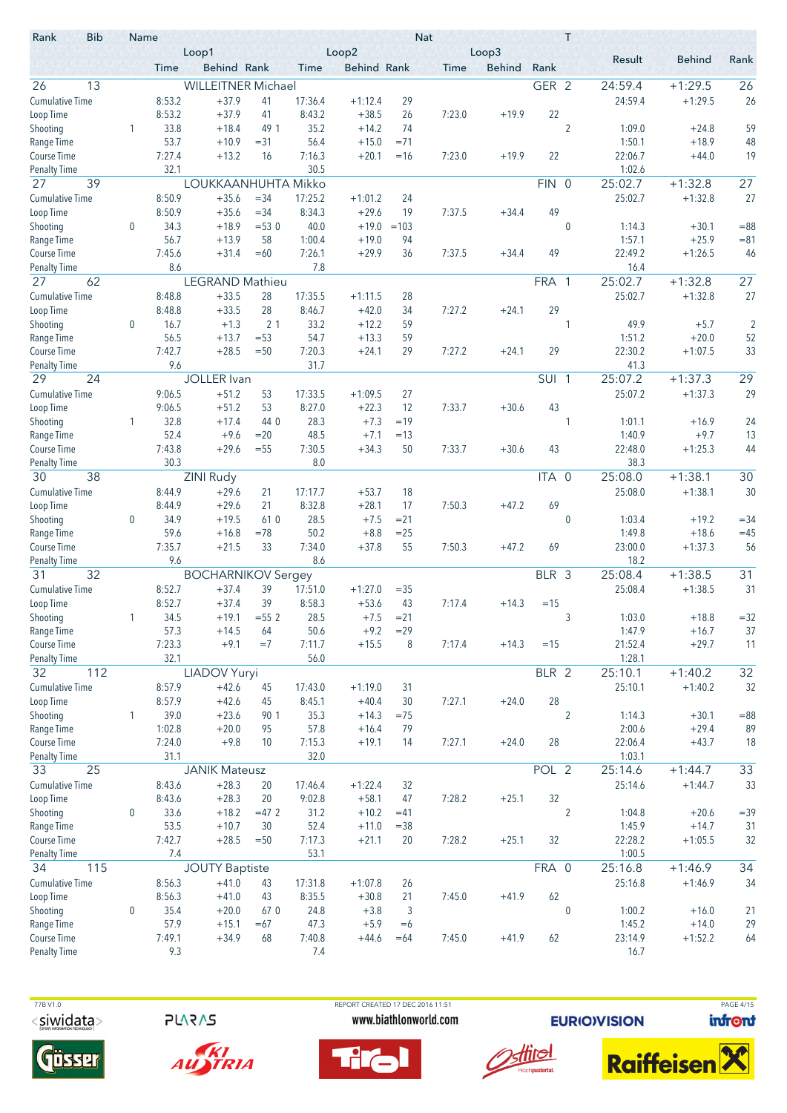| <b>Bib</b><br>Rank                 | Name             |                | Loop1                     |                  |                | Loop2              |             | <b>Nat</b> | Loop3         |                  | T              |                   |                     |                |
|------------------------------------|------------------|----------------|---------------------------|------------------|----------------|--------------------|-------------|------------|---------------|------------------|----------------|-------------------|---------------------|----------------|
|                                    |                  | Time           | Behind Rank               |                  | Time           | <b>Behind Rank</b> |             | Time       | <b>Behind</b> | Rank             |                | Result            | <b>Behind</b>       | Rank           |
| 26<br>13                           |                  |                | <b>WILLEITNER Michael</b> |                  |                |                    |             |            |               | GER 2            |                | 24:59.4           | $+1:29.5$           | 26             |
| <b>Cumulative Time</b>             |                  | 8:53.2         | $+37.9$                   | 41               | 17:36.4        | $+1:12.4$          | 29          |            |               |                  |                | 24:59.4           | $+1:29.5$           | 26             |
| Loop Time                          |                  | 8:53.2         | $+37.9$                   | 41               | 8:43.2         | $+38.5$            | 26          | 7:23.0     | $+19.9$       | 22               |                |                   |                     |                |
| Shooting                           | 1                | 33.8           | $+18.4$                   | 49 1             | 35.2           | $+14.2$            | 74          |            |               |                  | $\overline{2}$ | 1:09.0            | $+24.8$             | 59             |
| Range Time                         |                  | 53.7           | $+10.9$                   | $= 31$           | 56.4           | $+15.0$            | $= 71$      |            |               |                  |                | 1:50.1            | $+18.9$             | 48             |
| <b>Course Time</b>                 |                  | 7:27.4         | $+13.2$                   | 16               | 7:16.3         | $+20.1$            | $=16$       | 7:23.0     | $+19.9$       | 22               |                | 22:06.7           | $+44.0$             | 19             |
| <b>Penalty Time</b>                |                  | 32.1           |                           |                  | 30.5           |                    |             |            |               |                  |                | 1:02.6            |                     |                |
| 27<br>39                           |                  |                | LOUKKAANHUHTA Mikko       |                  |                |                    |             |            |               | <b>FIN</b>       | $\overline{0}$ | 25:02.7           | $+1:32.8$           | 27             |
| <b>Cumulative Time</b>             |                  | 8:50.9         | $+35.6$                   | $= 34$           | 17:25.2        | $+1:01.2$          | 24          |            |               |                  |                | 25:02.7           | $+1:32.8$           | 27             |
| Loop Time                          |                  | 8:50.9         | $+35.6$                   | $= 34$           | 8:34.3         | $+29.6$            | 19          | 7:37.5     | $+34.4$       | 49               |                |                   |                     |                |
| Shooting                           | $\boldsymbol{0}$ | 34.3           | $+18.9$                   | $= 530$          | 40.0           | $+19.0$            | $=103$      |            |               |                  | $\mathbf{0}$   | 1:14.3            | $+30.1$             | $= 88$         |
| Range Time                         |                  | 56.7           | $+13.9$                   | 58               | 1:00.4         | $+19.0$            | 94          |            |               |                  |                | 1:57.1            | $+25.9$             | $= 81$         |
| Course Time                        |                  | 7:45.6         | $+31.4$                   | $=60$            | 7:26.1         | $+29.9$            | 36          | 7:37.5     | $+34.4$       | 49               |                | 22:49.2           | $+1:26.5$           | 46             |
| <b>Penalty Time</b>                |                  | 8.6            |                           |                  | 7.8            |                    |             |            |               |                  |                | 16.4              |                     |                |
| 27<br>62                           |                  |                | <b>LEGRAND Mathieu</b>    |                  |                |                    |             |            |               | FRA 1            |                | 25:02.7           | $+1:32.8$           | 27             |
| <b>Cumulative Time</b>             |                  | 8:48.8         | $+33.5$                   | 28               | 17:35.5        | $+1:11.5$          | 28          |            |               |                  |                | 25:02.7           | $+1:32.8$           | 27             |
| Loop Time                          |                  | 8:48.8         | $+33.5$                   | 28               | 8:46.7         | $+42.0$            | 34          | 7:27.2     | $+24.1$       | 29               |                |                   |                     |                |
| Shooting                           | $\boldsymbol{0}$ | 16.7           | $+1.3$                    | 2 <sub>1</sub>   | 33.2           | $+12.2$            | 59          |            |               |                  | 1              | 49.9              | $+5.7$              | $\overline{2}$ |
| Range Time                         |                  | 56.5           | $+13.7$                   | $= 53$           | 54.7           | $+13.3$            | 59          |            |               |                  |                | 1:51.2            | $+20.0$             | 52             |
| <b>Course Time</b>                 |                  | 7:42.7         | $+28.5$                   | $= 50$           | 7:20.3         | $+24.1$            | 29          | 7:27.2     | $+24.1$       | 29               |                | 22:30.2           | $+1:07.5$           | 33             |
| <b>Penalty Time</b>                |                  | 9.6            |                           |                  | 31.7           |                    |             |            |               |                  |                | 41.3              |                     |                |
| 24<br>29                           |                  |                | <b>JOLLER</b> Ivan        |                  |                |                    |             |            |               | SUI <sub>1</sub> |                | 25:07.2           | $+1:37.3$           | 29             |
| <b>Cumulative Time</b>             |                  | 9:06.5         | $+51.2$                   | 53               | 17:33.5        | $+1:09.5$          | 27          |            |               |                  |                | 25:07.2           | $+1:37.3$           | 29             |
| Loop Time                          |                  | 9:06.5         | $+51.2$                   | 53               | 8:27.0         | $+22.3$            | 12          | 7:33.7     | $+30.6$       | 43               |                |                   |                     |                |
| Shooting                           | 1                | 32.8           | $+17.4$                   | 44 0             | 28.3           | $+7.3$             | $=19$       |            |               |                  | 1              | 1:01.1            | $+16.9$             | 24             |
| Range Time<br><b>Course Time</b>   |                  | 52.4<br>7:43.8 | $+9.6$<br>$+29.6$         | $= 20$<br>$= 55$ | 48.5<br>7:30.5 | $+7.1$<br>$+34.3$  | $=13$<br>50 | 7:33.7     |               | 43               |                | 1:40.9<br>22:48.0 | $+9.7$<br>$+1:25.3$ | 13<br>44       |
|                                    |                  | 30.3           |                           |                  | 8.0            |                    |             |            | $+30.6$       |                  |                | 38.3              |                     |                |
| <b>Penalty Time</b><br>38<br>30    |                  |                | ZINI Rudy                 |                  |                |                    |             |            |               | ITA              | $\overline{0}$ | 25:08.0           | $+1:38.1$           | 30             |
| <b>Cumulative Time</b>             |                  | 8:44.9         | $+29.6$                   | 21               | 17:17.7        | $+53.7$            | 18          |            |               |                  |                | 25:08.0           | $+1:38.1$           | 30             |
| Loop Time                          |                  | 8:44.9         | $+29.6$                   | 21               | 8:32.8         | $+28.1$            | 17          | 7:50.3     | $+47.2$       | 69               |                |                   |                     |                |
| Shooting                           | $\boldsymbol{0}$ | 34.9           | $+19.5$                   | 610              | 28.5           | $+7.5$             | $= 21$      |            |               |                  | $\mathbf 0$    | 1:03.4            | $+19.2$             | $= 34$         |
| Range Time                         |                  | 59.6           | $+16.8$                   | $=78$            | 50.2           | $+8.8$             | $= 25$      |            |               |                  |                | 1:49.8            | $+18.6$             | $=45$          |
| Course Time                        |                  | 7:35.7         | $+21.5$                   | 33               | 7:34.0         | $+37.8$            | 55          | 7:50.3     | $+47.2$       | 69               |                | 23:00.0           | $+1:37.3$           | 56             |
| <b>Penalty Time</b>                |                  | 9.6            |                           |                  | 8.6            |                    |             |            |               |                  |                | 18.2              |                     |                |
| 31<br>32                           |                  |                | <b>BOCHARNIKOV Sergey</b> |                  |                |                    |             |            |               | BLR 3            |                | 25:08.4           | $+1:38.5$           | 31             |
| <b>Cumulative Time</b>             |                  | 8:52.7         | $+37.4$                   | 39               | 17:51.0        | $+1:27.0$          | $= 35$      |            |               |                  |                | 25:08.4           | $+1:38.5$           | 31             |
| Loop Time                          |                  | 8:52.7         | $+37.4$                   | 39               | 8:58.3         | $+53.6$            | 43          | 7:17.4     | $+14.3$       | $=15$            |                |                   |                     |                |
| Shooting                           |                  | 34.5           | $+19.1$                   | $= 552$          | 28.5           | $+7.5$             | $= 21$      |            |               |                  | 3              | 1:03.0            | $+18.8$             | $=32$          |
| Range Time                         |                  | 57.3           | $+14.5$                   | 64               | 50.6           | $+9.2$             | $= 29$      |            |               |                  |                | 1:47.9            | $+16.7$             | 37             |
| Course Time                        |                  | 7:23.3         | $+9.1$                    | $=7$             | 7:11.7         | $+15.5$            | 8           | 7:17.4     | $+14.3$       | $=15$            |                | 21:52.4           | $+29.7$             | 11             |
| <b>Penalty Time</b>                |                  | 32.1           |                           |                  | 56.0           |                    |             |            |               |                  |                | 1:28.1            |                     |                |
| 112<br>32                          |                  |                | LIADOV Yuryi              |                  |                |                    |             |            |               | BLR 2            |                | 25:10.1           | $+1:40.2$           | 32             |
| <b>Cumulative Time</b>             |                  | 8:57.9         | $+42.6$                   | 45               | 17:43.0        | $+1:19.0$          | 31          |            |               |                  |                | 25:10.1           | $+1:40.2$           | 32             |
| Loop Time                          |                  | 8:57.9         | $+42.6$                   | 45               | 8:45.1         | $+40.4$            | 30          | 7:27.1     | $+24.0$       | 28               |                |                   |                     |                |
| Shooting                           | $\mathbf{1}$     | 39.0           | $+23.6$                   | 90 1             | 35.3           | $+14.3$            | $= 75$      |            |               |                  | $\overline{2}$ | 1:14.3            | $+30.1$             | $= 88$         |
| Range Time                         |                  | 1:02.8         | $+20.0$                   | 95               | 57.8           | $+16.4$            | 79          |            |               |                  |                | 2:00.6            | $+29.4$             | 89             |
| Course Time                        |                  | 7:24.0         | $+9.8$                    | 10               | 7:15.3         | $+19.1$            | 14          | 7:27.1     | $+24.0$       | 28               |                | 22:06.4           | $+43.7$             | 18             |
| <b>Penalty Time</b>                |                  | 31.1           |                           |                  | 32.0           |                    |             |            |               |                  |                | 1:03.1            |                     |                |
| 33<br>25                           |                  |                | <b>JANIK Mateusz</b>      |                  |                |                    |             |            |               | POL <sub>2</sub> |                | 25:14.6           | $+1:44.7$           | 33             |
| <b>Cumulative Time</b>             |                  | 8:43.6         | $+28.3$                   | 20               | 17:46.4        | $+1:22.4$          | 32          |            |               |                  |                | 25:14.6           | $+1:44.7$           | 33             |
| Loop Time                          |                  | 8:43.6         | $+28.3$                   | 20               | 9:02.8         | $+58.1$            | 47          | 7:28.2     | $+25.1$       | 32               |                |                   |                     |                |
| Shooting                           | $\boldsymbol{0}$ | 33.6           | $+18.2$                   | $=47.2$          | 31.2           | $+10.2$            | $=41$       |            |               |                  | $\overline{2}$ | 1:04.8            | $+20.6$             | $= 39$         |
| Range Time                         |                  | 53.5           | $+10.7$                   | 30               | 52.4           | $+11.0$            | $= 38$      |            |               |                  |                | 1:45.9            | $+14.7$             | 31             |
| Course Time                        |                  | 7:42.7         | $+28.5$                   | $=50$            | 7:17.3         | $+21.1$            | 20          | 7:28.2     | $+25.1$       | 32               |                | 22:28.2           | $+1:05.5$           | 32             |
| <b>Penalty Time</b>                |                  | 7.4            |                           |                  | 53.1           |                    |             |            |               |                  |                | 1:00.5            |                     |                |
| 34<br>115                          |                  |                | <b>JOUTY</b> Baptiste     |                  |                |                    |             |            |               | FRA 0            |                | 25:16.8           | $+1:46.9$           | 34             |
| <b>Cumulative Time</b>             |                  | 8:56.3         | $+41.0$                   | 43               | 17:31.8        | $+1:07.8$          | 26          |            |               |                  |                | 25:16.8           | $+1:46.9$           | 34             |
| Loop Time                          |                  | 8:56.3         | $+41.0$                   | 43               | 8:35.5         | $+30.8$            | 21          | 7:45.0     | $+41.9$       | 62               |                |                   |                     |                |
| Shooting                           | $\pmb{0}$        | 35.4           | $+20.0$                   | 67 0             | 24.8           | $+3.8$             | 3           |            |               |                  | $\mathbf 0$    | 1:00.2            | $+16.0$             | 21             |
| Range Time                         |                  | 57.9           | $+15.1$                   | $=67$            | 47.3           | $+5.9$             | $=6$        |            |               |                  |                | 1:45.2            | $+14.0$             | 29             |
| Course Time<br><b>Penalty Time</b> |                  | 7:49.1<br>9.3  | $+34.9$                   | 68               | 7:40.8<br>7.4  | $+44.6$            | $=64$       | 7:45.0     | $+41.9$       | 62               |                | 23:14.9<br>16.7   | $+1:52.2$           | 64             |
|                                    |                  |                |                           |                  |                |                    |             |            |               |                  |                |                   |                     |                |

**PLARAS** 



AUSTRIA







**EURIOVISION** 

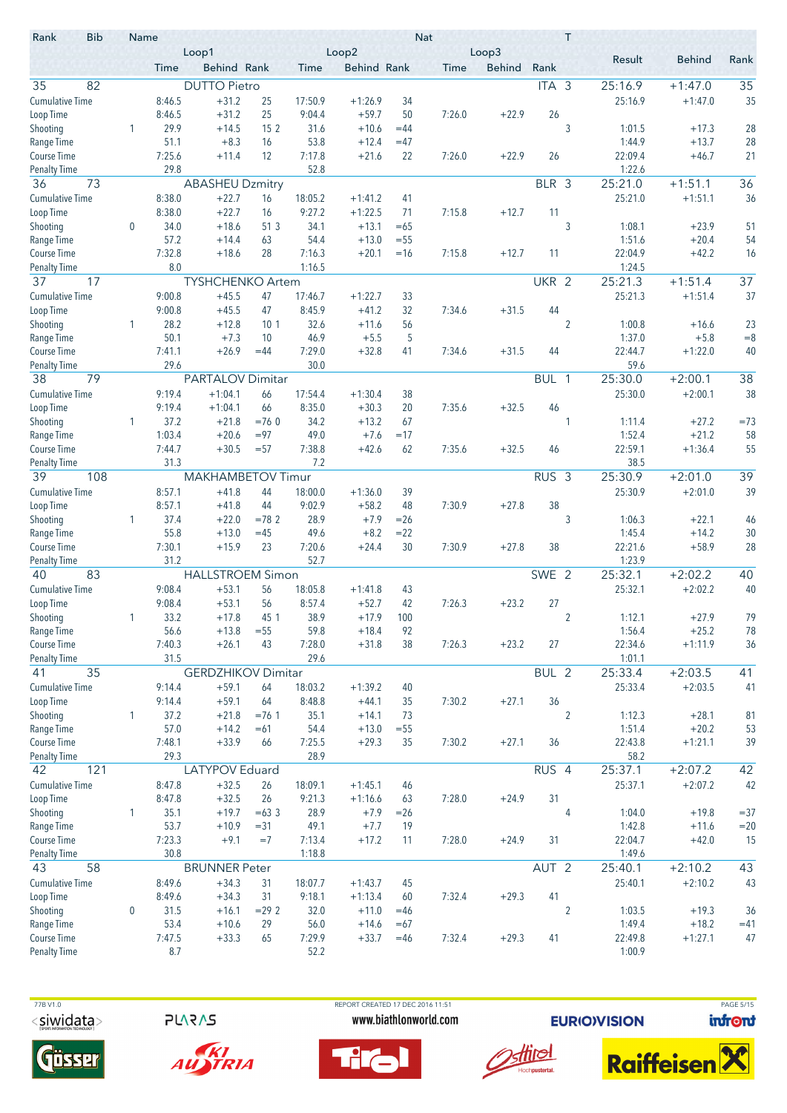| Rank                                | <b>Bib</b> | Name             |                  | Loop1                     |                 |                   | Loop2                  |          | <b>Nat</b> | Loop3         |                  | T              |                   |               |                 |
|-------------------------------------|------------|------------------|------------------|---------------------------|-----------------|-------------------|------------------------|----------|------------|---------------|------------------|----------------|-------------------|---------------|-----------------|
|                                     |            |                  | Time             | Behind Rank               |                 | Time              | <b>Behind Rank</b>     |          | Time       | <b>Behind</b> | Rank             |                | Result            | <b>Behind</b> | Rank            |
| 82<br>35                            |            |                  |                  | <b>DUTTO Pietro</b>       |                 |                   |                        |          |            |               | ITA <sub>3</sub> |                | 25:16.9           | $+1:47.0$     | 35              |
| <b>Cumulative Time</b>              |            |                  | 8:46.5           | $+31.2$                   | 25              | 17:50.9           | $+1:26.9$              | 34       |            |               |                  |                | 25:16.9           | $+1:47.0$     | 35              |
| Loop Time                           |            |                  | 8:46.5           | $+31.2$                   | 25              | 9:04.4            | $+59.7$                | 50       | 7:26.0     | $+22.9$       | 26               |                |                   |               |                 |
| Shooting                            |            | 1                | 29.9             | $+14.5$                   | 15 2            | 31.6              | $+10.6$                | $=44$    |            |               |                  | 3              | 1:01.5            | $+17.3$       | 28              |
| Range Time                          |            |                  | 51.1             | $+8.3$                    | 16              | 53.8              | $+12.4$                | $=47$    |            |               |                  |                | 1:44.9            | $+13.7$       | 28              |
| <b>Course Time</b>                  |            |                  | 7:25.6           | $+11.4$                   | 12              | 7:17.8            | $+21.6$                | 22       | 7:26.0     | $+22.9$       | 26               |                | 22:09.4           | $+46.7$       | 21              |
| <b>Penalty Time</b>                 |            |                  | 29.8             |                           |                 | 52.8              |                        |          |            |               |                  |                | 1:22.6            |               |                 |
| 36<br>73                            |            |                  |                  | <b>ABASHEU Dzmitry</b>    |                 |                   |                        |          |            |               | BLR 3            |                | 25:21.0           | $+1:51.1$     | 36              |
| <b>Cumulative Time</b><br>Loop Time |            |                  | 8:38.0<br>8:38.0 | $+22.7$<br>$+22.7$        | 16<br>16        | 18:05.2<br>9:27.2 | $+1:41.2$<br>$+1:22.5$ | 41<br>71 | 7:15.8     | $+12.7$       | 11               |                | 25:21.0           | $+1:51.1$     | 36              |
| Shooting                            |            | $\boldsymbol{0}$ | 34.0             | $+18.6$                   | 51 3            | 34.1              | $+13.1$                | $=65$    |            |               |                  | 3              | 1:08.1            | $+23.9$       | 51              |
| Range Time                          |            |                  | 57.2             | $+14.4$                   | 63              | 54.4              | $+13.0$                | $= 55$   |            |               |                  |                | 1:51.6            | $+20.4$       | 54              |
| Course Time                         |            |                  | 7:32.8           | $+18.6$                   | 28              | 7:16.3            | $+20.1$                | $=16$    | 7:15.8     | $+12.7$       | 11               |                | 22:04.9           | $+42.2$       | 16              |
| <b>Penalty Time</b>                 |            |                  | 8.0              |                           |                 | 1:16.5            |                        |          |            |               |                  |                | 1:24.5            |               |                 |
| 37<br>17                            |            |                  |                  | <b>TYSHCHENKO Artem</b>   |                 |                   |                        |          |            |               | UKR 2            |                | 25:21.3           | $+1:51.4$     | 37              |
| <b>Cumulative Time</b>              |            |                  | 9:00.8           | $+45.5$                   | 47              | 17:46.7           | $+1:22.7$              | 33       |            |               |                  |                | 25:21.3           | $+1:51.4$     | 37              |
| Loop Time                           |            |                  | 9:00.8           | $+45.5$                   | 47              | 8:45.9            | $+41.2$                | 32       | 7:34.6     | $+31.5$       | 44               |                |                   |               |                 |
| Shooting                            |            | 1                | 28.2             | $+12.8$                   | 10 <sub>1</sub> | 32.6              | $+11.6$                | 56       |            |               |                  | $\overline{2}$ | 1:00.8            | $+16.6$       | 23              |
| Range Time                          |            |                  | 50.1             | $+7.3$                    | 10              | 46.9              | $+5.5$                 | 5        |            |               |                  |                | 1:37.0            | $+5.8$        | $= 8$           |
| <b>Course Time</b>                  |            |                  | 7:41.1           | $+26.9$                   | $=44$           | 7:29.0            | $+32.8$                | 41       | 7:34.6     | $+31.5$       | 44               |                | 22:44.7           | $+1:22.0$     | 40              |
| <b>Penalty Time</b>                 |            |                  | 29.6             |                           |                 | 30.0              |                        |          |            |               |                  |                | 59.6              |               |                 |
| 38<br>79                            |            |                  |                  | PARTALOV Dimitar          |                 |                   |                        |          |            |               | BUL 1            |                | 25:30.0           | $+2:00.1$     | $\overline{38}$ |
| <b>Cumulative Time</b>              |            |                  | 9:19.4           | $+1:04.1$                 | 66<br>66        | 17:54.4           | $+1:30.4$              | 38       |            |               |                  |                | 25:30.0           | $+2:00.1$     | 38              |
| Loop Time<br>Shooting               |            | 1                | 9:19.4<br>37.2   | $+1:04.1$<br>$+21.8$      | $=760$          | 8:35.0<br>34.2    | $+30.3$<br>$+13.2$     | 20<br>67 | 7:35.6     | $+32.5$       | 46               | 1              | 1:11.4            | $+27.2$       | $=73$           |
| Range Time                          |            |                  | 1:03.4           | $+20.6$                   | $= 97$          | 49.0              | $+7.6$                 | $=17$    |            |               |                  |                | 1:52.4            | $+21.2$       | 58              |
| <b>Course Time</b>                  |            |                  | 7:44.7           | $+30.5$                   | $= 57$          | 7:38.8            | $+42.6$                | 62       | 7:35.6     | $+32.5$       | 46               |                | 22:59.1           | $+1:36.4$     | 55              |
| <b>Penalty Time</b>                 |            |                  | 31.3             |                           |                 | 7.2               |                        |          |            |               |                  |                | 38.5              |               |                 |
| 39                                  | 108        |                  |                  | MAKHAMBETOV Timur         |                 |                   |                        |          |            |               | RUS <sub>3</sub> |                | 25:30.9           | $+2:01.0$     | 39              |
| <b>Cumulative Time</b>              |            |                  | 8:57.1           | $+41.8$                   | 44              | 18:00.0           | $+1:36.0$              | 39       |            |               |                  |                | 25:30.9           | $+2:01.0$     | 39              |
| Loop Time                           |            |                  | 8:57.1           | $+41.8$                   | 44              | 9:02.9            | $+58.2$                | 48       | 7:30.9     | $+27.8$       | 38               |                |                   |               |                 |
| Shooting                            |            | 1                | 37.4             | $+22.0$                   | $=782$          | 28.9              | $+7.9$                 | $= 26$   |            |               |                  | 3              | 1:06.3            | $+22.1$       | 46              |
| Range Time                          |            |                  | 55.8             | $+13.0$                   | $=45$           | 49.6              | $+8.2$                 | $= 22$   |            |               |                  |                | 1:45.4            | $+14.2$       | 30              |
| Course Time                         |            |                  | 7:30.1           | $+15.9$                   | 23              | 7:20.6            | $+24.4$                | 30       | 7:30.9     | $+27.8$       | 38               |                | 22:21.6           | $+58.9$       | 28              |
| <b>Penalty Time</b>                 |            |                  | 31.2             |                           |                 | 52.7              |                        |          |            |               |                  |                | 1:23.9<br>25:32.1 |               |                 |
| 40<br>83                            |            |                  |                  | <b>HALLSTROEM Simon</b>   |                 |                   |                        |          |            |               | SWE 2            |                |                   | $+2:02.2$     | 40              |
| <b>Cumulative Time</b><br>Loop Time |            |                  | 9:08.4<br>9:08.4 | $+53.1$<br>$+53.1$        | 56<br>56        | 18:05.8<br>8:57.4 | $+1:41.8$<br>$+52.7$   | 43<br>42 | 7:26.3     | $+23.2$       | 27               |                | 25:32.1           | $+2:02.2$     | 40              |
| Shooting                            |            |                  | 33.2             | $+17.8$                   | 45 1            | 38.9              | $+17.9$                | 100      |            |               |                  | $\overline{2}$ | 1:12.1            | $+27.9$       | 79              |
| Range Time                          |            |                  | 56.6             | $+13.8$                   | $=55$           | 59.8              | $+18.4$                | 92       |            |               |                  |                | 1:56.4            | $+25.2$       | 78              |
| Course Time                         |            |                  | 7:40.3           | $+26.1$                   | 43              | 7:28.0            | $+31.8$                | 38       | 7:26.3     | $+23.2$       | 27               |                | 22:34.6           | $+1:11.9$     | 36              |
| <b>Penalty Time</b>                 |            |                  | 31.5             |                           |                 | 29.6              |                        |          |            |               |                  |                | 1:01.1            |               |                 |
| 35<br>41                            |            |                  |                  | <b>GERDZHIKOV Dimitar</b> |                 |                   |                        |          |            |               | BUL 2            |                | 25:33.4           | $+2:03.5$     | 41              |
| <b>Cumulative Time</b>              |            |                  | 9:14.4           | $+59.1$                   | 64              | 18:03.2           | $+1:39.2$              | 40       |            |               |                  |                | 25:33.4           | $+2:03.5$     | 41              |
| Loop Time                           |            |                  | 9:14.4           | $+59.1$                   | 64              | 8:48.8            | $+44.1$                | 35       | 7:30.2     | $+27.1$       | 36               |                |                   |               |                 |
| Shooting                            |            | $\mathbf{1}$     | 37.2             | $+21.8$                   | $=76.1$         | 35.1              | $+14.1$                | 73       |            |               |                  | $\overline{2}$ | 1:12.3            | $+28.1$       | 81              |
| Range Time                          |            |                  | 57.0             | $+14.2$                   | $=61$           | 54.4              | $+13.0$                | $= 55$   |            |               |                  |                | 1:51.4            | $+20.2$       | 53              |
| Course Time                         |            |                  | 7:48.1<br>29.3   | $+33.9$                   | 66              | 7:25.5<br>28.9    | $+29.3$                | 35       | 7:30.2     | $+27.1$       | 36               |                | 22:43.8<br>58.2   | $+1:21.1$     | 39              |
| <b>Penalty Time</b><br>42           | 121        |                  |                  | LATYPOV Eduard            |                 |                   |                        |          |            |               | RUS 4            |                | 25:37.1           | $+2:07.2$     | 42              |
| <b>Cumulative Time</b>              |            |                  | 8:47.8           | $+32.5$                   | 26              | 18:09.1           | $+1:45.1$              | 46       |            |               |                  |                | 25:37.1           | $+2:07.2$     | 42              |
| Loop Time                           |            |                  | 8:47.8           | $+32.5$                   | 26              | 9:21.3            | $+1:16.6$              | 63       | 7:28.0     | $+24.9$       | 31               |                |                   |               |                 |
| Shooting                            |            | $\mathbf{1}$     | 35.1             | $+19.7$                   | $=63.3$         | 28.9              | $+7.9$                 | $= 26$   |            |               |                  | 4              | 1:04.0            | $+19.8$       | $= 37$          |
| Range Time                          |            |                  | 53.7             | $+10.9$                   | $= 31$          | 49.1              | $+7.7$                 | 19       |            |               |                  |                | 1:42.8            | $+11.6$       | $=20$           |
| Course Time                         |            |                  | 7:23.3           | $+9.1$                    | $=7$            | 7:13.4            | $+17.2$                | 11       | 7:28.0     | $+24.9$       | 31               |                | 22:04.7           | $+42.0$       | 15              |
| <b>Penalty Time</b>                 |            |                  | 30.8             |                           |                 | 1:18.8            |                        |          |            |               |                  |                | 1:49.6            |               |                 |
| 58<br>43                            |            |                  |                  | <b>BRUNNER Peter</b>      |                 |                   |                        |          |            |               | AUT <sub>2</sub> |                | 25:40.1           | $+2:10.2$     | 43              |
| <b>Cumulative Time</b>              |            |                  | 8:49.6           | $+34.3$                   | 31              | 18:07.7           | $+1:43.7$              | 45       |            |               |                  |                | 25:40.1           | $+2:10.2$     | 43              |
| Loop Time                           |            |                  | 8:49.6           | $+34.3$                   | 31              | 9:18.1            | $+1:13.4$              | 60       | 7:32.4     | $+29.3$       | 41               |                |                   |               |                 |
| Shooting                            |            | $\boldsymbol{0}$ | 31.5             | $+16.1$                   | $= 292$         | 32.0              | $+11.0$                | $=46$    |            |               |                  | $\overline{2}$ | 1:03.5            | $+19.3$       | 36              |
| Range Time                          |            |                  | 53.4             | $+10.6$                   | 29              | 56.0              | $+14.6$                | $=67$    |            |               |                  |                | 1:49.4            | $+18.2$       | $=41$           |
| Course Time<br><b>Penalty Time</b>  |            |                  | 7:47.5<br>8.7    | $+33.3$                   | 65              | 7:29.9<br>52.2    | $+33.7$                | $=46$    | 7:32.4     | $+29.3$       | 41               |                | 22:49.8<br>1:00.9 | $+1:27.1$     | 47              |
|                                     |            |                  |                  |                           |                 |                   |                        |          |            |               |                  |                |                   |               |                 |

**PLARAS** 



AUSTRIA

 77B V1.0 REPORT CREATED 17 DEC 2016 11:51 PAGE 5/15www.biathlonworld.com





**EURIOVISION** 

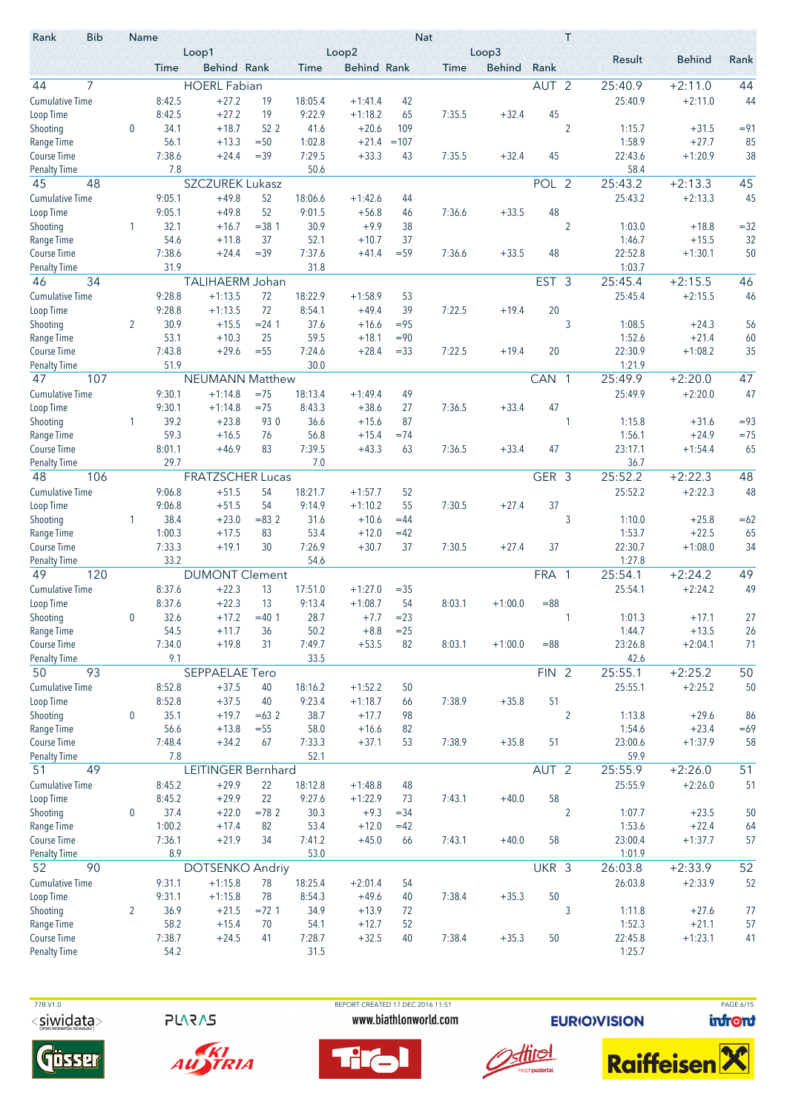| <b>Bib</b><br>Rank               | Name             |              | Loop1                   |                  |              | Loop2              |          | <b>Nat</b> | Loop3         |                  | T              |                  |                    |             |
|----------------------------------|------------------|--------------|-------------------------|------------------|--------------|--------------------|----------|------------|---------------|------------------|----------------|------------------|--------------------|-------------|
|                                  |                  | Time         | Behind Rank             |                  | Time         | <b>Behind Rank</b> |          | Time       | <b>Behind</b> | Rank             |                | Result           | <b>Behind</b>      | Rank        |
| 7<br>44                          |                  |              | <b>HOERL Fabian</b>     |                  |              |                    |          |            |               | AUT <sub>2</sub> |                | 25:40.9          | $+2:11.0$          | 44          |
| <b>Cumulative Time</b>           |                  | 8:42.5       | $+27.2$                 | 19               | 18:05.4      | $+1:41.4$          | 42       |            |               |                  |                | 25:40.9          | $+2:11.0$          | 44          |
| Loop Time                        |                  | 8:42.5       | $+27.2$                 | 19               | 9:22.9       | $+1:18.2$          | 65       | 7:35.5     | $+32.4$       | 45               |                |                  |                    |             |
| Shooting                         | 0                | 34.1         | $+18.7$                 | 52 2             | 41.6         | $+20.6$            | 109      |            |               |                  | $\overline{2}$ | 1:15.7           | $+31.5$            | $= 91$      |
| Range Time                       |                  | 56.1         | $+13.3$                 | $=50$            | 1:02.8       | $+21.4$            | $=107$   |            |               |                  |                | 1:58.9           | $+27.7$            | 85          |
| <b>Course Time</b>               |                  | 7:38.6       | $+24.4$                 | $=39$            | 7:29.5       | $+33.3$            | 43       | 7:35.5     | $+32.4$       | 45               |                | 22:43.6          | $+1:20.9$          | 38          |
| <b>Penalty Time</b>              |                  | 7.8          |                         |                  | 50.6         |                    |          |            |               |                  |                | 58.4             |                    |             |
| 45<br>48                         |                  |              | <b>SZCZUREK Lukasz</b>  |                  |              |                    |          |            |               | POL 2            |                | 25:43.2          | $+2:13.3$          | 45          |
| <b>Cumulative Time</b>           |                  | 9:05.1       | $+49.8$                 | 52               | 18:06.6      | $+1:42.6$          | 44       |            |               |                  |                | 25:43.2          | $+2:13.3$          | 45          |
| Loop Time                        |                  | 9:05.1       | $+49.8$                 | 52               | 9:01.5       | $+56.8$            | 46       | 7:36.6     | $+33.5$       | 48               | $\overline{2}$ |                  |                    |             |
| Shooting<br>Range Time           | 1                | 32.1<br>54.6 | $+16.7$<br>$+11.8$      | $= 381$<br>37    | 30.9<br>52.1 | $+9.9$<br>$+10.7$  | 38<br>37 |            |               |                  |                | 1:03.0<br>1:46.7 | $+18.8$<br>$+15.5$ | $=32$<br>32 |
| <b>Course Time</b>               |                  | 7:38.6       | $+24.4$                 | $=39$            | 7:37.6       | $+41.4$            | $= 59$   | 7:36.6     | $+33.5$       | 48               |                | 22:52.8          | $+1:30.1$          | 50          |
| <b>Penalty Time</b>              |                  | 31.9         |                         |                  | 31.8         |                    |          |            |               |                  |                | 1:03.7           |                    |             |
| 34<br>46                         |                  |              | TALIHAERM Johan         |                  |              |                    |          |            |               | EST <sub>3</sub> |                | 25:45.4          | $+2:15.5$          | 46          |
| <b>Cumulative Time</b>           |                  | 9:28.8       | $+1:13.5$               | 72               | 18:22.9      | $+1:58.9$          | 53       |            |               |                  |                | 25:45.4          | $+2:15.5$          | 46          |
| Loop Time                        |                  | 9:28.8       | $+1:13.5$               | 72               | 8:54.1       | $+49.4$            | 39       | 7:22.5     | $+19.4$       | 20               |                |                  |                    |             |
| Shooting                         | $\overline{2}$   | 30.9         | $+15.5$                 | $= 24.1$         | 37.6         | $+16.6$            | $= 95$   |            |               |                  | 3              | 1:08.5           | $+24.3$            | 56          |
| Range Time                       |                  | 53.1         | $+10.3$                 | 25               | 59.5         | $+18.1$            | $= 90$   |            |               |                  |                | 1:52.6           | $+21.4$            | 60          |
| Course Time                      |                  | 7:43.8       | $+29.6$                 | $=55$            | 7:24.6       | $+28.4$            | $= 33$   | 7:22.5     | $+19.4$       | 20               |                | 22:30.9          | $+1:08.2$          | 35          |
| <b>Penalty Time</b>              |                  | 51.9         |                         |                  | 30.0         |                    |          |            |               |                  |                | 1:21.9           |                    |             |
| 47<br>107                        |                  |              | <b>NEUMANN Matthew</b>  |                  |              |                    |          |            |               | CAN 1            |                | 25:49.9          | $+2:20.0$          | 47          |
| <b>Cumulative Time</b>           |                  | 9:30.1       | $+1:14.8$               | $=75$            | 18:13.4      | $+1:49.4$          | 49       |            |               |                  |                | 25:49.9          | $+2:20.0$          | 47          |
| Loop Time                        |                  | 9:30.1       | $+1:14.8$               | $=75$            | 8:43.3       | $+38.6$            | 27       | 7:36.5     | $+33.4$       | 47               |                |                  |                    |             |
| Shooting                         | 1                | 39.2         | $+23.8$                 | 93 0             | 36.6         | $+15.6$            | 87       |            |               |                  | 1              | 1:15.8           | $+31.6$            | $= 93$      |
| Range Time                       |                  | 59.3         | $+16.5$                 | 76               | 56.8         | $+15.4$            | $=74$    |            |               |                  |                | 1:56.1           | $+24.9$            | $=75$       |
| Course Time                      |                  | 8:01.1       | $+46.9$                 | 83               | 7:39.5       | $+43.3$            | 63       | 7:36.5     | $+33.4$       | 47               |                | 23:17.1          | $+1:54.4$          | 65          |
| <b>Penalty Time</b><br>106<br>48 |                  | 29.7         | <b>FRATZSCHER Lucas</b> |                  | 7.0          |                    |          |            |               | GER 3            |                | 36.7<br>25:52.2  | $+2:22.3$          | 48          |
| <b>Cumulative Time</b>           |                  | 9:06.8       | $+51.5$                 | 54               | 18:21.7      | $+1:57.7$          | 52       |            |               |                  |                | 25:52.2          | $+2:22.3$          | 48          |
| Loop Time                        |                  | 9:06.8       | $+51.5$                 | 54               | 9:14.9       | $+1:10.2$          | 55       | 7:30.5     | $+27.4$       | 37               |                |                  |                    |             |
| Shooting                         | 1                | 38.4         | $+23.0$                 | $= 832$          | 31.6         | $+10.6$            | $=44$    |            |               |                  | 3              | 1:10.0           | $+25.8$            | $=62$       |
| Range Time                       |                  | 1:00.3       | $+17.5$                 | 83               | 53.4         | $+12.0$            | $=42$    |            |               |                  |                | 1:53.7           | $+22.5$            | 65          |
| Course Time                      |                  | 7:33.3       | $+19.1$                 | 30               | 7:26.9       | $+30.7$            | 37       | 7:30.5     | $+27.4$       | 37               |                | 22:30.7          | $+1:08.0$          | 34          |
| <b>Penalty Time</b>              |                  | 33.2         |                         |                  | 54.6         |                    |          |            |               |                  |                | 1:27.8           |                    |             |
| 120<br>49                        |                  |              | <b>DUMONT Clement</b>   |                  |              |                    |          |            |               | FRA 1            |                | 25:54.1          | $+2:24.2$          | 49          |
| <b>Cumulative Time</b>           |                  | 8:37.6       | $+22.3$                 | 13               | 17:51.0      | $+1:27.0$          | $= 35$   |            |               |                  |                | 25:54.1          | $+2:24.2$          | 49          |
| Loop Time                        |                  | 8:37.6       | $+22.3$                 | 13               | 9:13.4       | $+1:08.7$          | 54       | 8:03.1     | $+1:00.0$     | $= 88$           |                |                  |                    |             |
| Shooting                         | 0                | 32.6         | $+17.2$                 | $=40.1$          | 28.7         | $+7.7$             | $= 23$   |            |               |                  |                | 1:01.3           | $+17.1$            | 27          |
| Range Time                       |                  | 54.5         | $+11.7$                 | 36               | 50.2         | $+8.8$             | $=25$    |            |               |                  |                | 1:44.7           | $+13.5$            | 26          |
| Course Time                      |                  | 7:34.0       | $+19.8$                 | 31               | 7:49.7       | $+53.5$            | 82       | 8:03.1     | $+1:00.0$     | $= 88$           |                | 23:26.8          | $+2:04.1$          | 71          |
| <b>Penalty Time</b>              |                  | 9.1          |                         |                  | 33.5         |                    |          |            |               |                  |                | 42.6             |                    |             |
| 93<br>50                         |                  |              | SEPPAELAE Tero          |                  |              |                    |          |            |               | FIN <sub>2</sub> |                | 25:55.1          | $+2:25.2$          | 50          |
| <b>Cumulative Time</b>           |                  | 8:52.8       | $+37.5$                 | 40               | 18:16.2      | $+1:52.2$          | 50       |            |               |                  |                | 25:55.1          | $+2:25.2$          | 50          |
| Loop Time                        |                  | 8:52.8       | $+37.5$<br>$+19.7$      | 40               | 9:23.4       | $+1:18.7$          | 66       | 7:38.9     | $+35.8$       | 51               |                |                  |                    |             |
| Shooting<br>Range Time           | $\boldsymbol{0}$ | 35.1<br>56.6 | $+13.8$                 | $=632$<br>$= 55$ | 38.7<br>58.0 | $+17.7$<br>$+16.6$ | 98<br>82 |            |               |                  | $\overline{2}$ | 1:13.8<br>1:54.6 | $+29.6$<br>$+23.4$ | 86<br>$=69$ |
| Course Time                      |                  | 7:48.4       | $+34.2$                 | 67               | 7:33.3       | $+37.1$            | 53       | 7:38.9     | $+35.8$       | 51               |                | 23:00.6          | $+1:37.9$          | 58          |
| <b>Penalty Time</b>              |                  | 7.8          |                         |                  | 52.1         |                    |          |            |               |                  |                | 59.9             |                    |             |
| 49<br>51                         |                  |              | LEITINGER Bernhard      |                  |              |                    |          |            |               | AUT <sub>2</sub> |                | 25:55.9          | $+2:26.0$          | 51          |
| <b>Cumulative Time</b>           |                  | 8:45.2       | $+29.9$                 | 22               | 18:12.8      | $+1:48.8$          | 48       |            |               |                  |                | 25:55.9          | $+2:26.0$          | 51          |
| Loop Time                        |                  | 8:45.2       | $+29.9$                 | 22               | 9:27.6       | $+1:22.9$          | 73       | 7:43.1     | $+40.0$       | 58               |                |                  |                    |             |
| Shooting                         | $\boldsymbol{0}$ | 37.4         | $+22.0$                 | $=782$           | 30.3         | $+9.3$             | $= 34$   |            |               |                  | $\overline{2}$ | 1:07.7           | $+23.5$            | 50          |
| Range Time                       |                  | 1:00.2       | $+17.4$                 | 82               | 53.4         | $+12.0$            | $=42$    |            |               |                  |                | 1:53.6           | $+22.4$            | 64          |
| Course Time                      |                  | 7:36.1       | $+21.9$                 | 34               | 7:41.2       | $+45.0$            | 66       | 7:43.1     | $+40.0$       | 58               |                | 23:00.4          | $+1:37.7$          | 57          |
| <b>Penalty Time</b>              |                  | 8.9          |                         |                  | 53.0         |                    |          |            |               |                  |                | 1:01.9           |                    |             |
| 90<br>52                         |                  |              | <b>DOTSENKO Andriy</b>  |                  |              |                    |          |            |               | UKR 3            |                | 26:03.8          | $+2:33.9$          | 52          |
| <b>Cumulative Time</b>           |                  | 9:31.1       | $+1:15.8$               | 78               | 18:25.4      | $+2:01.4$          | 54       |            |               |                  |                | 26:03.8          | $+2:33.9$          | 52          |
| Loop Time                        |                  | 9:31.1       | $+1:15.8$               | 78               | 8:54.3       | $+49.6$            | 40       | 7:38.4     | $+35.3$       | 50               |                |                  |                    |             |
| Shooting                         | 2                | 36.9         | $+21.5$                 | $= 72.1$         | 34.9         | $+13.9$            | 72       |            |               |                  | 3              | 1:11.8           | $+27.6$            | 77          |
| Range Time                       |                  | 58.2         | $+15.4$                 | 70               | 54.1         | $+12.7$            | 52       |            |               |                  |                | 1:52.3           | $+21.1$            | 57          |
| Course Time                      |                  | 7:38.7       | $+24.5$                 | 41               | 7:28.7       | $+32.5$            | 40       | 7:38.4     | $+35.3$       | 50               |                | 22:45.8          | $+1:23.1$          | 41          |
| <b>Penalty Time</b>              |                  | 54.2         |                         |                  | 31.5         |                    |          |            |               |                  |                | 1:25.7           |                    |             |

 77B V1.0 REPORT CREATED 17 DEC 2016 11:51 PAGE 6/15 $<$ siwidata>

**PLARAS** 



AUSTRIA







**EURIOVISION** 

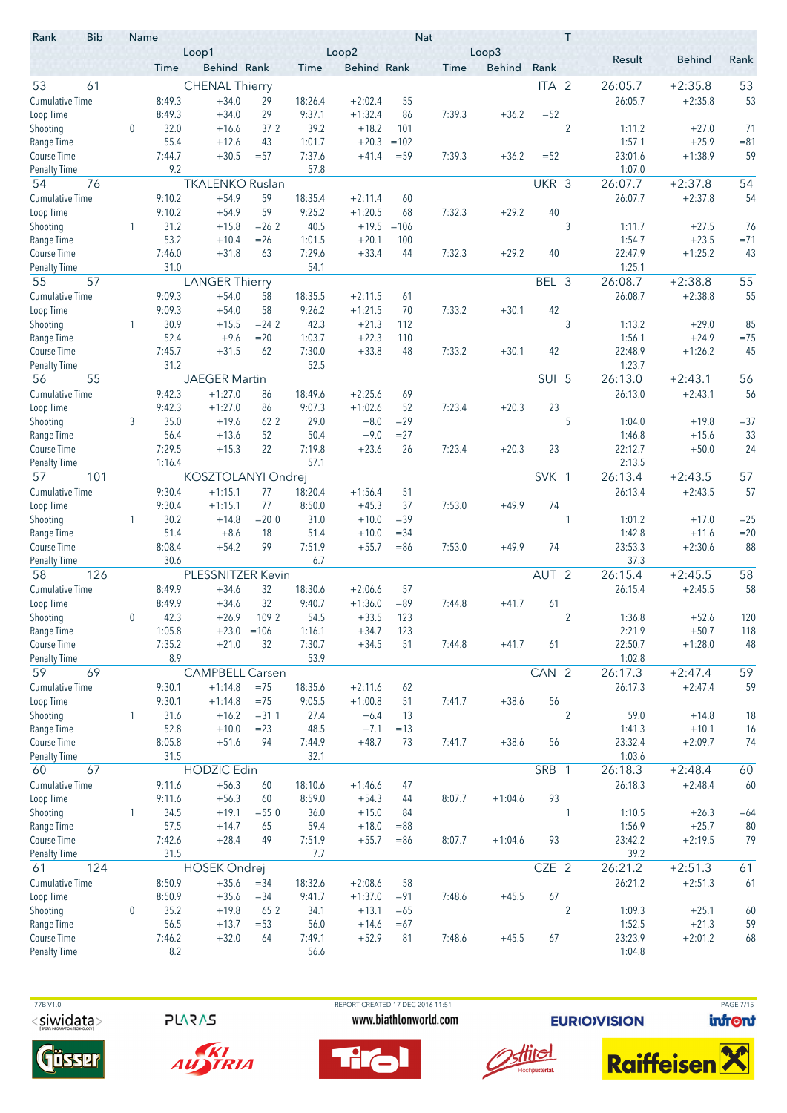| <b>Bib</b><br>Rank     | Name         |                | Loop1                    |               |                | Loop2                |                  | <b>Nat</b> | Loop3         |                  | Τ              |                  |                    |                 |
|------------------------|--------------|----------------|--------------------------|---------------|----------------|----------------------|------------------|------------|---------------|------------------|----------------|------------------|--------------------|-----------------|
|                        |              | Time           | Behind Rank              |               | Time           | <b>Behind Rank</b>   |                  | Time       | <b>Behind</b> | Rank             |                | Result           | <b>Behind</b>      | Rank            |
| 53<br>61               |              |                | <b>CHENAL Thierry</b>    |               |                |                      |                  |            |               | ITA <sub>2</sub> |                | 26:05.7          | $+2:35.8$          | 53              |
| <b>Cumulative Time</b> |              | 8:49.3         | $+34.0$                  | 29            | 18:26.4        | $+2:02.4$            | 55               |            |               |                  |                | 26:05.7          | $+2:35.8$          | 53              |
| Loop Time              |              | 8:49.3         | $+34.0$                  | 29            | 9:37.1         | $+1:32.4$            | 86               | 7:39.3     | $+36.2$       | $=52$            |                |                  |                    |                 |
| Shooting               | $\mathbf 0$  | 32.0           | $+16.6$                  | 37 2          | 39.2           | $+18.2$              | 101              |            |               |                  | $\overline{2}$ | 1:11.2           | $+27.0$            | 71              |
| Range Time             |              | 55.4           | $+12.6$                  | 43            | 1:01.7         | $+20.3$              | $=102$           |            |               |                  |                | 1:57.1           | $+25.9$            | $= 81$          |
| Course Time            |              | 7:44.7         | $+30.5$                  | $= 57$        | 7:37.6         | $+41.4$              | $= 59$           | 7:39.3     | $+36.2$       | $= 52$           |                | 23:01.6          | $+1:38.9$          | 59              |
| <b>Penalty Time</b>    |              | 9.2            |                          |               | 57.8           |                      |                  |            |               |                  |                | 1:07.0           |                    |                 |
| 54<br>76               |              |                | <b>TKALENKO Ruslan</b>   |               |                |                      |                  |            |               | UKR 3            |                | 26:07.7          | $+2:37.8$          | 54              |
| <b>Cumulative Time</b> |              | 9:10.2         | $+54.9$                  | 59            | 18:35.4        | $+2:11.4$            | 60               |            |               |                  |                | 26:07.7          | $+2:37.8$          | 54              |
| Loop Time<br>Shooting  |              | 9:10.2<br>31.2 | $+54.9$<br>$+15.8$       | 59<br>$= 262$ | 9:25.2<br>40.5 | $+1:20.5$<br>$+19.5$ | 68<br>$=106$     | 7:32.3     | $+29.2$       | 40               | 3              | 1:11.7           |                    | 76              |
| Range Time             | 1            | 53.2           | $+10.4$                  | $=26$         | 1:01.5         | $+20.1$              | 100              |            |               |                  |                | 1:54.7           | $+27.5$<br>$+23.5$ | $= 71$          |
| Course Time            |              | 7:46.0         | $+31.8$                  | 63            | 7:29.6         | $+33.4$              | 44               | 7:32.3     | $+29.2$       | 40               |                | 22:47.9          | $+1:25.2$          | 43              |
| Penalty Time           |              | 31.0           |                          |               | 54.1           |                      |                  |            |               |                  |                | 1:25.1           |                    |                 |
| 55<br>57               |              |                | <b>LANGER Thierry</b>    |               |                |                      |                  |            |               | BEL 3            |                | 26:08.7          | $+2:38.8$          | 55              |
| <b>Cumulative Time</b> |              | 9:09.3         | $+54.0$                  | 58            | 18:35.5        | $+2:11.5$            | 61               |            |               |                  |                | 26:08.7          | $+2:38.8$          | 55              |
| Loop Time              |              | 9:09.3         | $+54.0$                  | 58            | 9:26.2         | $+1:21.5$            | 70               | 7:33.2     | $+30.1$       | 42               |                |                  |                    |                 |
| Shooting               | 1            | 30.9           | $+15.5$                  | $= 24.2$      | 42.3           | $+21.3$              | 112              |            |               |                  | 3              | 1:13.2           | $+29.0$            | 85              |
| Range Time             |              | 52.4           | $+9.6$                   | $= 20$        | 1:03.7         | $+22.3$              | 110              |            |               |                  |                | 1:56.1           | $+24.9$            | $=75$           |
| Course Time            |              | 7:45.7         | $+31.5$                  | 62            | 7:30.0         | $+33.8$              | 48               | 7:33.2     | $+30.1$       | 42               |                | 22:48.9          | $+1:26.2$          | 45              |
| <b>Penalty Time</b>    |              | 31.2           |                          |               | 52.5           |                      |                  |            |               |                  |                | 1:23.7           |                    |                 |
| 55<br>56               |              |                | <b>JAEGER Martin</b>     |               |                |                      |                  |            |               | SUI 5            |                | 26:13.0          | $+2:43.1$          | 56              |
| <b>Cumulative Time</b> |              | 9:42.3         | $+1:27.0$                | 86            | 18:49.6        | $+2:25.6$            | 69               |            |               |                  |                | 26:13.0          | $+2:43.1$          | 56              |
| Loop Time              |              | 9:42.3         | $+1:27.0$                | 86            | 9:07.3         | $+1:02.6$            | 52               | 7:23.4     | $+20.3$       | 23               |                |                  |                    |                 |
| Shooting<br>Range Time | 3            | 35.0<br>56.4   | $+19.6$<br>$+13.6$       | 62 2<br>52    | 29.0<br>50.4   | $+8.0$<br>$+9.0$     | $= 29$<br>$= 27$ |            |               |                  | 5              | 1:04.0<br>1:46.8 | $+19.8$<br>$+15.6$ | $= 37$<br>33    |
| Course Time            |              | 7:29.5         | $+15.3$                  | 22            | 7:19.8         | $+23.6$              | 26               | 7:23.4     | $+20.3$       | 23               |                | 22:12.7          | $+50.0$            | 24              |
| <b>Penalty Time</b>    |              | 1:16.4         |                          |               | 57.1           |                      |                  |            |               |                  |                | 2:13.5           |                    |                 |
| 57<br>101              |              |                | KOSZTOLANYI Ondrej       |               |                |                      |                  |            |               | SVK 1            |                | 26:13.4          | $+2:43.5$          | $\overline{57}$ |
| <b>Cumulative Time</b> |              | 9:30.4         | $+1:15.1$                | 77            | 18:20.4        | $+1:56.4$            | 51               |            |               |                  |                | 26:13.4          | $+2:43.5$          | 57              |
| Loop Time              |              | 9:30.4         | $+1:15.1$                | 77            | 8:50.0         | $+45.3$              | 37               | 7:53.0     | $+49.9$       | 74               |                |                  |                    |                 |
| Shooting               | 1            | 30.2           | $+14.8$                  | $= 200$       | 31.0           | $+10.0$              | $= 39$           |            |               |                  | 1              | 1:01.2           | $+17.0$            | $=25$           |
| Range Time             |              | 51.4           | $+8.6$                   | 18            | 51.4           | $+10.0$              | $= 34$           |            |               |                  |                | 1:42.8           | $+11.6$            | $=20$           |
| Course Time            |              | 8:08.4         | $+54.2$                  | 99            | 7:51.9         | $+55.7$              | $= 86$           | 7:53.0     | $+49.9$       | 74               |                | 23:53.3          | $+2:30.6$          | 88              |
| Penalty Time           |              | 30.6           |                          |               | 6.7            |                      |                  |            |               |                  |                | 37.3             |                    |                 |
| 126<br>58              |              |                | PLESSNITZER Kevin        |               |                |                      |                  |            |               | AUT <sub>2</sub> |                | 26:15.4          | $+2:45.5$          | 58              |
| <b>Cumulative Time</b> |              | 8:49.9         | $+34.6$                  | 32            | 18:30.6        | $+2:06.6$            | 57               |            |               |                  |                | 26:15.4          | $+2:45.5$          | 58              |
| Loop Time              |              | 8:49.9         | $+34.6$                  | 32<br>109 2   | 9:40.7         | $+1:36.0$            | $= 89$           | 7:44.8     | $+41.7$       | 61               |                |                  |                    |                 |
| Shooting<br>Range Time | $\mathbf{0}$ | 42.3<br>1:05.8 | $+26.9$<br>$+23.0 = 106$ |               | 54.5<br>1:16.1 | $+33.5$<br>$+34.7$   | 123<br>123       |            |               |                  | $\overline{2}$ | 1:36.8<br>2:21.9 | $+52.6$<br>$+50.7$ | 120<br>118      |
| Course Time            |              | 7:35.2         | $+21.0$                  | 32            | 7:30.7         | $+34.5$              | 51               | 7:44.8     | $+41.7$       | 61               |                | 22:50.7          | $+1:28.0$          | 48              |
| <b>Penalty Time</b>    |              | 8.9            |                          |               | 53.9           |                      |                  |            |               |                  |                | 1:02.8           |                    |                 |
| 69<br>59               |              |                | <b>CAMPBELL Carsen</b>   |               |                |                      |                  |            |               | CAN 2            |                | 26:17.3          | $+2:47.4$          | 59              |
| <b>Cumulative Time</b> |              | 9:30.1         | $+1:14.8$                | $=75$         | 18:35.6        | $+2:11.6$            | 62               |            |               |                  |                | 26:17.3          | $+2:47.4$          | 59              |
| Loop Time              |              | 9:30.1         | $+1:14.8$                | $=75$         | 9:05.5         | $+1:00.8$            | 51               | 7:41.7     | $+38.6$       | 56               |                |                  |                    |                 |
| Shooting               | 1            | 31.6           | $+16.2$                  | $= 311$       | 27.4           | $+6.4$               | 13               |            |               |                  | $\overline{2}$ | 59.0             | $+14.8$            | 18              |
| Range Time             |              | 52.8           | $+10.0$                  | $= 23$        | 48.5           | $+7.1$               | $=13$            |            |               |                  |                | 1:41.3           | $+10.1$            | 16              |
| Course Time            |              | 8:05.8         | $+51.6$                  | 94            | 7:44.9         | $+48.7$              | 73               | 7:41.7     | $+38.6$       | 56               |                | 23:32.4          | $+2:09.7$          | 74              |
| <b>Penalty Time</b>    |              | 31.5           |                          |               | 32.1           |                      |                  |            |               |                  |                | 1:03.6           |                    |                 |
| 67<br>60               |              |                | <b>HODZIC Edin</b>       |               |                |                      |                  |            |               | SRB 1            |                | 26:18.3          | $+2:48.4$          | 60              |
| <b>Cumulative Time</b> |              | 9:11.6         | $+56.3$                  | 60            | 18:10.6        | $+1:46.6$            | 47               |            |               |                  |                | 26:18.3          | $+2:48.4$          | 60              |
| Loop Time<br>Shooting  | 1            | 9:11.6<br>34.5 | $+56.3$<br>$+19.1$       | 60<br>$= 550$ | 8:59.0<br>36.0 | $+54.3$<br>$+15.0$   | 44<br>84         | 8:07.7     | $+1:04.6$     | 93               | 1              | 1:10.5           | $+26.3$            | $=64$           |
| Range Time             |              | 57.5           | $+14.7$                  | 65            | 59.4           | $+18.0$              | $= 88$           |            |               |                  |                | 1:56.9           | $+25.7$            | 80              |
| Course Time            |              | 7:42.6         | $+28.4$                  | 49            | 7:51.9         | $+55.7$              | $= 86$           | 8:07.7     | $+1:04.6$     | 93               |                | 23:42.2          | $+2:19.5$          | 79              |
| <b>Penalty Time</b>    |              | 31.5           |                          |               | 7.7            |                      |                  |            |               |                  |                | 39.2             |                    |                 |
| 124<br>61              |              |                | <b>HOSEK Ondrej</b>      |               |                |                      |                  |            |               | CZE 2            |                | 26:21.2          | $+2:51.3$          | 61              |
| <b>Cumulative Time</b> |              | 8:50.9         | $+35.6$                  | $= 34$        | 18:32.6        | $+2:08.6$            | 58               |            |               |                  |                | 26:21.2          | $+2:51.3$          | 61              |
| Loop Time              |              | 8:50.9         | $+35.6$                  | $= 34$        | 9:41.7         | $+1:37.0$            | $= 91$           | 7:48.6     | $+45.5$       | 67               |                |                  |                    |                 |
| Shooting               | 0            | 35.2           | $+19.8$                  | 65 2          | 34.1           | $+13.1$              | $=65$            |            |               |                  | $\overline{c}$ | 1:09.3           | $+25.1$            | 60              |
| Range Time             |              | 56.5           | $+13.7$                  | $= 53$        | 56.0           | $+14.6$              | $=67$            |            |               |                  |                | 1:52.5           | $+21.3$            | 59              |
| Course Time            |              | 7:46.2         | $+32.0$                  | 64            | 7:49.1         | $+52.9$              | 81               | 7:48.6     | $+45.5$       | 67               |                | 23:23.9          | $+2:01.2$          | 68              |
| <b>Penalty Time</b>    |              | 8.2            |                          |               | 56.6           |                      |                  |            |               |                  |                | 1:04.8           |                    |                 |

**PLARAS** 











**EURIOVISION** 



PAGE 7/15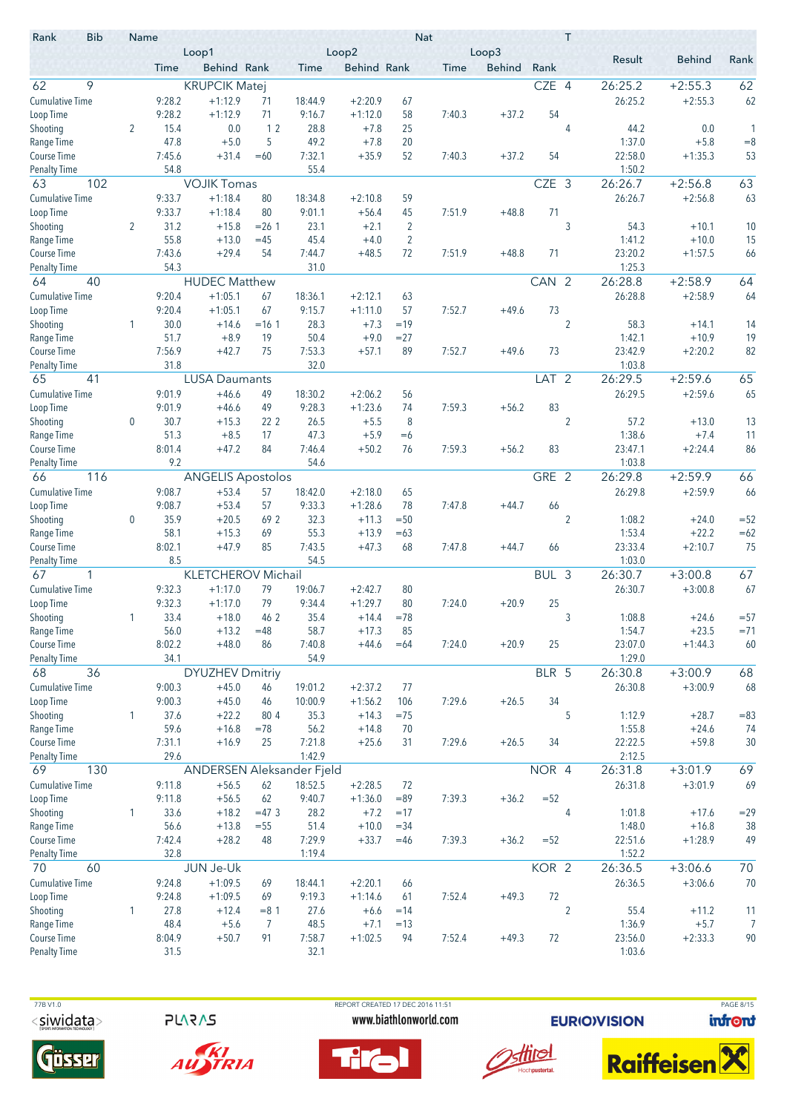| Rank<br>Result<br><b>Behind</b><br>Behind Rank<br><b>Behind Rank</b><br><b>Behind</b><br>Rank<br>Time<br>Time<br>Time<br>9<br>CZE 4<br>62<br><b>KRUPCIK Matej</b><br>26:25.2<br>$+2:55.3$<br>9:28.2<br>$+1:12.9$<br>18:44.9<br>$+2:20.9$<br>26:25.2<br>$+2:55.3$<br>62<br>71<br>67<br>9:28.2<br>9:16.7<br>54<br>$+1:12.9$<br>71<br>$+1:12.0$<br>58<br>7:40.3<br>$+37.2$<br>0.0<br>12<br>28.8<br>2<br>15.4<br>$+7.8$<br>25<br>4<br>44.2<br>0.0<br>1<br>47.8<br>5<br>49.2<br>1:37.0<br>$+5.0$<br>$+7.8$<br>20<br>$+5.8$<br>$= 8$<br>22:58.0<br>7:45.6<br>$+31.4$<br>$=60$<br>7:32.1<br>$+35.9$<br>52<br>7:40.3<br>$+37.2$<br>54<br>$+1:35.3$<br>53<br>54.8<br>55.4<br>1:50.2<br>63<br>102<br>CZE 3<br>26:26.7<br>63<br><b>VOJIK Tomas</b><br>$+2:56.8$<br>9:33.7<br>$+1:18.4$<br>$+2:56.8$<br>63<br>80<br>18:34.8<br>$+2:10.8$<br>59<br>26:26.7<br>9:33.7<br>80<br>Loop Time<br>$+1:18.4$<br>9:01.1<br>$+56.4$<br>45<br>7:51.9<br>$+48.8$<br>71<br>31.2<br>23.1<br>3<br>Shooting<br>$\overline{2}$<br>$+15.8$<br>$= 26.1$<br>$+2.1$<br>2<br>54.3<br>$+10.1$<br>10<br>55.8<br>$\overline{2}$<br>1:41.2<br>$+13.0$<br>$=45$<br>45.4<br>$+4.0$<br>$+10.0$<br>15<br>Range Time<br>7:44.7<br>23:20.2<br>Course Time<br>7:43.6<br>$+29.4$<br>54<br>$+48.5$<br>72<br>7:51.9<br>$+48.8$<br>71<br>$+1:57.5$<br>66<br>31.0<br>54.3<br>1:25.3<br>Penalty Time<br><b>HUDEC Matthew</b><br>$+2:58.9$<br>64<br>64<br>40<br>CAN 2<br>26:28.8<br><b>Cumulative Time</b><br>$+1:05.1$<br>26:28.8<br>64<br>9:20.4<br>67<br>18:36.1<br>$+2:58.9$<br>$+2:12.1$<br>63<br>9:20.4<br>$+1:05.1$<br>9:15.7<br>Loop Time<br>67<br>$+1:11.0$<br>57<br>7:52.7<br>$+49.6$<br>73<br>$\overline{2}$<br>28.3<br>Shooting<br>30.0<br>$+14.6$<br>$=16.1$<br>$+7.3$<br>$=19$<br>58.3<br>1<br>$+14.1$<br>14<br>$+10.9$<br>19<br>Range Time<br>51.7<br>$+8.9$<br>19<br>50.4<br>$+9.0$<br>$=27$<br>1:42.1<br>7:53.3<br>23:42.9<br>$+2:20.2$<br>82<br><b>Course Time</b><br>7:56.9<br>$+42.7$<br>75<br>$+57.1$<br>89<br>7:52.7<br>$+49.6$<br>73<br>31.8<br>32.0<br>1:03.8<br><b>Penalty Time</b><br>65<br>41<br><b>LUSA Daumants</b><br>LAT <sub>2</sub><br>26:29.5<br>$+2:59.6$<br>65<br>9:01.9<br>$+46.6$<br>49<br>18:30.2<br>$+2:06.2$<br>26:29.5<br>$+2:59.6$<br>65<br>56<br>9:01.9<br>9:28.3<br>$+46.6$<br>49<br>$+1:23.6$<br>74<br>7:59.3<br>$+56.2$<br>83<br>$\overline{2}$<br>$\boldsymbol{0}$<br>30.7<br>$+15.3$<br>22 <sub>2</sub><br>26.5<br>$+5.5$<br>8<br>57.2<br>$+13.0$<br>13<br>51.3<br>47.3<br>1:38.6<br>$+7.4$<br>$+8.5$<br>17<br>$+5.9$<br>11<br>$=6$<br>86<br>8:01.4<br>$+47.2$<br>84<br>7:46.4<br>$+50.2$<br>7:59.3<br>83<br>23:47.1<br>$+2:24.4$<br>76<br>$+56.2$<br>9.2<br>54.6<br>1:03.8<br>GRE 2<br>26:29.8<br>$+2:59.9$<br>66<br>116<br><b>ANGELIS Apostolos</b><br>66<br>9:08.7<br>$+53.4$<br>26:29.8<br>$+2:59.9$<br><b>Cumulative Time</b><br>57<br>18:42.0<br>$+2:18.0$<br>65<br>66<br>9:08.7<br>$+53.4$<br>57<br>9:33.3<br>Loop Time<br>$+1:28.6$<br>78<br>7:47.8<br>$+44.7$<br>66<br>35.9<br>$+20.5$<br>32.3<br>$\overline{2}$<br>1:08.2<br>$=52$<br>Shooting<br>$\boldsymbol{0}$<br>69 2<br>$+11.3$<br>$= 50$<br>$+24.0$<br>58.1<br>55.3<br>1:53.4<br>$+22.2$<br>$=62$<br>Range Time<br>$+15.3$<br>69<br>$+13.9$<br>$=63$<br>7:43.5<br>23:33.4<br>75<br>Course Time<br>8:02.1<br>$+47.9$<br>85<br>$+47.3$<br>7:47.8<br>$+44.7$<br>$+2:10.7$<br>68<br>66<br>8.5<br>54.5<br>1:03.0<br><b>Penalty Time</b><br>67<br>1<br><b>KLETCHEROV Michail</b><br>BUL 3<br>26:30.7<br>$+3:00.8$<br>67<br>26:30.7<br>67<br><b>Cumulative Time</b><br>9:32.3<br>$+1:17.0$<br>79<br>19:06.7<br>80<br>$+3:00.8$<br>$+2:42.7$<br>9:32.3<br>79<br>9:34.4<br>25<br>$+1:17.0$<br>$+1:29.7$<br>80<br>7:24.0<br>$+20.9$<br>Loop Time<br>35.4<br>Shooting<br>33.4<br>$+18.0$<br>46 2<br>$= 78$<br>3<br>1:08.8<br>$+14.4$<br>$+24.6$<br>$= 57$<br>Range Time<br>56.0<br>58.7<br>1:54.7<br>$+23.5$<br>$= 71$<br>$+13.2$<br>$=48$<br>$+17.3$<br>85<br>8:02.2<br>25<br>23:07.0<br>$+48.0$<br>7:40.8<br>$+44.6$<br>7:24.0<br>$+20.9$<br>$+1:44.3$<br>60<br>86<br>$=64$<br>54.9<br>1:29.0<br>34.1<br>36<br>BLR 5<br>68<br><b>DYUZHEV Dmitriy</b><br>26:30.8<br>$+3:00.9$<br>68<br>9:00.3<br>$+45.0$<br>19:01.2<br>$+2:37.2$<br>77<br>26:30.8<br>$+3:00.9$<br>68<br>46<br>9:00.3<br>$+45.0$<br>10:00.9<br>$+1:56.2$<br>106<br>7:29.6<br>$+26.5$<br>34<br>46<br>5<br>37.6<br>$+22.2$<br>80 4<br>35.3<br>$+14.3$<br>1:12.9<br>$+28.7$<br>$= 83$<br>1<br>$= 75$<br>59.6<br>1:55.8<br>$+16.8$<br>56.2<br>$+14.8$<br>$+24.6$<br>74<br>$=78$<br>70<br>Course Time<br>7:31.1<br>$+16.9$<br>7:29.6<br>34<br>22:22.5<br>$+59.8$<br>30<br>25<br>7:21.8<br>$+25.6$<br>31<br>$+26.5$<br>29.6<br>1:42.9<br>2:12.5<br><b>Penalty Time</b><br>130<br>NOR 4<br>26:31.8<br>69<br>69<br>ANDERSEN Aleksander Fjeld<br>$+3:01.9$<br>18:52.5<br>26:31.8<br><b>Cumulative Time</b><br>9:11.8<br>$+56.5$<br>62<br>$+2:28.5$<br>$+3:01.9$<br>69<br>72<br>9:40.7<br>$= 52$<br>Loop Time<br>9:11.8<br>$+56.5$<br>62<br>$+1:36.0$<br>$= 89$<br>7:39.3<br>$+36.2$<br>$= 29$<br>Shooting<br>33.6<br>$+18.2$<br>$=47.3$<br>28.2<br>$+7.2$<br>4<br>1:01.8<br>$+17.6$<br>$\mathbf{1}$<br>$=17$<br>1:48.0<br>Range Time<br>56.6<br>$+13.8$<br>51.4<br>$+10.0$<br>$= 34$<br>$+16.8$<br>38<br>$= 55$<br>Course Time<br>7:42.4<br>$+28.2$<br>48<br>7:29.9<br>$+33.7$<br>7:39.3<br>$=52$<br>22:51.6<br>$+1:28.9$<br>49<br>$=46$<br>$+36.2$<br><b>Penalty Time</b><br>32.8<br>1:19.4<br>1:52.2<br>KOR 2<br>70<br>JUN Je-Uk<br>26:36.5<br>70<br>60<br>$+3:06.6$<br><b>Cumulative Time</b><br>$+1:09.5$<br>26:36.5<br>70<br>9:24.8<br>69<br>$+2:20.1$<br>$+3:06.6$<br>18:44.1<br>66<br>9:24.8<br>9:19.3<br>72<br>Loop Time<br>$+1:09.5$<br>$+1:14.6$<br>7:52.4<br>$+49.3$<br>69<br>61<br>$\overline{2}$<br>27.8<br>$+12.4$<br>27.6<br>$+6.6$<br>55.4<br>1<br>$= 8.1$<br>$=14$<br>$+11.2$<br>11<br>1:36.9<br>48.4<br>$+5.6$<br>48.5<br>$+5.7$<br>7<br>7<br>$+7.1$<br>$=13$<br>90<br>8:04.9<br>$+50.7$<br>91<br>7:58.7<br>$+1:02.5$<br>7:52.4<br>$+49.3$<br>72<br>23:56.0<br>$+2:33.3$<br>94<br>32.1<br>1:03.6<br>31.5 | <b>Bib</b><br>Rank     | Name | Loop1 |  | Loop2 | <b>Nat</b> | Loop3 | T |  |  |
|-------------------------------------------------------------------------------------------------------------------------------------------------------------------------------------------------------------------------------------------------------------------------------------------------------------------------------------------------------------------------------------------------------------------------------------------------------------------------------------------------------------------------------------------------------------------------------------------------------------------------------------------------------------------------------------------------------------------------------------------------------------------------------------------------------------------------------------------------------------------------------------------------------------------------------------------------------------------------------------------------------------------------------------------------------------------------------------------------------------------------------------------------------------------------------------------------------------------------------------------------------------------------------------------------------------------------------------------------------------------------------------------------------------------------------------------------------------------------------------------------------------------------------------------------------------------------------------------------------------------------------------------------------------------------------------------------------------------------------------------------------------------------------------------------------------------------------------------------------------------------------------------------------------------------------------------------------------------------------------------------------------------------------------------------------------------------------------------------------------------------------------------------------------------------------------------------------------------------------------------------------------------------------------------------------------------------------------------------------------------------------------------------------------------------------------------------------------------------------------------------------------------------------------------------------------------------------------------------------------------------------------------------------------------------------------------------------------------------------------------------------------------------------------------------------------------------------------------------------------------------------------------------------------------------------------------------------------------------------------------------------------------------------------------------------------------------------------------------------------------------------------------------------------------------------------------------------------------------------------------------------------------------------------------------------------------------------------------------------------------------------------------------------------------------------------------------------------------------------------------------------------------------------------------------------------------------------------------------------------------------------------------------------------------------------------------------------------------------------------------------------------------------------------------------------------------------------------------------------------------------------------------------------------------------------------------------------------------------------------------------------------------------------------------------------------------------------------------------------------------------------------------------------------------------------------------------------------------------------------------------------------------------------------------------------------------------------------------------------------------------------------------------------------------------------------------------------------------------------------------------------------------------------------------------------------------------------------------------------------------------------------------------------------------------------------------------------------------------------------------------------------------------------------------------------------------------------------------------------------------------------------------------------------------------------------------------------------------------------------------------------------------------------------------------------------------------------------------------------------------------------------------------------------------------------------------------------------------------------------------------------------------------------------------------------------------------------------------------------------------------------------------------------------------------------------------------------------------------------------------------------------------------------------------------------------------------------------------------------------------------------------------------------------------------------------------------------------------------------------------------------------------------------------------------------------------------------------------------------------------------------------------------------------------------------------------------------------------------------------------------------------------------------------|------------------------|------|-------|--|-------|------------|-------|---|--|--|
|                                                                                                                                                                                                                                                                                                                                                                                                                                                                                                                                                                                                                                                                                                                                                                                                                                                                                                                                                                                                                                                                                                                                                                                                                                                                                                                                                                                                                                                                                                                                                                                                                                                                                                                                                                                                                                                                                                                                                                                                                                                                                                                                                                                                                                                                                                                                                                                                                                                                                                                                                                                                                                                                                                                                                                                                                                                                                                                                                                                                                                                                                                                                                                                                                                                                                                                                                                                                                                                                                                                                                                                                                                                                                                                                                                                                                                                                                                                                                                                                                                                                                                                                                                                                                                                                                                                                                                                                                                                                                                                                                                                                                                                                                                                                                                                                                                                                                                                                                                                                                                                                                                                                                                                                                                                                                                                                                                                                                                                                                                                                                                                                                                                                                                                                                                                                                                                                                                                                                                                                                                     |                        |      |       |  |       |            |       |   |  |  |
|                                                                                                                                                                                                                                                                                                                                                                                                                                                                                                                                                                                                                                                                                                                                                                                                                                                                                                                                                                                                                                                                                                                                                                                                                                                                                                                                                                                                                                                                                                                                                                                                                                                                                                                                                                                                                                                                                                                                                                                                                                                                                                                                                                                                                                                                                                                                                                                                                                                                                                                                                                                                                                                                                                                                                                                                                                                                                                                                                                                                                                                                                                                                                                                                                                                                                                                                                                                                                                                                                                                                                                                                                                                                                                                                                                                                                                                                                                                                                                                                                                                                                                                                                                                                                                                                                                                                                                                                                                                                                                                                                                                                                                                                                                                                                                                                                                                                                                                                                                                                                                                                                                                                                                                                                                                                                                                                                                                                                                                                                                                                                                                                                                                                                                                                                                                                                                                                                                                                                                                                                                     | 62                     |      |       |  |       |            |       |   |  |  |
|                                                                                                                                                                                                                                                                                                                                                                                                                                                                                                                                                                                                                                                                                                                                                                                                                                                                                                                                                                                                                                                                                                                                                                                                                                                                                                                                                                                                                                                                                                                                                                                                                                                                                                                                                                                                                                                                                                                                                                                                                                                                                                                                                                                                                                                                                                                                                                                                                                                                                                                                                                                                                                                                                                                                                                                                                                                                                                                                                                                                                                                                                                                                                                                                                                                                                                                                                                                                                                                                                                                                                                                                                                                                                                                                                                                                                                                                                                                                                                                                                                                                                                                                                                                                                                                                                                                                                                                                                                                                                                                                                                                                                                                                                                                                                                                                                                                                                                                                                                                                                                                                                                                                                                                                                                                                                                                                                                                                                                                                                                                                                                                                                                                                                                                                                                                                                                                                                                                                                                                                                                     | <b>Cumulative Time</b> |      |       |  |       |            |       |   |  |  |
|                                                                                                                                                                                                                                                                                                                                                                                                                                                                                                                                                                                                                                                                                                                                                                                                                                                                                                                                                                                                                                                                                                                                                                                                                                                                                                                                                                                                                                                                                                                                                                                                                                                                                                                                                                                                                                                                                                                                                                                                                                                                                                                                                                                                                                                                                                                                                                                                                                                                                                                                                                                                                                                                                                                                                                                                                                                                                                                                                                                                                                                                                                                                                                                                                                                                                                                                                                                                                                                                                                                                                                                                                                                                                                                                                                                                                                                                                                                                                                                                                                                                                                                                                                                                                                                                                                                                                                                                                                                                                                                                                                                                                                                                                                                                                                                                                                                                                                                                                                                                                                                                                                                                                                                                                                                                                                                                                                                                                                                                                                                                                                                                                                                                                                                                                                                                                                                                                                                                                                                                                                     | Loop Time              |      |       |  |       |            |       |   |  |  |
|                                                                                                                                                                                                                                                                                                                                                                                                                                                                                                                                                                                                                                                                                                                                                                                                                                                                                                                                                                                                                                                                                                                                                                                                                                                                                                                                                                                                                                                                                                                                                                                                                                                                                                                                                                                                                                                                                                                                                                                                                                                                                                                                                                                                                                                                                                                                                                                                                                                                                                                                                                                                                                                                                                                                                                                                                                                                                                                                                                                                                                                                                                                                                                                                                                                                                                                                                                                                                                                                                                                                                                                                                                                                                                                                                                                                                                                                                                                                                                                                                                                                                                                                                                                                                                                                                                                                                                                                                                                                                                                                                                                                                                                                                                                                                                                                                                                                                                                                                                                                                                                                                                                                                                                                                                                                                                                                                                                                                                                                                                                                                                                                                                                                                                                                                                                                                                                                                                                                                                                                                                     | Shooting               |      |       |  |       |            |       |   |  |  |
|                                                                                                                                                                                                                                                                                                                                                                                                                                                                                                                                                                                                                                                                                                                                                                                                                                                                                                                                                                                                                                                                                                                                                                                                                                                                                                                                                                                                                                                                                                                                                                                                                                                                                                                                                                                                                                                                                                                                                                                                                                                                                                                                                                                                                                                                                                                                                                                                                                                                                                                                                                                                                                                                                                                                                                                                                                                                                                                                                                                                                                                                                                                                                                                                                                                                                                                                                                                                                                                                                                                                                                                                                                                                                                                                                                                                                                                                                                                                                                                                                                                                                                                                                                                                                                                                                                                                                                                                                                                                                                                                                                                                                                                                                                                                                                                                                                                                                                                                                                                                                                                                                                                                                                                                                                                                                                                                                                                                                                                                                                                                                                                                                                                                                                                                                                                                                                                                                                                                                                                                                                     | Range Time             |      |       |  |       |            |       |   |  |  |
|                                                                                                                                                                                                                                                                                                                                                                                                                                                                                                                                                                                                                                                                                                                                                                                                                                                                                                                                                                                                                                                                                                                                                                                                                                                                                                                                                                                                                                                                                                                                                                                                                                                                                                                                                                                                                                                                                                                                                                                                                                                                                                                                                                                                                                                                                                                                                                                                                                                                                                                                                                                                                                                                                                                                                                                                                                                                                                                                                                                                                                                                                                                                                                                                                                                                                                                                                                                                                                                                                                                                                                                                                                                                                                                                                                                                                                                                                                                                                                                                                                                                                                                                                                                                                                                                                                                                                                                                                                                                                                                                                                                                                                                                                                                                                                                                                                                                                                                                                                                                                                                                                                                                                                                                                                                                                                                                                                                                                                                                                                                                                                                                                                                                                                                                                                                                                                                                                                                                                                                                                                     | <b>Course Time</b>     |      |       |  |       |            |       |   |  |  |
|                                                                                                                                                                                                                                                                                                                                                                                                                                                                                                                                                                                                                                                                                                                                                                                                                                                                                                                                                                                                                                                                                                                                                                                                                                                                                                                                                                                                                                                                                                                                                                                                                                                                                                                                                                                                                                                                                                                                                                                                                                                                                                                                                                                                                                                                                                                                                                                                                                                                                                                                                                                                                                                                                                                                                                                                                                                                                                                                                                                                                                                                                                                                                                                                                                                                                                                                                                                                                                                                                                                                                                                                                                                                                                                                                                                                                                                                                                                                                                                                                                                                                                                                                                                                                                                                                                                                                                                                                                                                                                                                                                                                                                                                                                                                                                                                                                                                                                                                                                                                                                                                                                                                                                                                                                                                                                                                                                                                                                                                                                                                                                                                                                                                                                                                                                                                                                                                                                                                                                                                                                     | <b>Penalty Time</b>    |      |       |  |       |            |       |   |  |  |
|                                                                                                                                                                                                                                                                                                                                                                                                                                                                                                                                                                                                                                                                                                                                                                                                                                                                                                                                                                                                                                                                                                                                                                                                                                                                                                                                                                                                                                                                                                                                                                                                                                                                                                                                                                                                                                                                                                                                                                                                                                                                                                                                                                                                                                                                                                                                                                                                                                                                                                                                                                                                                                                                                                                                                                                                                                                                                                                                                                                                                                                                                                                                                                                                                                                                                                                                                                                                                                                                                                                                                                                                                                                                                                                                                                                                                                                                                                                                                                                                                                                                                                                                                                                                                                                                                                                                                                                                                                                                                                                                                                                                                                                                                                                                                                                                                                                                                                                                                                                                                                                                                                                                                                                                                                                                                                                                                                                                                                                                                                                                                                                                                                                                                                                                                                                                                                                                                                                                                                                                                                     |                        |      |       |  |       |            |       |   |  |  |
|                                                                                                                                                                                                                                                                                                                                                                                                                                                                                                                                                                                                                                                                                                                                                                                                                                                                                                                                                                                                                                                                                                                                                                                                                                                                                                                                                                                                                                                                                                                                                                                                                                                                                                                                                                                                                                                                                                                                                                                                                                                                                                                                                                                                                                                                                                                                                                                                                                                                                                                                                                                                                                                                                                                                                                                                                                                                                                                                                                                                                                                                                                                                                                                                                                                                                                                                                                                                                                                                                                                                                                                                                                                                                                                                                                                                                                                                                                                                                                                                                                                                                                                                                                                                                                                                                                                                                                                                                                                                                                                                                                                                                                                                                                                                                                                                                                                                                                                                                                                                                                                                                                                                                                                                                                                                                                                                                                                                                                                                                                                                                                                                                                                                                                                                                                                                                                                                                                                                                                                                                                     | <b>Cumulative Time</b> |      |       |  |       |            |       |   |  |  |
|                                                                                                                                                                                                                                                                                                                                                                                                                                                                                                                                                                                                                                                                                                                                                                                                                                                                                                                                                                                                                                                                                                                                                                                                                                                                                                                                                                                                                                                                                                                                                                                                                                                                                                                                                                                                                                                                                                                                                                                                                                                                                                                                                                                                                                                                                                                                                                                                                                                                                                                                                                                                                                                                                                                                                                                                                                                                                                                                                                                                                                                                                                                                                                                                                                                                                                                                                                                                                                                                                                                                                                                                                                                                                                                                                                                                                                                                                                                                                                                                                                                                                                                                                                                                                                                                                                                                                                                                                                                                                                                                                                                                                                                                                                                                                                                                                                                                                                                                                                                                                                                                                                                                                                                                                                                                                                                                                                                                                                                                                                                                                                                                                                                                                                                                                                                                                                                                                                                                                                                                                                     |                        |      |       |  |       |            |       |   |  |  |
|                                                                                                                                                                                                                                                                                                                                                                                                                                                                                                                                                                                                                                                                                                                                                                                                                                                                                                                                                                                                                                                                                                                                                                                                                                                                                                                                                                                                                                                                                                                                                                                                                                                                                                                                                                                                                                                                                                                                                                                                                                                                                                                                                                                                                                                                                                                                                                                                                                                                                                                                                                                                                                                                                                                                                                                                                                                                                                                                                                                                                                                                                                                                                                                                                                                                                                                                                                                                                                                                                                                                                                                                                                                                                                                                                                                                                                                                                                                                                                                                                                                                                                                                                                                                                                                                                                                                                                                                                                                                                                                                                                                                                                                                                                                                                                                                                                                                                                                                                                                                                                                                                                                                                                                                                                                                                                                                                                                                                                                                                                                                                                                                                                                                                                                                                                                                                                                                                                                                                                                                                                     |                        |      |       |  |       |            |       |   |  |  |
|                                                                                                                                                                                                                                                                                                                                                                                                                                                                                                                                                                                                                                                                                                                                                                                                                                                                                                                                                                                                                                                                                                                                                                                                                                                                                                                                                                                                                                                                                                                                                                                                                                                                                                                                                                                                                                                                                                                                                                                                                                                                                                                                                                                                                                                                                                                                                                                                                                                                                                                                                                                                                                                                                                                                                                                                                                                                                                                                                                                                                                                                                                                                                                                                                                                                                                                                                                                                                                                                                                                                                                                                                                                                                                                                                                                                                                                                                                                                                                                                                                                                                                                                                                                                                                                                                                                                                                                                                                                                                                                                                                                                                                                                                                                                                                                                                                                                                                                                                                                                                                                                                                                                                                                                                                                                                                                                                                                                                                                                                                                                                                                                                                                                                                                                                                                                                                                                                                                                                                                                                                     |                        |      |       |  |       |            |       |   |  |  |
|                                                                                                                                                                                                                                                                                                                                                                                                                                                                                                                                                                                                                                                                                                                                                                                                                                                                                                                                                                                                                                                                                                                                                                                                                                                                                                                                                                                                                                                                                                                                                                                                                                                                                                                                                                                                                                                                                                                                                                                                                                                                                                                                                                                                                                                                                                                                                                                                                                                                                                                                                                                                                                                                                                                                                                                                                                                                                                                                                                                                                                                                                                                                                                                                                                                                                                                                                                                                                                                                                                                                                                                                                                                                                                                                                                                                                                                                                                                                                                                                                                                                                                                                                                                                                                                                                                                                                                                                                                                                                                                                                                                                                                                                                                                                                                                                                                                                                                                                                                                                                                                                                                                                                                                                                                                                                                                                                                                                                                                                                                                                                                                                                                                                                                                                                                                                                                                                                                                                                                                                                                     |                        |      |       |  |       |            |       |   |  |  |
|                                                                                                                                                                                                                                                                                                                                                                                                                                                                                                                                                                                                                                                                                                                                                                                                                                                                                                                                                                                                                                                                                                                                                                                                                                                                                                                                                                                                                                                                                                                                                                                                                                                                                                                                                                                                                                                                                                                                                                                                                                                                                                                                                                                                                                                                                                                                                                                                                                                                                                                                                                                                                                                                                                                                                                                                                                                                                                                                                                                                                                                                                                                                                                                                                                                                                                                                                                                                                                                                                                                                                                                                                                                                                                                                                                                                                                                                                                                                                                                                                                                                                                                                                                                                                                                                                                                                                                                                                                                                                                                                                                                                                                                                                                                                                                                                                                                                                                                                                                                                                                                                                                                                                                                                                                                                                                                                                                                                                                                                                                                                                                                                                                                                                                                                                                                                                                                                                                                                                                                                                                     |                        |      |       |  |       |            |       |   |  |  |
|                                                                                                                                                                                                                                                                                                                                                                                                                                                                                                                                                                                                                                                                                                                                                                                                                                                                                                                                                                                                                                                                                                                                                                                                                                                                                                                                                                                                                                                                                                                                                                                                                                                                                                                                                                                                                                                                                                                                                                                                                                                                                                                                                                                                                                                                                                                                                                                                                                                                                                                                                                                                                                                                                                                                                                                                                                                                                                                                                                                                                                                                                                                                                                                                                                                                                                                                                                                                                                                                                                                                                                                                                                                                                                                                                                                                                                                                                                                                                                                                                                                                                                                                                                                                                                                                                                                                                                                                                                                                                                                                                                                                                                                                                                                                                                                                                                                                                                                                                                                                                                                                                                                                                                                                                                                                                                                                                                                                                                                                                                                                                                                                                                                                                                                                                                                                                                                                                                                                                                                                                                     |                        |      |       |  |       |            |       |   |  |  |
|                                                                                                                                                                                                                                                                                                                                                                                                                                                                                                                                                                                                                                                                                                                                                                                                                                                                                                                                                                                                                                                                                                                                                                                                                                                                                                                                                                                                                                                                                                                                                                                                                                                                                                                                                                                                                                                                                                                                                                                                                                                                                                                                                                                                                                                                                                                                                                                                                                                                                                                                                                                                                                                                                                                                                                                                                                                                                                                                                                                                                                                                                                                                                                                                                                                                                                                                                                                                                                                                                                                                                                                                                                                                                                                                                                                                                                                                                                                                                                                                                                                                                                                                                                                                                                                                                                                                                                                                                                                                                                                                                                                                                                                                                                                                                                                                                                                                                                                                                                                                                                                                                                                                                                                                                                                                                                                                                                                                                                                                                                                                                                                                                                                                                                                                                                                                                                                                                                                                                                                                                                     |                        |      |       |  |       |            |       |   |  |  |
|                                                                                                                                                                                                                                                                                                                                                                                                                                                                                                                                                                                                                                                                                                                                                                                                                                                                                                                                                                                                                                                                                                                                                                                                                                                                                                                                                                                                                                                                                                                                                                                                                                                                                                                                                                                                                                                                                                                                                                                                                                                                                                                                                                                                                                                                                                                                                                                                                                                                                                                                                                                                                                                                                                                                                                                                                                                                                                                                                                                                                                                                                                                                                                                                                                                                                                                                                                                                                                                                                                                                                                                                                                                                                                                                                                                                                                                                                                                                                                                                                                                                                                                                                                                                                                                                                                                                                                                                                                                                                                                                                                                                                                                                                                                                                                                                                                                                                                                                                                                                                                                                                                                                                                                                                                                                                                                                                                                                                                                                                                                                                                                                                                                                                                                                                                                                                                                                                                                                                                                                                                     |                        |      |       |  |       |            |       |   |  |  |
|                                                                                                                                                                                                                                                                                                                                                                                                                                                                                                                                                                                                                                                                                                                                                                                                                                                                                                                                                                                                                                                                                                                                                                                                                                                                                                                                                                                                                                                                                                                                                                                                                                                                                                                                                                                                                                                                                                                                                                                                                                                                                                                                                                                                                                                                                                                                                                                                                                                                                                                                                                                                                                                                                                                                                                                                                                                                                                                                                                                                                                                                                                                                                                                                                                                                                                                                                                                                                                                                                                                                                                                                                                                                                                                                                                                                                                                                                                                                                                                                                                                                                                                                                                                                                                                                                                                                                                                                                                                                                                                                                                                                                                                                                                                                                                                                                                                                                                                                                                                                                                                                                                                                                                                                                                                                                                                                                                                                                                                                                                                                                                                                                                                                                                                                                                                                                                                                                                                                                                                                                                     |                        |      |       |  |       |            |       |   |  |  |
|                                                                                                                                                                                                                                                                                                                                                                                                                                                                                                                                                                                                                                                                                                                                                                                                                                                                                                                                                                                                                                                                                                                                                                                                                                                                                                                                                                                                                                                                                                                                                                                                                                                                                                                                                                                                                                                                                                                                                                                                                                                                                                                                                                                                                                                                                                                                                                                                                                                                                                                                                                                                                                                                                                                                                                                                                                                                                                                                                                                                                                                                                                                                                                                                                                                                                                                                                                                                                                                                                                                                                                                                                                                                                                                                                                                                                                                                                                                                                                                                                                                                                                                                                                                                                                                                                                                                                                                                                                                                                                                                                                                                                                                                                                                                                                                                                                                                                                                                                                                                                                                                                                                                                                                                                                                                                                                                                                                                                                                                                                                                                                                                                                                                                                                                                                                                                                                                                                                                                                                                                                     |                        |      |       |  |       |            |       |   |  |  |
|                                                                                                                                                                                                                                                                                                                                                                                                                                                                                                                                                                                                                                                                                                                                                                                                                                                                                                                                                                                                                                                                                                                                                                                                                                                                                                                                                                                                                                                                                                                                                                                                                                                                                                                                                                                                                                                                                                                                                                                                                                                                                                                                                                                                                                                                                                                                                                                                                                                                                                                                                                                                                                                                                                                                                                                                                                                                                                                                                                                                                                                                                                                                                                                                                                                                                                                                                                                                                                                                                                                                                                                                                                                                                                                                                                                                                                                                                                                                                                                                                                                                                                                                                                                                                                                                                                                                                                                                                                                                                                                                                                                                                                                                                                                                                                                                                                                                                                                                                                                                                                                                                                                                                                                                                                                                                                                                                                                                                                                                                                                                                                                                                                                                                                                                                                                                                                                                                                                                                                                                                                     |                        |      |       |  |       |            |       |   |  |  |
|                                                                                                                                                                                                                                                                                                                                                                                                                                                                                                                                                                                                                                                                                                                                                                                                                                                                                                                                                                                                                                                                                                                                                                                                                                                                                                                                                                                                                                                                                                                                                                                                                                                                                                                                                                                                                                                                                                                                                                                                                                                                                                                                                                                                                                                                                                                                                                                                                                                                                                                                                                                                                                                                                                                                                                                                                                                                                                                                                                                                                                                                                                                                                                                                                                                                                                                                                                                                                                                                                                                                                                                                                                                                                                                                                                                                                                                                                                                                                                                                                                                                                                                                                                                                                                                                                                                                                                                                                                                                                                                                                                                                                                                                                                                                                                                                                                                                                                                                                                                                                                                                                                                                                                                                                                                                                                                                                                                                                                                                                                                                                                                                                                                                                                                                                                                                                                                                                                                                                                                                                                     |                        |      |       |  |       |            |       |   |  |  |
|                                                                                                                                                                                                                                                                                                                                                                                                                                                                                                                                                                                                                                                                                                                                                                                                                                                                                                                                                                                                                                                                                                                                                                                                                                                                                                                                                                                                                                                                                                                                                                                                                                                                                                                                                                                                                                                                                                                                                                                                                                                                                                                                                                                                                                                                                                                                                                                                                                                                                                                                                                                                                                                                                                                                                                                                                                                                                                                                                                                                                                                                                                                                                                                                                                                                                                                                                                                                                                                                                                                                                                                                                                                                                                                                                                                                                                                                                                                                                                                                                                                                                                                                                                                                                                                                                                                                                                                                                                                                                                                                                                                                                                                                                                                                                                                                                                                                                                                                                                                                                                                                                                                                                                                                                                                                                                                                                                                                                                                                                                                                                                                                                                                                                                                                                                                                                                                                                                                                                                                                                                     | <b>Cumulative Time</b> |      |       |  |       |            |       |   |  |  |
|                                                                                                                                                                                                                                                                                                                                                                                                                                                                                                                                                                                                                                                                                                                                                                                                                                                                                                                                                                                                                                                                                                                                                                                                                                                                                                                                                                                                                                                                                                                                                                                                                                                                                                                                                                                                                                                                                                                                                                                                                                                                                                                                                                                                                                                                                                                                                                                                                                                                                                                                                                                                                                                                                                                                                                                                                                                                                                                                                                                                                                                                                                                                                                                                                                                                                                                                                                                                                                                                                                                                                                                                                                                                                                                                                                                                                                                                                                                                                                                                                                                                                                                                                                                                                                                                                                                                                                                                                                                                                                                                                                                                                                                                                                                                                                                                                                                                                                                                                                                                                                                                                                                                                                                                                                                                                                                                                                                                                                                                                                                                                                                                                                                                                                                                                                                                                                                                                                                                                                                                                                     | Loop Time              |      |       |  |       |            |       |   |  |  |
|                                                                                                                                                                                                                                                                                                                                                                                                                                                                                                                                                                                                                                                                                                                                                                                                                                                                                                                                                                                                                                                                                                                                                                                                                                                                                                                                                                                                                                                                                                                                                                                                                                                                                                                                                                                                                                                                                                                                                                                                                                                                                                                                                                                                                                                                                                                                                                                                                                                                                                                                                                                                                                                                                                                                                                                                                                                                                                                                                                                                                                                                                                                                                                                                                                                                                                                                                                                                                                                                                                                                                                                                                                                                                                                                                                                                                                                                                                                                                                                                                                                                                                                                                                                                                                                                                                                                                                                                                                                                                                                                                                                                                                                                                                                                                                                                                                                                                                                                                                                                                                                                                                                                                                                                                                                                                                                                                                                                                                                                                                                                                                                                                                                                                                                                                                                                                                                                                                                                                                                                                                     | Shooting               |      |       |  |       |            |       |   |  |  |
|                                                                                                                                                                                                                                                                                                                                                                                                                                                                                                                                                                                                                                                                                                                                                                                                                                                                                                                                                                                                                                                                                                                                                                                                                                                                                                                                                                                                                                                                                                                                                                                                                                                                                                                                                                                                                                                                                                                                                                                                                                                                                                                                                                                                                                                                                                                                                                                                                                                                                                                                                                                                                                                                                                                                                                                                                                                                                                                                                                                                                                                                                                                                                                                                                                                                                                                                                                                                                                                                                                                                                                                                                                                                                                                                                                                                                                                                                                                                                                                                                                                                                                                                                                                                                                                                                                                                                                                                                                                                                                                                                                                                                                                                                                                                                                                                                                                                                                                                                                                                                                                                                                                                                                                                                                                                                                                                                                                                                                                                                                                                                                                                                                                                                                                                                                                                                                                                                                                                                                                                                                     | Range Time             |      |       |  |       |            |       |   |  |  |
|                                                                                                                                                                                                                                                                                                                                                                                                                                                                                                                                                                                                                                                                                                                                                                                                                                                                                                                                                                                                                                                                                                                                                                                                                                                                                                                                                                                                                                                                                                                                                                                                                                                                                                                                                                                                                                                                                                                                                                                                                                                                                                                                                                                                                                                                                                                                                                                                                                                                                                                                                                                                                                                                                                                                                                                                                                                                                                                                                                                                                                                                                                                                                                                                                                                                                                                                                                                                                                                                                                                                                                                                                                                                                                                                                                                                                                                                                                                                                                                                                                                                                                                                                                                                                                                                                                                                                                                                                                                                                                                                                                                                                                                                                                                                                                                                                                                                                                                                                                                                                                                                                                                                                                                                                                                                                                                                                                                                                                                                                                                                                                                                                                                                                                                                                                                                                                                                                                                                                                                                                                     | <b>Course Time</b>     |      |       |  |       |            |       |   |  |  |
|                                                                                                                                                                                                                                                                                                                                                                                                                                                                                                                                                                                                                                                                                                                                                                                                                                                                                                                                                                                                                                                                                                                                                                                                                                                                                                                                                                                                                                                                                                                                                                                                                                                                                                                                                                                                                                                                                                                                                                                                                                                                                                                                                                                                                                                                                                                                                                                                                                                                                                                                                                                                                                                                                                                                                                                                                                                                                                                                                                                                                                                                                                                                                                                                                                                                                                                                                                                                                                                                                                                                                                                                                                                                                                                                                                                                                                                                                                                                                                                                                                                                                                                                                                                                                                                                                                                                                                                                                                                                                                                                                                                                                                                                                                                                                                                                                                                                                                                                                                                                                                                                                                                                                                                                                                                                                                                                                                                                                                                                                                                                                                                                                                                                                                                                                                                                                                                                                                                                                                                                                                     | <b>Penalty Time</b>    |      |       |  |       |            |       |   |  |  |
|                                                                                                                                                                                                                                                                                                                                                                                                                                                                                                                                                                                                                                                                                                                                                                                                                                                                                                                                                                                                                                                                                                                                                                                                                                                                                                                                                                                                                                                                                                                                                                                                                                                                                                                                                                                                                                                                                                                                                                                                                                                                                                                                                                                                                                                                                                                                                                                                                                                                                                                                                                                                                                                                                                                                                                                                                                                                                                                                                                                                                                                                                                                                                                                                                                                                                                                                                                                                                                                                                                                                                                                                                                                                                                                                                                                                                                                                                                                                                                                                                                                                                                                                                                                                                                                                                                                                                                                                                                                                                                                                                                                                                                                                                                                                                                                                                                                                                                                                                                                                                                                                                                                                                                                                                                                                                                                                                                                                                                                                                                                                                                                                                                                                                                                                                                                                                                                                                                                                                                                                                                     |                        |      |       |  |       |            |       |   |  |  |
|                                                                                                                                                                                                                                                                                                                                                                                                                                                                                                                                                                                                                                                                                                                                                                                                                                                                                                                                                                                                                                                                                                                                                                                                                                                                                                                                                                                                                                                                                                                                                                                                                                                                                                                                                                                                                                                                                                                                                                                                                                                                                                                                                                                                                                                                                                                                                                                                                                                                                                                                                                                                                                                                                                                                                                                                                                                                                                                                                                                                                                                                                                                                                                                                                                                                                                                                                                                                                                                                                                                                                                                                                                                                                                                                                                                                                                                                                                                                                                                                                                                                                                                                                                                                                                                                                                                                                                                                                                                                                                                                                                                                                                                                                                                                                                                                                                                                                                                                                                                                                                                                                                                                                                                                                                                                                                                                                                                                                                                                                                                                                                                                                                                                                                                                                                                                                                                                                                                                                                                                                                     |                        |      |       |  |       |            |       |   |  |  |
|                                                                                                                                                                                                                                                                                                                                                                                                                                                                                                                                                                                                                                                                                                                                                                                                                                                                                                                                                                                                                                                                                                                                                                                                                                                                                                                                                                                                                                                                                                                                                                                                                                                                                                                                                                                                                                                                                                                                                                                                                                                                                                                                                                                                                                                                                                                                                                                                                                                                                                                                                                                                                                                                                                                                                                                                                                                                                                                                                                                                                                                                                                                                                                                                                                                                                                                                                                                                                                                                                                                                                                                                                                                                                                                                                                                                                                                                                                                                                                                                                                                                                                                                                                                                                                                                                                                                                                                                                                                                                                                                                                                                                                                                                                                                                                                                                                                                                                                                                                                                                                                                                                                                                                                                                                                                                                                                                                                                                                                                                                                                                                                                                                                                                                                                                                                                                                                                                                                                                                                                                                     |                        |      |       |  |       |            |       |   |  |  |
|                                                                                                                                                                                                                                                                                                                                                                                                                                                                                                                                                                                                                                                                                                                                                                                                                                                                                                                                                                                                                                                                                                                                                                                                                                                                                                                                                                                                                                                                                                                                                                                                                                                                                                                                                                                                                                                                                                                                                                                                                                                                                                                                                                                                                                                                                                                                                                                                                                                                                                                                                                                                                                                                                                                                                                                                                                                                                                                                                                                                                                                                                                                                                                                                                                                                                                                                                                                                                                                                                                                                                                                                                                                                                                                                                                                                                                                                                                                                                                                                                                                                                                                                                                                                                                                                                                                                                                                                                                                                                                                                                                                                                                                                                                                                                                                                                                                                                                                                                                                                                                                                                                                                                                                                                                                                                                                                                                                                                                                                                                                                                                                                                                                                                                                                                                                                                                                                                                                                                                                                                                     |                        |      |       |  |       |            |       |   |  |  |
|                                                                                                                                                                                                                                                                                                                                                                                                                                                                                                                                                                                                                                                                                                                                                                                                                                                                                                                                                                                                                                                                                                                                                                                                                                                                                                                                                                                                                                                                                                                                                                                                                                                                                                                                                                                                                                                                                                                                                                                                                                                                                                                                                                                                                                                                                                                                                                                                                                                                                                                                                                                                                                                                                                                                                                                                                                                                                                                                                                                                                                                                                                                                                                                                                                                                                                                                                                                                                                                                                                                                                                                                                                                                                                                                                                                                                                                                                                                                                                                                                                                                                                                                                                                                                                                                                                                                                                                                                                                                                                                                                                                                                                                                                                                                                                                                                                                                                                                                                                                                                                                                                                                                                                                                                                                                                                                                                                                                                                                                                                                                                                                                                                                                                                                                                                                                                                                                                                                                                                                                                                     |                        |      |       |  |       |            |       |   |  |  |
|                                                                                                                                                                                                                                                                                                                                                                                                                                                                                                                                                                                                                                                                                                                                                                                                                                                                                                                                                                                                                                                                                                                                                                                                                                                                                                                                                                                                                                                                                                                                                                                                                                                                                                                                                                                                                                                                                                                                                                                                                                                                                                                                                                                                                                                                                                                                                                                                                                                                                                                                                                                                                                                                                                                                                                                                                                                                                                                                                                                                                                                                                                                                                                                                                                                                                                                                                                                                                                                                                                                                                                                                                                                                                                                                                                                                                                                                                                                                                                                                                                                                                                                                                                                                                                                                                                                                                                                                                                                                                                                                                                                                                                                                                                                                                                                                                                                                                                                                                                                                                                                                                                                                                                                                                                                                                                                                                                                                                                                                                                                                                                                                                                                                                                                                                                                                                                                                                                                                                                                                                                     |                        |      |       |  |       |            |       |   |  |  |
|                                                                                                                                                                                                                                                                                                                                                                                                                                                                                                                                                                                                                                                                                                                                                                                                                                                                                                                                                                                                                                                                                                                                                                                                                                                                                                                                                                                                                                                                                                                                                                                                                                                                                                                                                                                                                                                                                                                                                                                                                                                                                                                                                                                                                                                                                                                                                                                                                                                                                                                                                                                                                                                                                                                                                                                                                                                                                                                                                                                                                                                                                                                                                                                                                                                                                                                                                                                                                                                                                                                                                                                                                                                                                                                                                                                                                                                                                                                                                                                                                                                                                                                                                                                                                                                                                                                                                                                                                                                                                                                                                                                                                                                                                                                                                                                                                                                                                                                                                                                                                                                                                                                                                                                                                                                                                                                                                                                                                                                                                                                                                                                                                                                                                                                                                                                                                                                                                                                                                                                                                                     |                        |      |       |  |       |            |       |   |  |  |
|                                                                                                                                                                                                                                                                                                                                                                                                                                                                                                                                                                                                                                                                                                                                                                                                                                                                                                                                                                                                                                                                                                                                                                                                                                                                                                                                                                                                                                                                                                                                                                                                                                                                                                                                                                                                                                                                                                                                                                                                                                                                                                                                                                                                                                                                                                                                                                                                                                                                                                                                                                                                                                                                                                                                                                                                                                                                                                                                                                                                                                                                                                                                                                                                                                                                                                                                                                                                                                                                                                                                                                                                                                                                                                                                                                                                                                                                                                                                                                                                                                                                                                                                                                                                                                                                                                                                                                                                                                                                                                                                                                                                                                                                                                                                                                                                                                                                                                                                                                                                                                                                                                                                                                                                                                                                                                                                                                                                                                                                                                                                                                                                                                                                                                                                                                                                                                                                                                                                                                                                                                     |                        |      |       |  |       |            |       |   |  |  |
|                                                                                                                                                                                                                                                                                                                                                                                                                                                                                                                                                                                                                                                                                                                                                                                                                                                                                                                                                                                                                                                                                                                                                                                                                                                                                                                                                                                                                                                                                                                                                                                                                                                                                                                                                                                                                                                                                                                                                                                                                                                                                                                                                                                                                                                                                                                                                                                                                                                                                                                                                                                                                                                                                                                                                                                                                                                                                                                                                                                                                                                                                                                                                                                                                                                                                                                                                                                                                                                                                                                                                                                                                                                                                                                                                                                                                                                                                                                                                                                                                                                                                                                                                                                                                                                                                                                                                                                                                                                                                                                                                                                                                                                                                                                                                                                                                                                                                                                                                                                                                                                                                                                                                                                                                                                                                                                                                                                                                                                                                                                                                                                                                                                                                                                                                                                                                                                                                                                                                                                                                                     |                        |      |       |  |       |            |       |   |  |  |
|                                                                                                                                                                                                                                                                                                                                                                                                                                                                                                                                                                                                                                                                                                                                                                                                                                                                                                                                                                                                                                                                                                                                                                                                                                                                                                                                                                                                                                                                                                                                                                                                                                                                                                                                                                                                                                                                                                                                                                                                                                                                                                                                                                                                                                                                                                                                                                                                                                                                                                                                                                                                                                                                                                                                                                                                                                                                                                                                                                                                                                                                                                                                                                                                                                                                                                                                                                                                                                                                                                                                                                                                                                                                                                                                                                                                                                                                                                                                                                                                                                                                                                                                                                                                                                                                                                                                                                                                                                                                                                                                                                                                                                                                                                                                                                                                                                                                                                                                                                                                                                                                                                                                                                                                                                                                                                                                                                                                                                                                                                                                                                                                                                                                                                                                                                                                                                                                                                                                                                                                                                     |                        |      |       |  |       |            |       |   |  |  |
|                                                                                                                                                                                                                                                                                                                                                                                                                                                                                                                                                                                                                                                                                                                                                                                                                                                                                                                                                                                                                                                                                                                                                                                                                                                                                                                                                                                                                                                                                                                                                                                                                                                                                                                                                                                                                                                                                                                                                                                                                                                                                                                                                                                                                                                                                                                                                                                                                                                                                                                                                                                                                                                                                                                                                                                                                                                                                                                                                                                                                                                                                                                                                                                                                                                                                                                                                                                                                                                                                                                                                                                                                                                                                                                                                                                                                                                                                                                                                                                                                                                                                                                                                                                                                                                                                                                                                                                                                                                                                                                                                                                                                                                                                                                                                                                                                                                                                                                                                                                                                                                                                                                                                                                                                                                                                                                                                                                                                                                                                                                                                                                                                                                                                                                                                                                                                                                                                                                                                                                                                                     |                        |      |       |  |       |            |       |   |  |  |
|                                                                                                                                                                                                                                                                                                                                                                                                                                                                                                                                                                                                                                                                                                                                                                                                                                                                                                                                                                                                                                                                                                                                                                                                                                                                                                                                                                                                                                                                                                                                                                                                                                                                                                                                                                                                                                                                                                                                                                                                                                                                                                                                                                                                                                                                                                                                                                                                                                                                                                                                                                                                                                                                                                                                                                                                                                                                                                                                                                                                                                                                                                                                                                                                                                                                                                                                                                                                                                                                                                                                                                                                                                                                                                                                                                                                                                                                                                                                                                                                                                                                                                                                                                                                                                                                                                                                                                                                                                                                                                                                                                                                                                                                                                                                                                                                                                                                                                                                                                                                                                                                                                                                                                                                                                                                                                                                                                                                                                                                                                                                                                                                                                                                                                                                                                                                                                                                                                                                                                                                                                     | Course Time            |      |       |  |       |            |       |   |  |  |
|                                                                                                                                                                                                                                                                                                                                                                                                                                                                                                                                                                                                                                                                                                                                                                                                                                                                                                                                                                                                                                                                                                                                                                                                                                                                                                                                                                                                                                                                                                                                                                                                                                                                                                                                                                                                                                                                                                                                                                                                                                                                                                                                                                                                                                                                                                                                                                                                                                                                                                                                                                                                                                                                                                                                                                                                                                                                                                                                                                                                                                                                                                                                                                                                                                                                                                                                                                                                                                                                                                                                                                                                                                                                                                                                                                                                                                                                                                                                                                                                                                                                                                                                                                                                                                                                                                                                                                                                                                                                                                                                                                                                                                                                                                                                                                                                                                                                                                                                                                                                                                                                                                                                                                                                                                                                                                                                                                                                                                                                                                                                                                                                                                                                                                                                                                                                                                                                                                                                                                                                                                     | <b>Penalty Time</b>    |      |       |  |       |            |       |   |  |  |
|                                                                                                                                                                                                                                                                                                                                                                                                                                                                                                                                                                                                                                                                                                                                                                                                                                                                                                                                                                                                                                                                                                                                                                                                                                                                                                                                                                                                                                                                                                                                                                                                                                                                                                                                                                                                                                                                                                                                                                                                                                                                                                                                                                                                                                                                                                                                                                                                                                                                                                                                                                                                                                                                                                                                                                                                                                                                                                                                                                                                                                                                                                                                                                                                                                                                                                                                                                                                                                                                                                                                                                                                                                                                                                                                                                                                                                                                                                                                                                                                                                                                                                                                                                                                                                                                                                                                                                                                                                                                                                                                                                                                                                                                                                                                                                                                                                                                                                                                                                                                                                                                                                                                                                                                                                                                                                                                                                                                                                                                                                                                                                                                                                                                                                                                                                                                                                                                                                                                                                                                                                     |                        |      |       |  |       |            |       |   |  |  |
|                                                                                                                                                                                                                                                                                                                                                                                                                                                                                                                                                                                                                                                                                                                                                                                                                                                                                                                                                                                                                                                                                                                                                                                                                                                                                                                                                                                                                                                                                                                                                                                                                                                                                                                                                                                                                                                                                                                                                                                                                                                                                                                                                                                                                                                                                                                                                                                                                                                                                                                                                                                                                                                                                                                                                                                                                                                                                                                                                                                                                                                                                                                                                                                                                                                                                                                                                                                                                                                                                                                                                                                                                                                                                                                                                                                                                                                                                                                                                                                                                                                                                                                                                                                                                                                                                                                                                                                                                                                                                                                                                                                                                                                                                                                                                                                                                                                                                                                                                                                                                                                                                                                                                                                                                                                                                                                                                                                                                                                                                                                                                                                                                                                                                                                                                                                                                                                                                                                                                                                                                                     | <b>Cumulative Time</b> |      |       |  |       |            |       |   |  |  |
|                                                                                                                                                                                                                                                                                                                                                                                                                                                                                                                                                                                                                                                                                                                                                                                                                                                                                                                                                                                                                                                                                                                                                                                                                                                                                                                                                                                                                                                                                                                                                                                                                                                                                                                                                                                                                                                                                                                                                                                                                                                                                                                                                                                                                                                                                                                                                                                                                                                                                                                                                                                                                                                                                                                                                                                                                                                                                                                                                                                                                                                                                                                                                                                                                                                                                                                                                                                                                                                                                                                                                                                                                                                                                                                                                                                                                                                                                                                                                                                                                                                                                                                                                                                                                                                                                                                                                                                                                                                                                                                                                                                                                                                                                                                                                                                                                                                                                                                                                                                                                                                                                                                                                                                                                                                                                                                                                                                                                                                                                                                                                                                                                                                                                                                                                                                                                                                                                                                                                                                                                                     | Loop Time              |      |       |  |       |            |       |   |  |  |
|                                                                                                                                                                                                                                                                                                                                                                                                                                                                                                                                                                                                                                                                                                                                                                                                                                                                                                                                                                                                                                                                                                                                                                                                                                                                                                                                                                                                                                                                                                                                                                                                                                                                                                                                                                                                                                                                                                                                                                                                                                                                                                                                                                                                                                                                                                                                                                                                                                                                                                                                                                                                                                                                                                                                                                                                                                                                                                                                                                                                                                                                                                                                                                                                                                                                                                                                                                                                                                                                                                                                                                                                                                                                                                                                                                                                                                                                                                                                                                                                                                                                                                                                                                                                                                                                                                                                                                                                                                                                                                                                                                                                                                                                                                                                                                                                                                                                                                                                                                                                                                                                                                                                                                                                                                                                                                                                                                                                                                                                                                                                                                                                                                                                                                                                                                                                                                                                                                                                                                                                                                     | Shooting               |      |       |  |       |            |       |   |  |  |
|                                                                                                                                                                                                                                                                                                                                                                                                                                                                                                                                                                                                                                                                                                                                                                                                                                                                                                                                                                                                                                                                                                                                                                                                                                                                                                                                                                                                                                                                                                                                                                                                                                                                                                                                                                                                                                                                                                                                                                                                                                                                                                                                                                                                                                                                                                                                                                                                                                                                                                                                                                                                                                                                                                                                                                                                                                                                                                                                                                                                                                                                                                                                                                                                                                                                                                                                                                                                                                                                                                                                                                                                                                                                                                                                                                                                                                                                                                                                                                                                                                                                                                                                                                                                                                                                                                                                                                                                                                                                                                                                                                                                                                                                                                                                                                                                                                                                                                                                                                                                                                                                                                                                                                                                                                                                                                                                                                                                                                                                                                                                                                                                                                                                                                                                                                                                                                                                                                                                                                                                                                     | Range Time             |      |       |  |       |            |       |   |  |  |
|                                                                                                                                                                                                                                                                                                                                                                                                                                                                                                                                                                                                                                                                                                                                                                                                                                                                                                                                                                                                                                                                                                                                                                                                                                                                                                                                                                                                                                                                                                                                                                                                                                                                                                                                                                                                                                                                                                                                                                                                                                                                                                                                                                                                                                                                                                                                                                                                                                                                                                                                                                                                                                                                                                                                                                                                                                                                                                                                                                                                                                                                                                                                                                                                                                                                                                                                                                                                                                                                                                                                                                                                                                                                                                                                                                                                                                                                                                                                                                                                                                                                                                                                                                                                                                                                                                                                                                                                                                                                                                                                                                                                                                                                                                                                                                                                                                                                                                                                                                                                                                                                                                                                                                                                                                                                                                                                                                                                                                                                                                                                                                                                                                                                                                                                                                                                                                                                                                                                                                                                                                     |                        |      |       |  |       |            |       |   |  |  |
|                                                                                                                                                                                                                                                                                                                                                                                                                                                                                                                                                                                                                                                                                                                                                                                                                                                                                                                                                                                                                                                                                                                                                                                                                                                                                                                                                                                                                                                                                                                                                                                                                                                                                                                                                                                                                                                                                                                                                                                                                                                                                                                                                                                                                                                                                                                                                                                                                                                                                                                                                                                                                                                                                                                                                                                                                                                                                                                                                                                                                                                                                                                                                                                                                                                                                                                                                                                                                                                                                                                                                                                                                                                                                                                                                                                                                                                                                                                                                                                                                                                                                                                                                                                                                                                                                                                                                                                                                                                                                                                                                                                                                                                                                                                                                                                                                                                                                                                                                                                                                                                                                                                                                                                                                                                                                                                                                                                                                                                                                                                                                                                                                                                                                                                                                                                                                                                                                                                                                                                                                                     |                        |      |       |  |       |            |       |   |  |  |
|                                                                                                                                                                                                                                                                                                                                                                                                                                                                                                                                                                                                                                                                                                                                                                                                                                                                                                                                                                                                                                                                                                                                                                                                                                                                                                                                                                                                                                                                                                                                                                                                                                                                                                                                                                                                                                                                                                                                                                                                                                                                                                                                                                                                                                                                                                                                                                                                                                                                                                                                                                                                                                                                                                                                                                                                                                                                                                                                                                                                                                                                                                                                                                                                                                                                                                                                                                                                                                                                                                                                                                                                                                                                                                                                                                                                                                                                                                                                                                                                                                                                                                                                                                                                                                                                                                                                                                                                                                                                                                                                                                                                                                                                                                                                                                                                                                                                                                                                                                                                                                                                                                                                                                                                                                                                                                                                                                                                                                                                                                                                                                                                                                                                                                                                                                                                                                                                                                                                                                                                                                     |                        |      |       |  |       |            |       |   |  |  |
|                                                                                                                                                                                                                                                                                                                                                                                                                                                                                                                                                                                                                                                                                                                                                                                                                                                                                                                                                                                                                                                                                                                                                                                                                                                                                                                                                                                                                                                                                                                                                                                                                                                                                                                                                                                                                                                                                                                                                                                                                                                                                                                                                                                                                                                                                                                                                                                                                                                                                                                                                                                                                                                                                                                                                                                                                                                                                                                                                                                                                                                                                                                                                                                                                                                                                                                                                                                                                                                                                                                                                                                                                                                                                                                                                                                                                                                                                                                                                                                                                                                                                                                                                                                                                                                                                                                                                                                                                                                                                                                                                                                                                                                                                                                                                                                                                                                                                                                                                                                                                                                                                                                                                                                                                                                                                                                                                                                                                                                                                                                                                                                                                                                                                                                                                                                                                                                                                                                                                                                                                                     |                        |      |       |  |       |            |       |   |  |  |
|                                                                                                                                                                                                                                                                                                                                                                                                                                                                                                                                                                                                                                                                                                                                                                                                                                                                                                                                                                                                                                                                                                                                                                                                                                                                                                                                                                                                                                                                                                                                                                                                                                                                                                                                                                                                                                                                                                                                                                                                                                                                                                                                                                                                                                                                                                                                                                                                                                                                                                                                                                                                                                                                                                                                                                                                                                                                                                                                                                                                                                                                                                                                                                                                                                                                                                                                                                                                                                                                                                                                                                                                                                                                                                                                                                                                                                                                                                                                                                                                                                                                                                                                                                                                                                                                                                                                                                                                                                                                                                                                                                                                                                                                                                                                                                                                                                                                                                                                                                                                                                                                                                                                                                                                                                                                                                                                                                                                                                                                                                                                                                                                                                                                                                                                                                                                                                                                                                                                                                                                                                     |                        |      |       |  |       |            |       |   |  |  |
|                                                                                                                                                                                                                                                                                                                                                                                                                                                                                                                                                                                                                                                                                                                                                                                                                                                                                                                                                                                                                                                                                                                                                                                                                                                                                                                                                                                                                                                                                                                                                                                                                                                                                                                                                                                                                                                                                                                                                                                                                                                                                                                                                                                                                                                                                                                                                                                                                                                                                                                                                                                                                                                                                                                                                                                                                                                                                                                                                                                                                                                                                                                                                                                                                                                                                                                                                                                                                                                                                                                                                                                                                                                                                                                                                                                                                                                                                                                                                                                                                                                                                                                                                                                                                                                                                                                                                                                                                                                                                                                                                                                                                                                                                                                                                                                                                                                                                                                                                                                                                                                                                                                                                                                                                                                                                                                                                                                                                                                                                                                                                                                                                                                                                                                                                                                                                                                                                                                                                                                                                                     |                        |      |       |  |       |            |       |   |  |  |
|                                                                                                                                                                                                                                                                                                                                                                                                                                                                                                                                                                                                                                                                                                                                                                                                                                                                                                                                                                                                                                                                                                                                                                                                                                                                                                                                                                                                                                                                                                                                                                                                                                                                                                                                                                                                                                                                                                                                                                                                                                                                                                                                                                                                                                                                                                                                                                                                                                                                                                                                                                                                                                                                                                                                                                                                                                                                                                                                                                                                                                                                                                                                                                                                                                                                                                                                                                                                                                                                                                                                                                                                                                                                                                                                                                                                                                                                                                                                                                                                                                                                                                                                                                                                                                                                                                                                                                                                                                                                                                                                                                                                                                                                                                                                                                                                                                                                                                                                                                                                                                                                                                                                                                                                                                                                                                                                                                                                                                                                                                                                                                                                                                                                                                                                                                                                                                                                                                                                                                                                                                     |                        |      |       |  |       |            |       |   |  |  |
|                                                                                                                                                                                                                                                                                                                                                                                                                                                                                                                                                                                                                                                                                                                                                                                                                                                                                                                                                                                                                                                                                                                                                                                                                                                                                                                                                                                                                                                                                                                                                                                                                                                                                                                                                                                                                                                                                                                                                                                                                                                                                                                                                                                                                                                                                                                                                                                                                                                                                                                                                                                                                                                                                                                                                                                                                                                                                                                                                                                                                                                                                                                                                                                                                                                                                                                                                                                                                                                                                                                                                                                                                                                                                                                                                                                                                                                                                                                                                                                                                                                                                                                                                                                                                                                                                                                                                                                                                                                                                                                                                                                                                                                                                                                                                                                                                                                                                                                                                                                                                                                                                                                                                                                                                                                                                                                                                                                                                                                                                                                                                                                                                                                                                                                                                                                                                                                                                                                                                                                                                                     |                        |      |       |  |       |            |       |   |  |  |
|                                                                                                                                                                                                                                                                                                                                                                                                                                                                                                                                                                                                                                                                                                                                                                                                                                                                                                                                                                                                                                                                                                                                                                                                                                                                                                                                                                                                                                                                                                                                                                                                                                                                                                                                                                                                                                                                                                                                                                                                                                                                                                                                                                                                                                                                                                                                                                                                                                                                                                                                                                                                                                                                                                                                                                                                                                                                                                                                                                                                                                                                                                                                                                                                                                                                                                                                                                                                                                                                                                                                                                                                                                                                                                                                                                                                                                                                                                                                                                                                                                                                                                                                                                                                                                                                                                                                                                                                                                                                                                                                                                                                                                                                                                                                                                                                                                                                                                                                                                                                                                                                                                                                                                                                                                                                                                                                                                                                                                                                                                                                                                                                                                                                                                                                                                                                                                                                                                                                                                                                                                     |                        |      |       |  |       |            |       |   |  |  |
|                                                                                                                                                                                                                                                                                                                                                                                                                                                                                                                                                                                                                                                                                                                                                                                                                                                                                                                                                                                                                                                                                                                                                                                                                                                                                                                                                                                                                                                                                                                                                                                                                                                                                                                                                                                                                                                                                                                                                                                                                                                                                                                                                                                                                                                                                                                                                                                                                                                                                                                                                                                                                                                                                                                                                                                                                                                                                                                                                                                                                                                                                                                                                                                                                                                                                                                                                                                                                                                                                                                                                                                                                                                                                                                                                                                                                                                                                                                                                                                                                                                                                                                                                                                                                                                                                                                                                                                                                                                                                                                                                                                                                                                                                                                                                                                                                                                                                                                                                                                                                                                                                                                                                                                                                                                                                                                                                                                                                                                                                                                                                                                                                                                                                                                                                                                                                                                                                                                                                                                                                                     |                        |      |       |  |       |            |       |   |  |  |
|                                                                                                                                                                                                                                                                                                                                                                                                                                                                                                                                                                                                                                                                                                                                                                                                                                                                                                                                                                                                                                                                                                                                                                                                                                                                                                                                                                                                                                                                                                                                                                                                                                                                                                                                                                                                                                                                                                                                                                                                                                                                                                                                                                                                                                                                                                                                                                                                                                                                                                                                                                                                                                                                                                                                                                                                                                                                                                                                                                                                                                                                                                                                                                                                                                                                                                                                                                                                                                                                                                                                                                                                                                                                                                                                                                                                                                                                                                                                                                                                                                                                                                                                                                                                                                                                                                                                                                                                                                                                                                                                                                                                                                                                                                                                                                                                                                                                                                                                                                                                                                                                                                                                                                                                                                                                                                                                                                                                                                                                                                                                                                                                                                                                                                                                                                                                                                                                                                                                                                                                                                     |                        |      |       |  |       |            |       |   |  |  |
|                                                                                                                                                                                                                                                                                                                                                                                                                                                                                                                                                                                                                                                                                                                                                                                                                                                                                                                                                                                                                                                                                                                                                                                                                                                                                                                                                                                                                                                                                                                                                                                                                                                                                                                                                                                                                                                                                                                                                                                                                                                                                                                                                                                                                                                                                                                                                                                                                                                                                                                                                                                                                                                                                                                                                                                                                                                                                                                                                                                                                                                                                                                                                                                                                                                                                                                                                                                                                                                                                                                                                                                                                                                                                                                                                                                                                                                                                                                                                                                                                                                                                                                                                                                                                                                                                                                                                                                                                                                                                                                                                                                                                                                                                                                                                                                                                                                                                                                                                                                                                                                                                                                                                                                                                                                                                                                                                                                                                                                                                                                                                                                                                                                                                                                                                                                                                                                                                                                                                                                                                                     | Shooting               |      |       |  |       |            |       |   |  |  |
|                                                                                                                                                                                                                                                                                                                                                                                                                                                                                                                                                                                                                                                                                                                                                                                                                                                                                                                                                                                                                                                                                                                                                                                                                                                                                                                                                                                                                                                                                                                                                                                                                                                                                                                                                                                                                                                                                                                                                                                                                                                                                                                                                                                                                                                                                                                                                                                                                                                                                                                                                                                                                                                                                                                                                                                                                                                                                                                                                                                                                                                                                                                                                                                                                                                                                                                                                                                                                                                                                                                                                                                                                                                                                                                                                                                                                                                                                                                                                                                                                                                                                                                                                                                                                                                                                                                                                                                                                                                                                                                                                                                                                                                                                                                                                                                                                                                                                                                                                                                                                                                                                                                                                                                                                                                                                                                                                                                                                                                                                                                                                                                                                                                                                                                                                                                                                                                                                                                                                                                                                                     | Range Time             |      |       |  |       |            |       |   |  |  |
|                                                                                                                                                                                                                                                                                                                                                                                                                                                                                                                                                                                                                                                                                                                                                                                                                                                                                                                                                                                                                                                                                                                                                                                                                                                                                                                                                                                                                                                                                                                                                                                                                                                                                                                                                                                                                                                                                                                                                                                                                                                                                                                                                                                                                                                                                                                                                                                                                                                                                                                                                                                                                                                                                                                                                                                                                                                                                                                                                                                                                                                                                                                                                                                                                                                                                                                                                                                                                                                                                                                                                                                                                                                                                                                                                                                                                                                                                                                                                                                                                                                                                                                                                                                                                                                                                                                                                                                                                                                                                                                                                                                                                                                                                                                                                                                                                                                                                                                                                                                                                                                                                                                                                                                                                                                                                                                                                                                                                                                                                                                                                                                                                                                                                                                                                                                                                                                                                                                                                                                                                                     | Course Time            |      |       |  |       |            |       |   |  |  |
|                                                                                                                                                                                                                                                                                                                                                                                                                                                                                                                                                                                                                                                                                                                                                                                                                                                                                                                                                                                                                                                                                                                                                                                                                                                                                                                                                                                                                                                                                                                                                                                                                                                                                                                                                                                                                                                                                                                                                                                                                                                                                                                                                                                                                                                                                                                                                                                                                                                                                                                                                                                                                                                                                                                                                                                                                                                                                                                                                                                                                                                                                                                                                                                                                                                                                                                                                                                                                                                                                                                                                                                                                                                                                                                                                                                                                                                                                                                                                                                                                                                                                                                                                                                                                                                                                                                                                                                                                                                                                                                                                                                                                                                                                                                                                                                                                                                                                                                                                                                                                                                                                                                                                                                                                                                                                                                                                                                                                                                                                                                                                                                                                                                                                                                                                                                                                                                                                                                                                                                                                                     | <b>Penalty Time</b>    |      |       |  |       |            |       |   |  |  |

**PLARAS** 





 77B V1.0 REPORT CREATED 17 DEC 2016 11:51 PAGE 8/15www.biathlonworld.com





**EURIOVISION** 

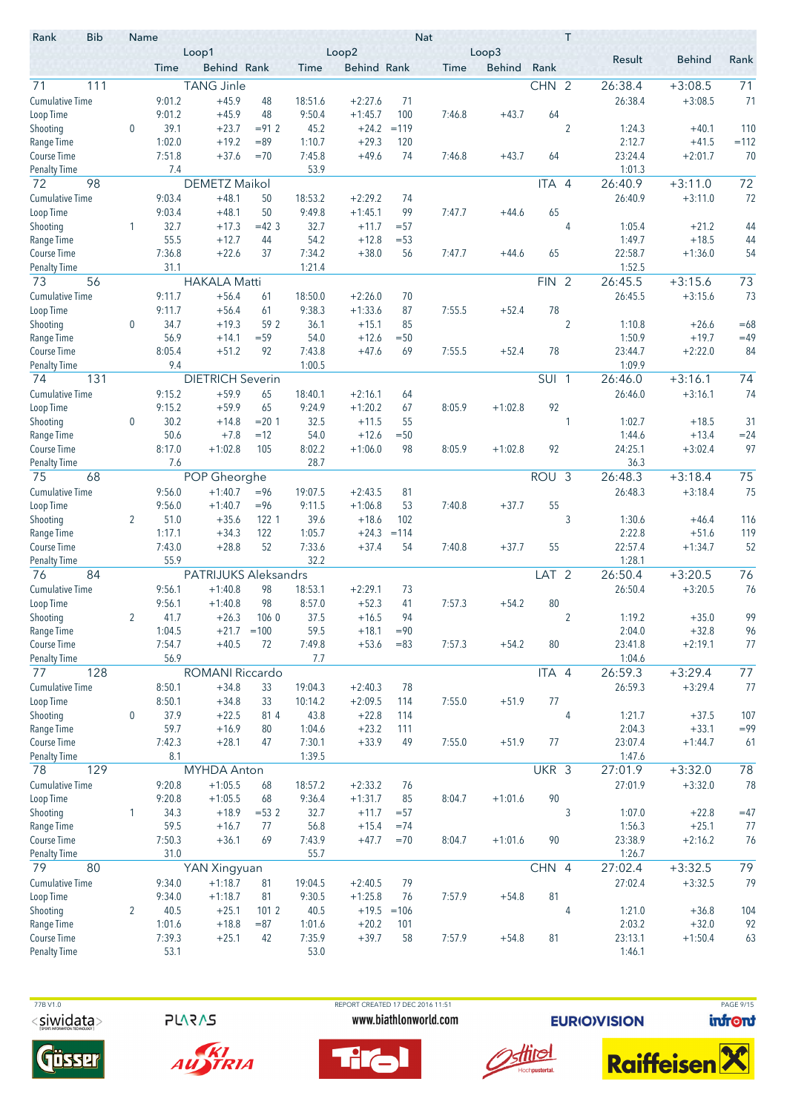| Rank<br>Result<br><b>Behind</b><br>Behind Rank<br><b>Behind Rank</b><br><b>Behind</b><br>Rank<br>Time<br>Time<br><b>Time</b><br>CHN 2<br>111<br><b>TANG Jinle</b><br>26:38.4<br>$+3:08.5$<br>71<br>71<br>9:01.2<br>$+45.9$<br>48<br>18:51.6<br>$+2:27.6$<br>71<br>26:38.4<br>$+3:08.5$<br>$+45.9$<br>9:01.2<br>48<br>9:50.4<br>$+1:45.7$<br>100<br>7:46.8<br>$+43.7$<br>64<br>39.1<br>$+23.7$<br>45.2<br>$+24.2$<br>$\overline{2}$<br>110<br>0<br>$= 91.2$<br>$=119$<br>1:24.3<br>$+40.1$<br>1:02.0<br>$+19.2$<br>1:10.7<br>2:12.7<br>$= 89$<br>$+29.3$<br>120<br>$+41.5$<br>$=112$<br>7:51.8<br>$+37.6$<br>7:45.8<br>$+49.6$<br>$+43.7$<br>23:24.4<br>$+2:01.7$<br>70<br>$=70$<br>74<br>7:46.8<br>64<br>53.9<br>1:01.3<br>7.4<br>72<br>72<br>98<br>ITA 4<br>26:40.9<br>$+3:11.0$<br><b>DEMETZ Maikol</b><br>9:03.4<br>$+48.1$<br>72<br>50<br>18:53.2<br>$+2:29.2$<br>26:40.9<br>$+3:11.0$<br>74<br>50<br>9:49.8<br>65<br>Loop Time<br>9:03.4<br>$+48.1$<br>$+1:45.1$<br>99<br>7:47.7<br>$+44.6$<br>32.7<br>32.7<br>1:05.4<br>Shooting<br>1<br>$+17.3$<br>$=42.3$<br>$+11.7$<br>$= 57$<br>4<br>44<br>$+21.2$<br>1:49.7<br>$+18.5$<br>55.5<br>$+12.7$<br>44<br>54.2<br>$+12.8$<br>$= 53$<br>44<br>Range Time<br>7:34.2<br>Course Time<br>7:36.8<br>$+22.6$<br>37<br>$+38.0$<br>56<br>7:47.7<br>$+44.6$<br>65<br>22:58.7<br>$+1:36.0$<br>54<br>31.1<br>1:21.4<br>1:52.5<br><b>Penalty Time</b><br>73<br>56<br><b>HAKALA Matti</b><br>$+3:15.6$<br>73<br>FIN <sub>2</sub><br>26:45.5<br><b>Cumulative Time</b><br>26:45.5<br>73<br>9:11.7<br>$+56.4$<br>18:50.0<br>$+2:26.0$<br>$+3:15.6$<br>61<br>70<br>78<br>Loop Time<br>9:11.7<br>$+56.4$<br>61<br>9:38.3<br>$+1:33.6$<br>87<br>7:55.5<br>$+52.4$<br>$\overline{2}$<br>34.7<br>Shooting<br>0<br>$+19.3$<br>59 2<br>36.1<br>$+15.1$<br>1:10.8<br>$=68$<br>85<br>$+26.6$<br>1:50.9<br>$+19.7$<br>Range Time<br>56.9<br>$+14.1$<br>$= 59$<br>54.0<br>$+12.6$<br>$= 50$<br>$=49$<br>8:05.4<br>92<br>7:43.8<br>78<br>23:44.7<br>$+2:22.0$<br>84<br>Course Time<br>$+51.2$<br>$+47.6$<br>69<br>7:55.5<br>$+52.4$<br>9.4<br>1:00.5<br>1:09.9<br><b>Penalty Time</b><br><b>DIETRICH Severin</b><br>74<br>74<br>131<br>SUI <sub>1</sub><br>26:46.0<br>$+3:16.1$<br>$+59.9$<br>74<br>9:15.2<br>65<br>18:40.1<br>$+2:16.1$<br>26:46.0<br>$+3:16.1$<br>64<br>9:15.2<br>$+59.9$<br>65<br>92<br>9:24.9<br>$+1:20.2$<br>8:05.9<br>$+1:02.8$<br>67<br>32.5<br>$\mathbf 0$<br>30.2<br>$+14.8$<br>$= 20.1$<br>$+11.5$<br>55<br>1<br>1:02.7<br>$+18.5$<br>31<br>50.6<br>54.0<br>1:44.6<br>$+7.8$<br>$=12$<br>$+12.6$<br>$= 50$<br>$+13.4$<br>$= 24$<br>8:02.2<br>24:25.1<br>97<br>8:17.0<br>$+1:02.8$<br>105<br>$+1:06.0$<br>98<br>8:05.9<br>92<br>$+3:02.4$<br>$+1:02.8$<br>7.6<br>28.7<br>36.3<br>75<br>POP Gheorghe<br>ROU <sub>3</sub><br>26:48.3<br>75<br>68<br>$+3:18.4$<br>$+1:40.7$<br>75<br><b>Cumulative Time</b><br>9:56.0<br>$= 96$<br>19:07.5<br>$+2:43.5$<br>81<br>26:48.3<br>$+3:18.4$<br>$+1:40.7$<br>55<br>Loop Time<br>9:56.0<br>$= 96$<br>9:11.5<br>$+1:06.8$<br>7:40.8<br>$+37.7$<br>53<br>51.0<br>39.6<br>3<br>1:30.6<br>Shooting<br>2<br>$+35.6$<br>122 1<br>$+18.6$<br>102<br>116<br>$+46.4$<br>2:22.8<br>Range Time<br>1:17.1<br>$+34.3$<br>122<br>1:05.7<br>$+24.3$<br>$+51.6$<br>119<br>$=114$<br>52<br>7:33.6<br>Course Time<br>7:43.0<br>$+28.8$<br>$+37.4$<br>54<br>7:40.8<br>$+37.7$<br>55<br>22:57.4<br>$+1:34.7$<br>52<br>32.2<br>55.9<br>1:28.1<br>Penalty Time<br>$+3:20.5$<br>76<br>84<br>PATRIJUKS Aleksandrs<br>LAT <sub>2</sub><br>26:50.4<br>76<br><b>Cumulative Time</b><br>26:50.4<br>76<br>9:56.1<br>$+1:40.8$<br>98<br>18:53.1<br>$+2:29.1$<br>$+3:20.5$<br>73<br>98<br>8:57.0<br>80<br>9:56.1<br>$+1:40.8$<br>$+52.3$<br>41<br>7:57.3<br>$+54.2$<br>Loop Time<br>99<br>37.5<br>Shooting<br>41.7<br>$+16.5$<br>94<br>2<br>1:19.2<br>$+35.0$<br>2<br>$+26.3$<br>106 <sub>0</sub><br>Range Time<br>59.5<br>$+18.1$<br>2:04.0<br>$+32.8$<br>96<br>1:04.5<br>$+21.7 = 100$<br>$= 90$<br>7:54.7<br>80<br>$+40.5$<br>72<br>7:49.8<br>$+53.6$<br>$= 83$<br>7:57.3<br>$+54.2$<br>23:41.8<br>$+2:19.1$<br>77<br>56.9<br>7.7<br>1:04.6<br>128<br>ROMANI Riccardo<br>77<br>ITA 4<br>26:59.3<br>$+3:29.4$<br>77<br>8:50.1<br>$+34.8$<br>33<br>19:04.3<br>$+2:40.3$<br>26:59.3<br>$+3:29.4$<br>78<br>Loop Time<br>8:50.1<br>77<br>$+34.8$<br>33<br>10:14.2<br>$+2:09.5$<br>114<br>7:55.0<br>$+51.9$<br>37.9<br>$\boldsymbol{0}$<br>$+22.5$<br>814<br>43.8<br>$+22.8$<br>4<br>1:21.7<br>$+37.5$<br>107<br>114<br>59.7<br>2:04.3<br>$+16.9$<br>1:04.6<br>$+23.2$<br>$+33.1$<br>$= 99$<br>80<br>111<br>23:07.4<br>Course Time<br>7:42.3<br>$+28.1$<br>7:30.1<br>$+33.9$<br>7:55.0<br>77<br>47<br>49<br>$+51.9$<br>$+1:44.7$<br>61<br>8.1<br>1:39.5<br>1:47.6<br><b>Penalty Time</b><br>78<br>129<br>UKR 3<br>27:01.9<br>78<br><b>MYHDA Anton</b><br>$+3:32.0$<br><b>Cumulative Time</b><br>9:20.8<br>$+1:05.5$<br>18:57.2<br>$+2:33.2$<br>27:01.9<br>$+3:32.0$<br>78<br>68<br>76<br>90<br>Loop Time<br>9:20.8<br>$+1:05.5$<br>9:36.4<br>$+1:31.7$<br>8:04.7<br>$+1:01.6$<br>68<br>85<br>3<br>Shooting<br>34.3<br>$+18.9$<br>$= 532$<br>32.7<br>$+11.7$<br>1:07.0<br>$+22.8$<br>$=47$<br>1<br>$= 57$<br>Range Time<br>59.5<br>$+16.7$<br>77<br>56.8<br>$+15.4$<br>1:56.3<br>$+25.1$<br>77<br>$= 74$<br>Course Time<br>7:50.3<br>$+36.1$<br>69<br>7:43.9<br>$+47.7$<br>8:04.7<br>90<br>23:38.9<br>$+2:16.2$<br>76<br>$= 70$<br>$+1:01.6$<br>31.0<br><b>Penalty Time</b><br>55.7<br>1:26.7<br>79<br>80<br>CHN 4<br>$+3:32.5$<br>79<br>YAN Xingyuan<br>27:02.4<br>$+1:18.7$<br>27:02.4<br>79<br>9:34.0<br>19:04.5<br>$+2:40.5$<br>79<br>$+3:32.5$<br>81<br>9:30.5<br>81<br>Loop Time<br>9:34.0<br>$+1:18.7$<br>81<br>$+1:25.8$<br>7:57.9<br>$+54.8$<br>76<br>40.5<br>$+25.1$<br>2<br>40.5<br>$+19.5 = 106$<br>4<br>1:21.0<br>$+36.8$<br>104<br>1012<br>2:03.2<br>92<br>1:01.6<br>$+18.8$<br>$+20.2$<br>$+32.0$<br>$= 87$<br>1:01.6<br>101<br>7:39.3<br>$+25.1$<br>42<br>7:35.9<br>$+39.7$<br>58<br>7:57.9<br>$+54.8$<br>81<br>23:13.1<br>$+1:50.4$<br>63<br>53.1<br>53.0<br>1:46.1 | <b>Bib</b><br>Rank     | Name | Loop1 |  | Loop2 | <b>Nat</b> | Loop3 | T |  |  |
|-----------------------------------------------------------------------------------------------------------------------------------------------------------------------------------------------------------------------------------------------------------------------------------------------------------------------------------------------------------------------------------------------------------------------------------------------------------------------------------------------------------------------------------------------------------------------------------------------------------------------------------------------------------------------------------------------------------------------------------------------------------------------------------------------------------------------------------------------------------------------------------------------------------------------------------------------------------------------------------------------------------------------------------------------------------------------------------------------------------------------------------------------------------------------------------------------------------------------------------------------------------------------------------------------------------------------------------------------------------------------------------------------------------------------------------------------------------------------------------------------------------------------------------------------------------------------------------------------------------------------------------------------------------------------------------------------------------------------------------------------------------------------------------------------------------------------------------------------------------------------------------------------------------------------------------------------------------------------------------------------------------------------------------------------------------------------------------------------------------------------------------------------------------------------------------------------------------------------------------------------------------------------------------------------------------------------------------------------------------------------------------------------------------------------------------------------------------------------------------------------------------------------------------------------------------------------------------------------------------------------------------------------------------------------------------------------------------------------------------------------------------------------------------------------------------------------------------------------------------------------------------------------------------------------------------------------------------------------------------------------------------------------------------------------------------------------------------------------------------------------------------------------------------------------------------------------------------------------------------------------------------------------------------------------------------------------------------------------------------------------------------------------------------------------------------------------------------------------------------------------------------------------------------------------------------------------------------------------------------------------------------------------------------------------------------------------------------------------------------------------------------------------------------------------------------------------------------------------------------------------------------------------------------------------------------------------------------------------------------------------------------------------------------------------------------------------------------------------------------------------------------------------------------------------------------------------------------------------------------------------------------------------------------------------------------------------------------------------------------------------------------------------------------------------------------------------------------------------------------------------------------------------------------------------------------------------------------------------------------------------------------------------------------------------------------------------------------------------------------------------------------------------------------------------------------------------------------------------------------------------------------------------------------------------------------------------------------------------------------------------------------------------------------------------------------------------------------------------------------------------------------------------------------------------------------------------------------------------------------------------------------------------------------------------------------------------------------------------------------------------------------------------------------------------------------------------------------------------------------------------------------------------------------------------------------------------------------------------------------------------------------------------------------------------------------------------------------------------------------------------------------------------------------------------------------------------------------------------------------------------------------------------------------------------------------------------------------------------------------------------------------------------------------------|------------------------|------|-------|--|-------|------------|-------|---|--|--|
|                                                                                                                                                                                                                                                                                                                                                                                                                                                                                                                                                                                                                                                                                                                                                                                                                                                                                                                                                                                                                                                                                                                                                                                                                                                                                                                                                                                                                                                                                                                                                                                                                                                                                                                                                                                                                                                                                                                                                                                                                                                                                                                                                                                                                                                                                                                                                                                                                                                                                                                                                                                                                                                                                                                                                                                                                                                                                                                                                                                                                                                                                                                                                                                                                                                                                                                                                                                                                                                                                                                                                                                                                                                                                                                                                                                                                                                                                                                                                                                                                                                                                                                                                                                                                                                                                                                                                                                                                                                                                                                                                                                                                                                                                                                                                                                                                                                                                                                                                                                                                                                                                                                                                                                                                                                                                                                                                                                                                                                                                                                                                                                                                                                                                                                                                                                                                                                                                                                                                                                                                                         |                        |      |       |  |       |            |       |   |  |  |
|                                                                                                                                                                                                                                                                                                                                                                                                                                                                                                                                                                                                                                                                                                                                                                                                                                                                                                                                                                                                                                                                                                                                                                                                                                                                                                                                                                                                                                                                                                                                                                                                                                                                                                                                                                                                                                                                                                                                                                                                                                                                                                                                                                                                                                                                                                                                                                                                                                                                                                                                                                                                                                                                                                                                                                                                                                                                                                                                                                                                                                                                                                                                                                                                                                                                                                                                                                                                                                                                                                                                                                                                                                                                                                                                                                                                                                                                                                                                                                                                                                                                                                                                                                                                                                                                                                                                                                                                                                                                                                                                                                                                                                                                                                                                                                                                                                                                                                                                                                                                                                                                                                                                                                                                                                                                                                                                                                                                                                                                                                                                                                                                                                                                                                                                                                                                                                                                                                                                                                                                                                         | 71                     |      |       |  |       |            |       |   |  |  |
|                                                                                                                                                                                                                                                                                                                                                                                                                                                                                                                                                                                                                                                                                                                                                                                                                                                                                                                                                                                                                                                                                                                                                                                                                                                                                                                                                                                                                                                                                                                                                                                                                                                                                                                                                                                                                                                                                                                                                                                                                                                                                                                                                                                                                                                                                                                                                                                                                                                                                                                                                                                                                                                                                                                                                                                                                                                                                                                                                                                                                                                                                                                                                                                                                                                                                                                                                                                                                                                                                                                                                                                                                                                                                                                                                                                                                                                                                                                                                                                                                                                                                                                                                                                                                                                                                                                                                                                                                                                                                                                                                                                                                                                                                                                                                                                                                                                                                                                                                                                                                                                                                                                                                                                                                                                                                                                                                                                                                                                                                                                                                                                                                                                                                                                                                                                                                                                                                                                                                                                                                                         | <b>Cumulative Time</b> |      |       |  |       |            |       |   |  |  |
|                                                                                                                                                                                                                                                                                                                                                                                                                                                                                                                                                                                                                                                                                                                                                                                                                                                                                                                                                                                                                                                                                                                                                                                                                                                                                                                                                                                                                                                                                                                                                                                                                                                                                                                                                                                                                                                                                                                                                                                                                                                                                                                                                                                                                                                                                                                                                                                                                                                                                                                                                                                                                                                                                                                                                                                                                                                                                                                                                                                                                                                                                                                                                                                                                                                                                                                                                                                                                                                                                                                                                                                                                                                                                                                                                                                                                                                                                                                                                                                                                                                                                                                                                                                                                                                                                                                                                                                                                                                                                                                                                                                                                                                                                                                                                                                                                                                                                                                                                                                                                                                                                                                                                                                                                                                                                                                                                                                                                                                                                                                                                                                                                                                                                                                                                                                                                                                                                                                                                                                                                                         | Loop Time              |      |       |  |       |            |       |   |  |  |
|                                                                                                                                                                                                                                                                                                                                                                                                                                                                                                                                                                                                                                                                                                                                                                                                                                                                                                                                                                                                                                                                                                                                                                                                                                                                                                                                                                                                                                                                                                                                                                                                                                                                                                                                                                                                                                                                                                                                                                                                                                                                                                                                                                                                                                                                                                                                                                                                                                                                                                                                                                                                                                                                                                                                                                                                                                                                                                                                                                                                                                                                                                                                                                                                                                                                                                                                                                                                                                                                                                                                                                                                                                                                                                                                                                                                                                                                                                                                                                                                                                                                                                                                                                                                                                                                                                                                                                                                                                                                                                                                                                                                                                                                                                                                                                                                                                                                                                                                                                                                                                                                                                                                                                                                                                                                                                                                                                                                                                                                                                                                                                                                                                                                                                                                                                                                                                                                                                                                                                                                                                         | Shooting               |      |       |  |       |            |       |   |  |  |
|                                                                                                                                                                                                                                                                                                                                                                                                                                                                                                                                                                                                                                                                                                                                                                                                                                                                                                                                                                                                                                                                                                                                                                                                                                                                                                                                                                                                                                                                                                                                                                                                                                                                                                                                                                                                                                                                                                                                                                                                                                                                                                                                                                                                                                                                                                                                                                                                                                                                                                                                                                                                                                                                                                                                                                                                                                                                                                                                                                                                                                                                                                                                                                                                                                                                                                                                                                                                                                                                                                                                                                                                                                                                                                                                                                                                                                                                                                                                                                                                                                                                                                                                                                                                                                                                                                                                                                                                                                                                                                                                                                                                                                                                                                                                                                                                                                                                                                                                                                                                                                                                                                                                                                                                                                                                                                                                                                                                                                                                                                                                                                                                                                                                                                                                                                                                                                                                                                                                                                                                                                         | Range Time             |      |       |  |       |            |       |   |  |  |
|                                                                                                                                                                                                                                                                                                                                                                                                                                                                                                                                                                                                                                                                                                                                                                                                                                                                                                                                                                                                                                                                                                                                                                                                                                                                                                                                                                                                                                                                                                                                                                                                                                                                                                                                                                                                                                                                                                                                                                                                                                                                                                                                                                                                                                                                                                                                                                                                                                                                                                                                                                                                                                                                                                                                                                                                                                                                                                                                                                                                                                                                                                                                                                                                                                                                                                                                                                                                                                                                                                                                                                                                                                                                                                                                                                                                                                                                                                                                                                                                                                                                                                                                                                                                                                                                                                                                                                                                                                                                                                                                                                                                                                                                                                                                                                                                                                                                                                                                                                                                                                                                                                                                                                                                                                                                                                                                                                                                                                                                                                                                                                                                                                                                                                                                                                                                                                                                                                                                                                                                                                         | Course Time            |      |       |  |       |            |       |   |  |  |
|                                                                                                                                                                                                                                                                                                                                                                                                                                                                                                                                                                                                                                                                                                                                                                                                                                                                                                                                                                                                                                                                                                                                                                                                                                                                                                                                                                                                                                                                                                                                                                                                                                                                                                                                                                                                                                                                                                                                                                                                                                                                                                                                                                                                                                                                                                                                                                                                                                                                                                                                                                                                                                                                                                                                                                                                                                                                                                                                                                                                                                                                                                                                                                                                                                                                                                                                                                                                                                                                                                                                                                                                                                                                                                                                                                                                                                                                                                                                                                                                                                                                                                                                                                                                                                                                                                                                                                                                                                                                                                                                                                                                                                                                                                                                                                                                                                                                                                                                                                                                                                                                                                                                                                                                                                                                                                                                                                                                                                                                                                                                                                                                                                                                                                                                                                                                                                                                                                                                                                                                                                         | <b>Penalty Time</b>    |      |       |  |       |            |       |   |  |  |
|                                                                                                                                                                                                                                                                                                                                                                                                                                                                                                                                                                                                                                                                                                                                                                                                                                                                                                                                                                                                                                                                                                                                                                                                                                                                                                                                                                                                                                                                                                                                                                                                                                                                                                                                                                                                                                                                                                                                                                                                                                                                                                                                                                                                                                                                                                                                                                                                                                                                                                                                                                                                                                                                                                                                                                                                                                                                                                                                                                                                                                                                                                                                                                                                                                                                                                                                                                                                                                                                                                                                                                                                                                                                                                                                                                                                                                                                                                                                                                                                                                                                                                                                                                                                                                                                                                                                                                                                                                                                                                                                                                                                                                                                                                                                                                                                                                                                                                                                                                                                                                                                                                                                                                                                                                                                                                                                                                                                                                                                                                                                                                                                                                                                                                                                                                                                                                                                                                                                                                                                                                         |                        |      |       |  |       |            |       |   |  |  |
|                                                                                                                                                                                                                                                                                                                                                                                                                                                                                                                                                                                                                                                                                                                                                                                                                                                                                                                                                                                                                                                                                                                                                                                                                                                                                                                                                                                                                                                                                                                                                                                                                                                                                                                                                                                                                                                                                                                                                                                                                                                                                                                                                                                                                                                                                                                                                                                                                                                                                                                                                                                                                                                                                                                                                                                                                                                                                                                                                                                                                                                                                                                                                                                                                                                                                                                                                                                                                                                                                                                                                                                                                                                                                                                                                                                                                                                                                                                                                                                                                                                                                                                                                                                                                                                                                                                                                                                                                                                                                                                                                                                                                                                                                                                                                                                                                                                                                                                                                                                                                                                                                                                                                                                                                                                                                                                                                                                                                                                                                                                                                                                                                                                                                                                                                                                                                                                                                                                                                                                                                                         | <b>Cumulative Time</b> |      |       |  |       |            |       |   |  |  |
|                                                                                                                                                                                                                                                                                                                                                                                                                                                                                                                                                                                                                                                                                                                                                                                                                                                                                                                                                                                                                                                                                                                                                                                                                                                                                                                                                                                                                                                                                                                                                                                                                                                                                                                                                                                                                                                                                                                                                                                                                                                                                                                                                                                                                                                                                                                                                                                                                                                                                                                                                                                                                                                                                                                                                                                                                                                                                                                                                                                                                                                                                                                                                                                                                                                                                                                                                                                                                                                                                                                                                                                                                                                                                                                                                                                                                                                                                                                                                                                                                                                                                                                                                                                                                                                                                                                                                                                                                                                                                                                                                                                                                                                                                                                                                                                                                                                                                                                                                                                                                                                                                                                                                                                                                                                                                                                                                                                                                                                                                                                                                                                                                                                                                                                                                                                                                                                                                                                                                                                                                                         |                        |      |       |  |       |            |       |   |  |  |
|                                                                                                                                                                                                                                                                                                                                                                                                                                                                                                                                                                                                                                                                                                                                                                                                                                                                                                                                                                                                                                                                                                                                                                                                                                                                                                                                                                                                                                                                                                                                                                                                                                                                                                                                                                                                                                                                                                                                                                                                                                                                                                                                                                                                                                                                                                                                                                                                                                                                                                                                                                                                                                                                                                                                                                                                                                                                                                                                                                                                                                                                                                                                                                                                                                                                                                                                                                                                                                                                                                                                                                                                                                                                                                                                                                                                                                                                                                                                                                                                                                                                                                                                                                                                                                                                                                                                                                                                                                                                                                                                                                                                                                                                                                                                                                                                                                                                                                                                                                                                                                                                                                                                                                                                                                                                                                                                                                                                                                                                                                                                                                                                                                                                                                                                                                                                                                                                                                                                                                                                                                         |                        |      |       |  |       |            |       |   |  |  |
|                                                                                                                                                                                                                                                                                                                                                                                                                                                                                                                                                                                                                                                                                                                                                                                                                                                                                                                                                                                                                                                                                                                                                                                                                                                                                                                                                                                                                                                                                                                                                                                                                                                                                                                                                                                                                                                                                                                                                                                                                                                                                                                                                                                                                                                                                                                                                                                                                                                                                                                                                                                                                                                                                                                                                                                                                                                                                                                                                                                                                                                                                                                                                                                                                                                                                                                                                                                                                                                                                                                                                                                                                                                                                                                                                                                                                                                                                                                                                                                                                                                                                                                                                                                                                                                                                                                                                                                                                                                                                                                                                                                                                                                                                                                                                                                                                                                                                                                                                                                                                                                                                                                                                                                                                                                                                                                                                                                                                                                                                                                                                                                                                                                                                                                                                                                                                                                                                                                                                                                                                                         |                        |      |       |  |       |            |       |   |  |  |
|                                                                                                                                                                                                                                                                                                                                                                                                                                                                                                                                                                                                                                                                                                                                                                                                                                                                                                                                                                                                                                                                                                                                                                                                                                                                                                                                                                                                                                                                                                                                                                                                                                                                                                                                                                                                                                                                                                                                                                                                                                                                                                                                                                                                                                                                                                                                                                                                                                                                                                                                                                                                                                                                                                                                                                                                                                                                                                                                                                                                                                                                                                                                                                                                                                                                                                                                                                                                                                                                                                                                                                                                                                                                                                                                                                                                                                                                                                                                                                                                                                                                                                                                                                                                                                                                                                                                                                                                                                                                                                                                                                                                                                                                                                                                                                                                                                                                                                                                                                                                                                                                                                                                                                                                                                                                                                                                                                                                                                                                                                                                                                                                                                                                                                                                                                                                                                                                                                                                                                                                                                         |                        |      |       |  |       |            |       |   |  |  |
|                                                                                                                                                                                                                                                                                                                                                                                                                                                                                                                                                                                                                                                                                                                                                                                                                                                                                                                                                                                                                                                                                                                                                                                                                                                                                                                                                                                                                                                                                                                                                                                                                                                                                                                                                                                                                                                                                                                                                                                                                                                                                                                                                                                                                                                                                                                                                                                                                                                                                                                                                                                                                                                                                                                                                                                                                                                                                                                                                                                                                                                                                                                                                                                                                                                                                                                                                                                                                                                                                                                                                                                                                                                                                                                                                                                                                                                                                                                                                                                                                                                                                                                                                                                                                                                                                                                                                                                                                                                                                                                                                                                                                                                                                                                                                                                                                                                                                                                                                                                                                                                                                                                                                                                                                                                                                                                                                                                                                                                                                                                                                                                                                                                                                                                                                                                                                                                                                                                                                                                                                                         |                        |      |       |  |       |            |       |   |  |  |
|                                                                                                                                                                                                                                                                                                                                                                                                                                                                                                                                                                                                                                                                                                                                                                                                                                                                                                                                                                                                                                                                                                                                                                                                                                                                                                                                                                                                                                                                                                                                                                                                                                                                                                                                                                                                                                                                                                                                                                                                                                                                                                                                                                                                                                                                                                                                                                                                                                                                                                                                                                                                                                                                                                                                                                                                                                                                                                                                                                                                                                                                                                                                                                                                                                                                                                                                                                                                                                                                                                                                                                                                                                                                                                                                                                                                                                                                                                                                                                                                                                                                                                                                                                                                                                                                                                                                                                                                                                                                                                                                                                                                                                                                                                                                                                                                                                                                                                                                                                                                                                                                                                                                                                                                                                                                                                                                                                                                                                                                                                                                                                                                                                                                                                                                                                                                                                                                                                                                                                                                                                         |                        |      |       |  |       |            |       |   |  |  |
|                                                                                                                                                                                                                                                                                                                                                                                                                                                                                                                                                                                                                                                                                                                                                                                                                                                                                                                                                                                                                                                                                                                                                                                                                                                                                                                                                                                                                                                                                                                                                                                                                                                                                                                                                                                                                                                                                                                                                                                                                                                                                                                                                                                                                                                                                                                                                                                                                                                                                                                                                                                                                                                                                                                                                                                                                                                                                                                                                                                                                                                                                                                                                                                                                                                                                                                                                                                                                                                                                                                                                                                                                                                                                                                                                                                                                                                                                                                                                                                                                                                                                                                                                                                                                                                                                                                                                                                                                                                                                                                                                                                                                                                                                                                                                                                                                                                                                                                                                                                                                                                                                                                                                                                                                                                                                                                                                                                                                                                                                                                                                                                                                                                                                                                                                                                                                                                                                                                                                                                                                                         |                        |      |       |  |       |            |       |   |  |  |
|                                                                                                                                                                                                                                                                                                                                                                                                                                                                                                                                                                                                                                                                                                                                                                                                                                                                                                                                                                                                                                                                                                                                                                                                                                                                                                                                                                                                                                                                                                                                                                                                                                                                                                                                                                                                                                                                                                                                                                                                                                                                                                                                                                                                                                                                                                                                                                                                                                                                                                                                                                                                                                                                                                                                                                                                                                                                                                                                                                                                                                                                                                                                                                                                                                                                                                                                                                                                                                                                                                                                                                                                                                                                                                                                                                                                                                                                                                                                                                                                                                                                                                                                                                                                                                                                                                                                                                                                                                                                                                                                                                                                                                                                                                                                                                                                                                                                                                                                                                                                                                                                                                                                                                                                                                                                                                                                                                                                                                                                                                                                                                                                                                                                                                                                                                                                                                                                                                                                                                                                                                         |                        |      |       |  |       |            |       |   |  |  |
|                                                                                                                                                                                                                                                                                                                                                                                                                                                                                                                                                                                                                                                                                                                                                                                                                                                                                                                                                                                                                                                                                                                                                                                                                                                                                                                                                                                                                                                                                                                                                                                                                                                                                                                                                                                                                                                                                                                                                                                                                                                                                                                                                                                                                                                                                                                                                                                                                                                                                                                                                                                                                                                                                                                                                                                                                                                                                                                                                                                                                                                                                                                                                                                                                                                                                                                                                                                                                                                                                                                                                                                                                                                                                                                                                                                                                                                                                                                                                                                                                                                                                                                                                                                                                                                                                                                                                                                                                                                                                                                                                                                                                                                                                                                                                                                                                                                                                                                                                                                                                                                                                                                                                                                                                                                                                                                                                                                                                                                                                                                                                                                                                                                                                                                                                                                                                                                                                                                                                                                                                                         |                        |      |       |  |       |            |       |   |  |  |
|                                                                                                                                                                                                                                                                                                                                                                                                                                                                                                                                                                                                                                                                                                                                                                                                                                                                                                                                                                                                                                                                                                                                                                                                                                                                                                                                                                                                                                                                                                                                                                                                                                                                                                                                                                                                                                                                                                                                                                                                                                                                                                                                                                                                                                                                                                                                                                                                                                                                                                                                                                                                                                                                                                                                                                                                                                                                                                                                                                                                                                                                                                                                                                                                                                                                                                                                                                                                                                                                                                                                                                                                                                                                                                                                                                                                                                                                                                                                                                                                                                                                                                                                                                                                                                                                                                                                                                                                                                                                                                                                                                                                                                                                                                                                                                                                                                                                                                                                                                                                                                                                                                                                                                                                                                                                                                                                                                                                                                                                                                                                                                                                                                                                                                                                                                                                                                                                                                                                                                                                                                         |                        |      |       |  |       |            |       |   |  |  |
|                                                                                                                                                                                                                                                                                                                                                                                                                                                                                                                                                                                                                                                                                                                                                                                                                                                                                                                                                                                                                                                                                                                                                                                                                                                                                                                                                                                                                                                                                                                                                                                                                                                                                                                                                                                                                                                                                                                                                                                                                                                                                                                                                                                                                                                                                                                                                                                                                                                                                                                                                                                                                                                                                                                                                                                                                                                                                                                                                                                                                                                                                                                                                                                                                                                                                                                                                                                                                                                                                                                                                                                                                                                                                                                                                                                                                                                                                                                                                                                                                                                                                                                                                                                                                                                                                                                                                                                                                                                                                                                                                                                                                                                                                                                                                                                                                                                                                                                                                                                                                                                                                                                                                                                                                                                                                                                                                                                                                                                                                                                                                                                                                                                                                                                                                                                                                                                                                                                                                                                                                                         |                        |      |       |  |       |            |       |   |  |  |
|                                                                                                                                                                                                                                                                                                                                                                                                                                                                                                                                                                                                                                                                                                                                                                                                                                                                                                                                                                                                                                                                                                                                                                                                                                                                                                                                                                                                                                                                                                                                                                                                                                                                                                                                                                                                                                                                                                                                                                                                                                                                                                                                                                                                                                                                                                                                                                                                                                                                                                                                                                                                                                                                                                                                                                                                                                                                                                                                                                                                                                                                                                                                                                                                                                                                                                                                                                                                                                                                                                                                                                                                                                                                                                                                                                                                                                                                                                                                                                                                                                                                                                                                                                                                                                                                                                                                                                                                                                                                                                                                                                                                                                                                                                                                                                                                                                                                                                                                                                                                                                                                                                                                                                                                                                                                                                                                                                                                                                                                                                                                                                                                                                                                                                                                                                                                                                                                                                                                                                                                                                         |                        |      |       |  |       |            |       |   |  |  |
|                                                                                                                                                                                                                                                                                                                                                                                                                                                                                                                                                                                                                                                                                                                                                                                                                                                                                                                                                                                                                                                                                                                                                                                                                                                                                                                                                                                                                                                                                                                                                                                                                                                                                                                                                                                                                                                                                                                                                                                                                                                                                                                                                                                                                                                                                                                                                                                                                                                                                                                                                                                                                                                                                                                                                                                                                                                                                                                                                                                                                                                                                                                                                                                                                                                                                                                                                                                                                                                                                                                                                                                                                                                                                                                                                                                                                                                                                                                                                                                                                                                                                                                                                                                                                                                                                                                                                                                                                                                                                                                                                                                                                                                                                                                                                                                                                                                                                                                                                                                                                                                                                                                                                                                                                                                                                                                                                                                                                                                                                                                                                                                                                                                                                                                                                                                                                                                                                                                                                                                                                                         | <b>Cumulative Time</b> |      |       |  |       |            |       |   |  |  |
|                                                                                                                                                                                                                                                                                                                                                                                                                                                                                                                                                                                                                                                                                                                                                                                                                                                                                                                                                                                                                                                                                                                                                                                                                                                                                                                                                                                                                                                                                                                                                                                                                                                                                                                                                                                                                                                                                                                                                                                                                                                                                                                                                                                                                                                                                                                                                                                                                                                                                                                                                                                                                                                                                                                                                                                                                                                                                                                                                                                                                                                                                                                                                                                                                                                                                                                                                                                                                                                                                                                                                                                                                                                                                                                                                                                                                                                                                                                                                                                                                                                                                                                                                                                                                                                                                                                                                                                                                                                                                                                                                                                                                                                                                                                                                                                                                                                                                                                                                                                                                                                                                                                                                                                                                                                                                                                                                                                                                                                                                                                                                                                                                                                                                                                                                                                                                                                                                                                                                                                                                                         | Loop Time              |      |       |  |       |            |       |   |  |  |
|                                                                                                                                                                                                                                                                                                                                                                                                                                                                                                                                                                                                                                                                                                                                                                                                                                                                                                                                                                                                                                                                                                                                                                                                                                                                                                                                                                                                                                                                                                                                                                                                                                                                                                                                                                                                                                                                                                                                                                                                                                                                                                                                                                                                                                                                                                                                                                                                                                                                                                                                                                                                                                                                                                                                                                                                                                                                                                                                                                                                                                                                                                                                                                                                                                                                                                                                                                                                                                                                                                                                                                                                                                                                                                                                                                                                                                                                                                                                                                                                                                                                                                                                                                                                                                                                                                                                                                                                                                                                                                                                                                                                                                                                                                                                                                                                                                                                                                                                                                                                                                                                                                                                                                                                                                                                                                                                                                                                                                                                                                                                                                                                                                                                                                                                                                                                                                                                                                                                                                                                                                         | Shooting               |      |       |  |       |            |       |   |  |  |
|                                                                                                                                                                                                                                                                                                                                                                                                                                                                                                                                                                                                                                                                                                                                                                                                                                                                                                                                                                                                                                                                                                                                                                                                                                                                                                                                                                                                                                                                                                                                                                                                                                                                                                                                                                                                                                                                                                                                                                                                                                                                                                                                                                                                                                                                                                                                                                                                                                                                                                                                                                                                                                                                                                                                                                                                                                                                                                                                                                                                                                                                                                                                                                                                                                                                                                                                                                                                                                                                                                                                                                                                                                                                                                                                                                                                                                                                                                                                                                                                                                                                                                                                                                                                                                                                                                                                                                                                                                                                                                                                                                                                                                                                                                                                                                                                                                                                                                                                                                                                                                                                                                                                                                                                                                                                                                                                                                                                                                                                                                                                                                                                                                                                                                                                                                                                                                                                                                                                                                                                                                         | Range Time             |      |       |  |       |            |       |   |  |  |
|                                                                                                                                                                                                                                                                                                                                                                                                                                                                                                                                                                                                                                                                                                                                                                                                                                                                                                                                                                                                                                                                                                                                                                                                                                                                                                                                                                                                                                                                                                                                                                                                                                                                                                                                                                                                                                                                                                                                                                                                                                                                                                                                                                                                                                                                                                                                                                                                                                                                                                                                                                                                                                                                                                                                                                                                                                                                                                                                                                                                                                                                                                                                                                                                                                                                                                                                                                                                                                                                                                                                                                                                                                                                                                                                                                                                                                                                                                                                                                                                                                                                                                                                                                                                                                                                                                                                                                                                                                                                                                                                                                                                                                                                                                                                                                                                                                                                                                                                                                                                                                                                                                                                                                                                                                                                                                                                                                                                                                                                                                                                                                                                                                                                                                                                                                                                                                                                                                                                                                                                                                         | Course Time            |      |       |  |       |            |       |   |  |  |
|                                                                                                                                                                                                                                                                                                                                                                                                                                                                                                                                                                                                                                                                                                                                                                                                                                                                                                                                                                                                                                                                                                                                                                                                                                                                                                                                                                                                                                                                                                                                                                                                                                                                                                                                                                                                                                                                                                                                                                                                                                                                                                                                                                                                                                                                                                                                                                                                                                                                                                                                                                                                                                                                                                                                                                                                                                                                                                                                                                                                                                                                                                                                                                                                                                                                                                                                                                                                                                                                                                                                                                                                                                                                                                                                                                                                                                                                                                                                                                                                                                                                                                                                                                                                                                                                                                                                                                                                                                                                                                                                                                                                                                                                                                                                                                                                                                                                                                                                                                                                                                                                                                                                                                                                                                                                                                                                                                                                                                                                                                                                                                                                                                                                                                                                                                                                                                                                                                                                                                                                                                         | <b>Penalty Time</b>    |      |       |  |       |            |       |   |  |  |
|                                                                                                                                                                                                                                                                                                                                                                                                                                                                                                                                                                                                                                                                                                                                                                                                                                                                                                                                                                                                                                                                                                                                                                                                                                                                                                                                                                                                                                                                                                                                                                                                                                                                                                                                                                                                                                                                                                                                                                                                                                                                                                                                                                                                                                                                                                                                                                                                                                                                                                                                                                                                                                                                                                                                                                                                                                                                                                                                                                                                                                                                                                                                                                                                                                                                                                                                                                                                                                                                                                                                                                                                                                                                                                                                                                                                                                                                                                                                                                                                                                                                                                                                                                                                                                                                                                                                                                                                                                                                                                                                                                                                                                                                                                                                                                                                                                                                                                                                                                                                                                                                                                                                                                                                                                                                                                                                                                                                                                                                                                                                                                                                                                                                                                                                                                                                                                                                                                                                                                                                                                         |                        |      |       |  |       |            |       |   |  |  |
|                                                                                                                                                                                                                                                                                                                                                                                                                                                                                                                                                                                                                                                                                                                                                                                                                                                                                                                                                                                                                                                                                                                                                                                                                                                                                                                                                                                                                                                                                                                                                                                                                                                                                                                                                                                                                                                                                                                                                                                                                                                                                                                                                                                                                                                                                                                                                                                                                                                                                                                                                                                                                                                                                                                                                                                                                                                                                                                                                                                                                                                                                                                                                                                                                                                                                                                                                                                                                                                                                                                                                                                                                                                                                                                                                                                                                                                                                                                                                                                                                                                                                                                                                                                                                                                                                                                                                                                                                                                                                                                                                                                                                                                                                                                                                                                                                                                                                                                                                                                                                                                                                                                                                                                                                                                                                                                                                                                                                                                                                                                                                                                                                                                                                                                                                                                                                                                                                                                                                                                                                                         |                        |      |       |  |       |            |       |   |  |  |
|                                                                                                                                                                                                                                                                                                                                                                                                                                                                                                                                                                                                                                                                                                                                                                                                                                                                                                                                                                                                                                                                                                                                                                                                                                                                                                                                                                                                                                                                                                                                                                                                                                                                                                                                                                                                                                                                                                                                                                                                                                                                                                                                                                                                                                                                                                                                                                                                                                                                                                                                                                                                                                                                                                                                                                                                                                                                                                                                                                                                                                                                                                                                                                                                                                                                                                                                                                                                                                                                                                                                                                                                                                                                                                                                                                                                                                                                                                                                                                                                                                                                                                                                                                                                                                                                                                                                                                                                                                                                                                                                                                                                                                                                                                                                                                                                                                                                                                                                                                                                                                                                                                                                                                                                                                                                                                                                                                                                                                                                                                                                                                                                                                                                                                                                                                                                                                                                                                                                                                                                                                         |                        |      |       |  |       |            |       |   |  |  |
|                                                                                                                                                                                                                                                                                                                                                                                                                                                                                                                                                                                                                                                                                                                                                                                                                                                                                                                                                                                                                                                                                                                                                                                                                                                                                                                                                                                                                                                                                                                                                                                                                                                                                                                                                                                                                                                                                                                                                                                                                                                                                                                                                                                                                                                                                                                                                                                                                                                                                                                                                                                                                                                                                                                                                                                                                                                                                                                                                                                                                                                                                                                                                                                                                                                                                                                                                                                                                                                                                                                                                                                                                                                                                                                                                                                                                                                                                                                                                                                                                                                                                                                                                                                                                                                                                                                                                                                                                                                                                                                                                                                                                                                                                                                                                                                                                                                                                                                                                                                                                                                                                                                                                                                                                                                                                                                                                                                                                                                                                                                                                                                                                                                                                                                                                                                                                                                                                                                                                                                                                                         |                        |      |       |  |       |            |       |   |  |  |
|                                                                                                                                                                                                                                                                                                                                                                                                                                                                                                                                                                                                                                                                                                                                                                                                                                                                                                                                                                                                                                                                                                                                                                                                                                                                                                                                                                                                                                                                                                                                                                                                                                                                                                                                                                                                                                                                                                                                                                                                                                                                                                                                                                                                                                                                                                                                                                                                                                                                                                                                                                                                                                                                                                                                                                                                                                                                                                                                                                                                                                                                                                                                                                                                                                                                                                                                                                                                                                                                                                                                                                                                                                                                                                                                                                                                                                                                                                                                                                                                                                                                                                                                                                                                                                                                                                                                                                                                                                                                                                                                                                                                                                                                                                                                                                                                                                                                                                                                                                                                                                                                                                                                                                                                                                                                                                                                                                                                                                                                                                                                                                                                                                                                                                                                                                                                                                                                                                                                                                                                                                         |                        |      |       |  |       |            |       |   |  |  |
|                                                                                                                                                                                                                                                                                                                                                                                                                                                                                                                                                                                                                                                                                                                                                                                                                                                                                                                                                                                                                                                                                                                                                                                                                                                                                                                                                                                                                                                                                                                                                                                                                                                                                                                                                                                                                                                                                                                                                                                                                                                                                                                                                                                                                                                                                                                                                                                                                                                                                                                                                                                                                                                                                                                                                                                                                                                                                                                                                                                                                                                                                                                                                                                                                                                                                                                                                                                                                                                                                                                                                                                                                                                                                                                                                                                                                                                                                                                                                                                                                                                                                                                                                                                                                                                                                                                                                                                                                                                                                                                                                                                                                                                                                                                                                                                                                                                                                                                                                                                                                                                                                                                                                                                                                                                                                                                                                                                                                                                                                                                                                                                                                                                                                                                                                                                                                                                                                                                                                                                                                                         |                        |      |       |  |       |            |       |   |  |  |
|                                                                                                                                                                                                                                                                                                                                                                                                                                                                                                                                                                                                                                                                                                                                                                                                                                                                                                                                                                                                                                                                                                                                                                                                                                                                                                                                                                                                                                                                                                                                                                                                                                                                                                                                                                                                                                                                                                                                                                                                                                                                                                                                                                                                                                                                                                                                                                                                                                                                                                                                                                                                                                                                                                                                                                                                                                                                                                                                                                                                                                                                                                                                                                                                                                                                                                                                                                                                                                                                                                                                                                                                                                                                                                                                                                                                                                                                                                                                                                                                                                                                                                                                                                                                                                                                                                                                                                                                                                                                                                                                                                                                                                                                                                                                                                                                                                                                                                                                                                                                                                                                                                                                                                                                                                                                                                                                                                                                                                                                                                                                                                                                                                                                                                                                                                                                                                                                                                                                                                                                                                         |                        |      |       |  |       |            |       |   |  |  |
|                                                                                                                                                                                                                                                                                                                                                                                                                                                                                                                                                                                                                                                                                                                                                                                                                                                                                                                                                                                                                                                                                                                                                                                                                                                                                                                                                                                                                                                                                                                                                                                                                                                                                                                                                                                                                                                                                                                                                                                                                                                                                                                                                                                                                                                                                                                                                                                                                                                                                                                                                                                                                                                                                                                                                                                                                                                                                                                                                                                                                                                                                                                                                                                                                                                                                                                                                                                                                                                                                                                                                                                                                                                                                                                                                                                                                                                                                                                                                                                                                                                                                                                                                                                                                                                                                                                                                                                                                                                                                                                                                                                                                                                                                                                                                                                                                                                                                                                                                                                                                                                                                                                                                                                                                                                                                                                                                                                                                                                                                                                                                                                                                                                                                                                                                                                                                                                                                                                                                                                                                                         |                        |      |       |  |       |            |       |   |  |  |
|                                                                                                                                                                                                                                                                                                                                                                                                                                                                                                                                                                                                                                                                                                                                                                                                                                                                                                                                                                                                                                                                                                                                                                                                                                                                                                                                                                                                                                                                                                                                                                                                                                                                                                                                                                                                                                                                                                                                                                                                                                                                                                                                                                                                                                                                                                                                                                                                                                                                                                                                                                                                                                                                                                                                                                                                                                                                                                                                                                                                                                                                                                                                                                                                                                                                                                                                                                                                                                                                                                                                                                                                                                                                                                                                                                                                                                                                                                                                                                                                                                                                                                                                                                                                                                                                                                                                                                                                                                                                                                                                                                                                                                                                                                                                                                                                                                                                                                                                                                                                                                                                                                                                                                                                                                                                                                                                                                                                                                                                                                                                                                                                                                                                                                                                                                                                                                                                                                                                                                                                                                         |                        |      |       |  |       |            |       |   |  |  |
|                                                                                                                                                                                                                                                                                                                                                                                                                                                                                                                                                                                                                                                                                                                                                                                                                                                                                                                                                                                                                                                                                                                                                                                                                                                                                                                                                                                                                                                                                                                                                                                                                                                                                                                                                                                                                                                                                                                                                                                                                                                                                                                                                                                                                                                                                                                                                                                                                                                                                                                                                                                                                                                                                                                                                                                                                                                                                                                                                                                                                                                                                                                                                                                                                                                                                                                                                                                                                                                                                                                                                                                                                                                                                                                                                                                                                                                                                                                                                                                                                                                                                                                                                                                                                                                                                                                                                                                                                                                                                                                                                                                                                                                                                                                                                                                                                                                                                                                                                                                                                                                                                                                                                                                                                                                                                                                                                                                                                                                                                                                                                                                                                                                                                                                                                                                                                                                                                                                                                                                                                                         |                        |      |       |  |       |            |       |   |  |  |
|                                                                                                                                                                                                                                                                                                                                                                                                                                                                                                                                                                                                                                                                                                                                                                                                                                                                                                                                                                                                                                                                                                                                                                                                                                                                                                                                                                                                                                                                                                                                                                                                                                                                                                                                                                                                                                                                                                                                                                                                                                                                                                                                                                                                                                                                                                                                                                                                                                                                                                                                                                                                                                                                                                                                                                                                                                                                                                                                                                                                                                                                                                                                                                                                                                                                                                                                                                                                                                                                                                                                                                                                                                                                                                                                                                                                                                                                                                                                                                                                                                                                                                                                                                                                                                                                                                                                                                                                                                                                                                                                                                                                                                                                                                                                                                                                                                                                                                                                                                                                                                                                                                                                                                                                                                                                                                                                                                                                                                                                                                                                                                                                                                                                                                                                                                                                                                                                                                                                                                                                                                         |                        |      |       |  |       |            |       |   |  |  |
|                                                                                                                                                                                                                                                                                                                                                                                                                                                                                                                                                                                                                                                                                                                                                                                                                                                                                                                                                                                                                                                                                                                                                                                                                                                                                                                                                                                                                                                                                                                                                                                                                                                                                                                                                                                                                                                                                                                                                                                                                                                                                                                                                                                                                                                                                                                                                                                                                                                                                                                                                                                                                                                                                                                                                                                                                                                                                                                                                                                                                                                                                                                                                                                                                                                                                                                                                                                                                                                                                                                                                                                                                                                                                                                                                                                                                                                                                                                                                                                                                                                                                                                                                                                                                                                                                                                                                                                                                                                                                                                                                                                                                                                                                                                                                                                                                                                                                                                                                                                                                                                                                                                                                                                                                                                                                                                                                                                                                                                                                                                                                                                                                                                                                                                                                                                                                                                                                                                                                                                                                                         | Course Time            |      |       |  |       |            |       |   |  |  |
|                                                                                                                                                                                                                                                                                                                                                                                                                                                                                                                                                                                                                                                                                                                                                                                                                                                                                                                                                                                                                                                                                                                                                                                                                                                                                                                                                                                                                                                                                                                                                                                                                                                                                                                                                                                                                                                                                                                                                                                                                                                                                                                                                                                                                                                                                                                                                                                                                                                                                                                                                                                                                                                                                                                                                                                                                                                                                                                                                                                                                                                                                                                                                                                                                                                                                                                                                                                                                                                                                                                                                                                                                                                                                                                                                                                                                                                                                                                                                                                                                                                                                                                                                                                                                                                                                                                                                                                                                                                                                                                                                                                                                                                                                                                                                                                                                                                                                                                                                                                                                                                                                                                                                                                                                                                                                                                                                                                                                                                                                                                                                                                                                                                                                                                                                                                                                                                                                                                                                                                                                                         | <b>Penalty Time</b>    |      |       |  |       |            |       |   |  |  |
|                                                                                                                                                                                                                                                                                                                                                                                                                                                                                                                                                                                                                                                                                                                                                                                                                                                                                                                                                                                                                                                                                                                                                                                                                                                                                                                                                                                                                                                                                                                                                                                                                                                                                                                                                                                                                                                                                                                                                                                                                                                                                                                                                                                                                                                                                                                                                                                                                                                                                                                                                                                                                                                                                                                                                                                                                                                                                                                                                                                                                                                                                                                                                                                                                                                                                                                                                                                                                                                                                                                                                                                                                                                                                                                                                                                                                                                                                                                                                                                                                                                                                                                                                                                                                                                                                                                                                                                                                                                                                                                                                                                                                                                                                                                                                                                                                                                                                                                                                                                                                                                                                                                                                                                                                                                                                                                                                                                                                                                                                                                                                                                                                                                                                                                                                                                                                                                                                                                                                                                                                                         | 77                     |      |       |  |       |            |       |   |  |  |
|                                                                                                                                                                                                                                                                                                                                                                                                                                                                                                                                                                                                                                                                                                                                                                                                                                                                                                                                                                                                                                                                                                                                                                                                                                                                                                                                                                                                                                                                                                                                                                                                                                                                                                                                                                                                                                                                                                                                                                                                                                                                                                                                                                                                                                                                                                                                                                                                                                                                                                                                                                                                                                                                                                                                                                                                                                                                                                                                                                                                                                                                                                                                                                                                                                                                                                                                                                                                                                                                                                                                                                                                                                                                                                                                                                                                                                                                                                                                                                                                                                                                                                                                                                                                                                                                                                                                                                                                                                                                                                                                                                                                                                                                                                                                                                                                                                                                                                                                                                                                                                                                                                                                                                                                                                                                                                                                                                                                                                                                                                                                                                                                                                                                                                                                                                                                                                                                                                                                                                                                                                         | <b>Cumulative Time</b> |      |       |  |       |            |       |   |  |  |
|                                                                                                                                                                                                                                                                                                                                                                                                                                                                                                                                                                                                                                                                                                                                                                                                                                                                                                                                                                                                                                                                                                                                                                                                                                                                                                                                                                                                                                                                                                                                                                                                                                                                                                                                                                                                                                                                                                                                                                                                                                                                                                                                                                                                                                                                                                                                                                                                                                                                                                                                                                                                                                                                                                                                                                                                                                                                                                                                                                                                                                                                                                                                                                                                                                                                                                                                                                                                                                                                                                                                                                                                                                                                                                                                                                                                                                                                                                                                                                                                                                                                                                                                                                                                                                                                                                                                                                                                                                                                                                                                                                                                                                                                                                                                                                                                                                                                                                                                                                                                                                                                                                                                                                                                                                                                                                                                                                                                                                                                                                                                                                                                                                                                                                                                                                                                                                                                                                                                                                                                                                         |                        |      |       |  |       |            |       |   |  |  |
|                                                                                                                                                                                                                                                                                                                                                                                                                                                                                                                                                                                                                                                                                                                                                                                                                                                                                                                                                                                                                                                                                                                                                                                                                                                                                                                                                                                                                                                                                                                                                                                                                                                                                                                                                                                                                                                                                                                                                                                                                                                                                                                                                                                                                                                                                                                                                                                                                                                                                                                                                                                                                                                                                                                                                                                                                                                                                                                                                                                                                                                                                                                                                                                                                                                                                                                                                                                                                                                                                                                                                                                                                                                                                                                                                                                                                                                                                                                                                                                                                                                                                                                                                                                                                                                                                                                                                                                                                                                                                                                                                                                                                                                                                                                                                                                                                                                                                                                                                                                                                                                                                                                                                                                                                                                                                                                                                                                                                                                                                                                                                                                                                                                                                                                                                                                                                                                                                                                                                                                                                                         | Shooting               |      |       |  |       |            |       |   |  |  |
|                                                                                                                                                                                                                                                                                                                                                                                                                                                                                                                                                                                                                                                                                                                                                                                                                                                                                                                                                                                                                                                                                                                                                                                                                                                                                                                                                                                                                                                                                                                                                                                                                                                                                                                                                                                                                                                                                                                                                                                                                                                                                                                                                                                                                                                                                                                                                                                                                                                                                                                                                                                                                                                                                                                                                                                                                                                                                                                                                                                                                                                                                                                                                                                                                                                                                                                                                                                                                                                                                                                                                                                                                                                                                                                                                                                                                                                                                                                                                                                                                                                                                                                                                                                                                                                                                                                                                                                                                                                                                                                                                                                                                                                                                                                                                                                                                                                                                                                                                                                                                                                                                                                                                                                                                                                                                                                                                                                                                                                                                                                                                                                                                                                                                                                                                                                                                                                                                                                                                                                                                                         | Range Time             |      |       |  |       |            |       |   |  |  |
|                                                                                                                                                                                                                                                                                                                                                                                                                                                                                                                                                                                                                                                                                                                                                                                                                                                                                                                                                                                                                                                                                                                                                                                                                                                                                                                                                                                                                                                                                                                                                                                                                                                                                                                                                                                                                                                                                                                                                                                                                                                                                                                                                                                                                                                                                                                                                                                                                                                                                                                                                                                                                                                                                                                                                                                                                                                                                                                                                                                                                                                                                                                                                                                                                                                                                                                                                                                                                                                                                                                                                                                                                                                                                                                                                                                                                                                                                                                                                                                                                                                                                                                                                                                                                                                                                                                                                                                                                                                                                                                                                                                                                                                                                                                                                                                                                                                                                                                                                                                                                                                                                                                                                                                                                                                                                                                                                                                                                                                                                                                                                                                                                                                                                                                                                                                                                                                                                                                                                                                                                                         |                        |      |       |  |       |            |       |   |  |  |
|                                                                                                                                                                                                                                                                                                                                                                                                                                                                                                                                                                                                                                                                                                                                                                                                                                                                                                                                                                                                                                                                                                                                                                                                                                                                                                                                                                                                                                                                                                                                                                                                                                                                                                                                                                                                                                                                                                                                                                                                                                                                                                                                                                                                                                                                                                                                                                                                                                                                                                                                                                                                                                                                                                                                                                                                                                                                                                                                                                                                                                                                                                                                                                                                                                                                                                                                                                                                                                                                                                                                                                                                                                                                                                                                                                                                                                                                                                                                                                                                                                                                                                                                                                                                                                                                                                                                                                                                                                                                                                                                                                                                                                                                                                                                                                                                                                                                                                                                                                                                                                                                                                                                                                                                                                                                                                                                                                                                                                                                                                                                                                                                                                                                                                                                                                                                                                                                                                                                                                                                                                         |                        |      |       |  |       |            |       |   |  |  |
|                                                                                                                                                                                                                                                                                                                                                                                                                                                                                                                                                                                                                                                                                                                                                                                                                                                                                                                                                                                                                                                                                                                                                                                                                                                                                                                                                                                                                                                                                                                                                                                                                                                                                                                                                                                                                                                                                                                                                                                                                                                                                                                                                                                                                                                                                                                                                                                                                                                                                                                                                                                                                                                                                                                                                                                                                                                                                                                                                                                                                                                                                                                                                                                                                                                                                                                                                                                                                                                                                                                                                                                                                                                                                                                                                                                                                                                                                                                                                                                                                                                                                                                                                                                                                                                                                                                                                                                                                                                                                                                                                                                                                                                                                                                                                                                                                                                                                                                                                                                                                                                                                                                                                                                                                                                                                                                                                                                                                                                                                                                                                                                                                                                                                                                                                                                                                                                                                                                                                                                                                                         |                        |      |       |  |       |            |       |   |  |  |
|                                                                                                                                                                                                                                                                                                                                                                                                                                                                                                                                                                                                                                                                                                                                                                                                                                                                                                                                                                                                                                                                                                                                                                                                                                                                                                                                                                                                                                                                                                                                                                                                                                                                                                                                                                                                                                                                                                                                                                                                                                                                                                                                                                                                                                                                                                                                                                                                                                                                                                                                                                                                                                                                                                                                                                                                                                                                                                                                                                                                                                                                                                                                                                                                                                                                                                                                                                                                                                                                                                                                                                                                                                                                                                                                                                                                                                                                                                                                                                                                                                                                                                                                                                                                                                                                                                                                                                                                                                                                                                                                                                                                                                                                                                                                                                                                                                                                                                                                                                                                                                                                                                                                                                                                                                                                                                                                                                                                                                                                                                                                                                                                                                                                                                                                                                                                                                                                                                                                                                                                                                         |                        |      |       |  |       |            |       |   |  |  |
|                                                                                                                                                                                                                                                                                                                                                                                                                                                                                                                                                                                                                                                                                                                                                                                                                                                                                                                                                                                                                                                                                                                                                                                                                                                                                                                                                                                                                                                                                                                                                                                                                                                                                                                                                                                                                                                                                                                                                                                                                                                                                                                                                                                                                                                                                                                                                                                                                                                                                                                                                                                                                                                                                                                                                                                                                                                                                                                                                                                                                                                                                                                                                                                                                                                                                                                                                                                                                                                                                                                                                                                                                                                                                                                                                                                                                                                                                                                                                                                                                                                                                                                                                                                                                                                                                                                                                                                                                                                                                                                                                                                                                                                                                                                                                                                                                                                                                                                                                                                                                                                                                                                                                                                                                                                                                                                                                                                                                                                                                                                                                                                                                                                                                                                                                                                                                                                                                                                                                                                                                                         |                        |      |       |  |       |            |       |   |  |  |
|                                                                                                                                                                                                                                                                                                                                                                                                                                                                                                                                                                                                                                                                                                                                                                                                                                                                                                                                                                                                                                                                                                                                                                                                                                                                                                                                                                                                                                                                                                                                                                                                                                                                                                                                                                                                                                                                                                                                                                                                                                                                                                                                                                                                                                                                                                                                                                                                                                                                                                                                                                                                                                                                                                                                                                                                                                                                                                                                                                                                                                                                                                                                                                                                                                                                                                                                                                                                                                                                                                                                                                                                                                                                                                                                                                                                                                                                                                                                                                                                                                                                                                                                                                                                                                                                                                                                                                                                                                                                                                                                                                                                                                                                                                                                                                                                                                                                                                                                                                                                                                                                                                                                                                                                                                                                                                                                                                                                                                                                                                                                                                                                                                                                                                                                                                                                                                                                                                                                                                                                                                         |                        |      |       |  |       |            |       |   |  |  |
|                                                                                                                                                                                                                                                                                                                                                                                                                                                                                                                                                                                                                                                                                                                                                                                                                                                                                                                                                                                                                                                                                                                                                                                                                                                                                                                                                                                                                                                                                                                                                                                                                                                                                                                                                                                                                                                                                                                                                                                                                                                                                                                                                                                                                                                                                                                                                                                                                                                                                                                                                                                                                                                                                                                                                                                                                                                                                                                                                                                                                                                                                                                                                                                                                                                                                                                                                                                                                                                                                                                                                                                                                                                                                                                                                                                                                                                                                                                                                                                                                                                                                                                                                                                                                                                                                                                                                                                                                                                                                                                                                                                                                                                                                                                                                                                                                                                                                                                                                                                                                                                                                                                                                                                                                                                                                                                                                                                                                                                                                                                                                                                                                                                                                                                                                                                                                                                                                                                                                                                                                                         |                        |      |       |  |       |            |       |   |  |  |
|                                                                                                                                                                                                                                                                                                                                                                                                                                                                                                                                                                                                                                                                                                                                                                                                                                                                                                                                                                                                                                                                                                                                                                                                                                                                                                                                                                                                                                                                                                                                                                                                                                                                                                                                                                                                                                                                                                                                                                                                                                                                                                                                                                                                                                                                                                                                                                                                                                                                                                                                                                                                                                                                                                                                                                                                                                                                                                                                                                                                                                                                                                                                                                                                                                                                                                                                                                                                                                                                                                                                                                                                                                                                                                                                                                                                                                                                                                                                                                                                                                                                                                                                                                                                                                                                                                                                                                                                                                                                                                                                                                                                                                                                                                                                                                                                                                                                                                                                                                                                                                                                                                                                                                                                                                                                                                                                                                                                                                                                                                                                                                                                                                                                                                                                                                                                                                                                                                                                                                                                                                         |                        |      |       |  |       |            |       |   |  |  |
|                                                                                                                                                                                                                                                                                                                                                                                                                                                                                                                                                                                                                                                                                                                                                                                                                                                                                                                                                                                                                                                                                                                                                                                                                                                                                                                                                                                                                                                                                                                                                                                                                                                                                                                                                                                                                                                                                                                                                                                                                                                                                                                                                                                                                                                                                                                                                                                                                                                                                                                                                                                                                                                                                                                                                                                                                                                                                                                                                                                                                                                                                                                                                                                                                                                                                                                                                                                                                                                                                                                                                                                                                                                                                                                                                                                                                                                                                                                                                                                                                                                                                                                                                                                                                                                                                                                                                                                                                                                                                                                                                                                                                                                                                                                                                                                                                                                                                                                                                                                                                                                                                                                                                                                                                                                                                                                                                                                                                                                                                                                                                                                                                                                                                                                                                                                                                                                                                                                                                                                                                                         |                        |      |       |  |       |            |       |   |  |  |
|                                                                                                                                                                                                                                                                                                                                                                                                                                                                                                                                                                                                                                                                                                                                                                                                                                                                                                                                                                                                                                                                                                                                                                                                                                                                                                                                                                                                                                                                                                                                                                                                                                                                                                                                                                                                                                                                                                                                                                                                                                                                                                                                                                                                                                                                                                                                                                                                                                                                                                                                                                                                                                                                                                                                                                                                                                                                                                                                                                                                                                                                                                                                                                                                                                                                                                                                                                                                                                                                                                                                                                                                                                                                                                                                                                                                                                                                                                                                                                                                                                                                                                                                                                                                                                                                                                                                                                                                                                                                                                                                                                                                                                                                                                                                                                                                                                                                                                                                                                                                                                                                                                                                                                                                                                                                                                                                                                                                                                                                                                                                                                                                                                                                                                                                                                                                                                                                                                                                                                                                                                         | <b>Cumulative Time</b> |      |       |  |       |            |       |   |  |  |
|                                                                                                                                                                                                                                                                                                                                                                                                                                                                                                                                                                                                                                                                                                                                                                                                                                                                                                                                                                                                                                                                                                                                                                                                                                                                                                                                                                                                                                                                                                                                                                                                                                                                                                                                                                                                                                                                                                                                                                                                                                                                                                                                                                                                                                                                                                                                                                                                                                                                                                                                                                                                                                                                                                                                                                                                                                                                                                                                                                                                                                                                                                                                                                                                                                                                                                                                                                                                                                                                                                                                                                                                                                                                                                                                                                                                                                                                                                                                                                                                                                                                                                                                                                                                                                                                                                                                                                                                                                                                                                                                                                                                                                                                                                                                                                                                                                                                                                                                                                                                                                                                                                                                                                                                                                                                                                                                                                                                                                                                                                                                                                                                                                                                                                                                                                                                                                                                                                                                                                                                                                         |                        |      |       |  |       |            |       |   |  |  |
|                                                                                                                                                                                                                                                                                                                                                                                                                                                                                                                                                                                                                                                                                                                                                                                                                                                                                                                                                                                                                                                                                                                                                                                                                                                                                                                                                                                                                                                                                                                                                                                                                                                                                                                                                                                                                                                                                                                                                                                                                                                                                                                                                                                                                                                                                                                                                                                                                                                                                                                                                                                                                                                                                                                                                                                                                                                                                                                                                                                                                                                                                                                                                                                                                                                                                                                                                                                                                                                                                                                                                                                                                                                                                                                                                                                                                                                                                                                                                                                                                                                                                                                                                                                                                                                                                                                                                                                                                                                                                                                                                                                                                                                                                                                                                                                                                                                                                                                                                                                                                                                                                                                                                                                                                                                                                                                                                                                                                                                                                                                                                                                                                                                                                                                                                                                                                                                                                                                                                                                                                                         | Shooting               |      |       |  |       |            |       |   |  |  |
|                                                                                                                                                                                                                                                                                                                                                                                                                                                                                                                                                                                                                                                                                                                                                                                                                                                                                                                                                                                                                                                                                                                                                                                                                                                                                                                                                                                                                                                                                                                                                                                                                                                                                                                                                                                                                                                                                                                                                                                                                                                                                                                                                                                                                                                                                                                                                                                                                                                                                                                                                                                                                                                                                                                                                                                                                                                                                                                                                                                                                                                                                                                                                                                                                                                                                                                                                                                                                                                                                                                                                                                                                                                                                                                                                                                                                                                                                                                                                                                                                                                                                                                                                                                                                                                                                                                                                                                                                                                                                                                                                                                                                                                                                                                                                                                                                                                                                                                                                                                                                                                                                                                                                                                                                                                                                                                                                                                                                                                                                                                                                                                                                                                                                                                                                                                                                                                                                                                                                                                                                                         | Range Time             |      |       |  |       |            |       |   |  |  |
|                                                                                                                                                                                                                                                                                                                                                                                                                                                                                                                                                                                                                                                                                                                                                                                                                                                                                                                                                                                                                                                                                                                                                                                                                                                                                                                                                                                                                                                                                                                                                                                                                                                                                                                                                                                                                                                                                                                                                                                                                                                                                                                                                                                                                                                                                                                                                                                                                                                                                                                                                                                                                                                                                                                                                                                                                                                                                                                                                                                                                                                                                                                                                                                                                                                                                                                                                                                                                                                                                                                                                                                                                                                                                                                                                                                                                                                                                                                                                                                                                                                                                                                                                                                                                                                                                                                                                                                                                                                                                                                                                                                                                                                                                                                                                                                                                                                                                                                                                                                                                                                                                                                                                                                                                                                                                                                                                                                                                                                                                                                                                                                                                                                                                                                                                                                                                                                                                                                                                                                                                                         | Course Time            |      |       |  |       |            |       |   |  |  |
|                                                                                                                                                                                                                                                                                                                                                                                                                                                                                                                                                                                                                                                                                                                                                                                                                                                                                                                                                                                                                                                                                                                                                                                                                                                                                                                                                                                                                                                                                                                                                                                                                                                                                                                                                                                                                                                                                                                                                                                                                                                                                                                                                                                                                                                                                                                                                                                                                                                                                                                                                                                                                                                                                                                                                                                                                                                                                                                                                                                                                                                                                                                                                                                                                                                                                                                                                                                                                                                                                                                                                                                                                                                                                                                                                                                                                                                                                                                                                                                                                                                                                                                                                                                                                                                                                                                                                                                                                                                                                                                                                                                                                                                                                                                                                                                                                                                                                                                                                                                                                                                                                                                                                                                                                                                                                                                                                                                                                                                                                                                                                                                                                                                                                                                                                                                                                                                                                                                                                                                                                                         | <b>Penalty Time</b>    |      |       |  |       |            |       |   |  |  |

**PLARAS** 





REPORT CREATED 17 DEC 2016 11:51 www.biathlonworld.com





**EURIOVISION** 



PAGE 9/15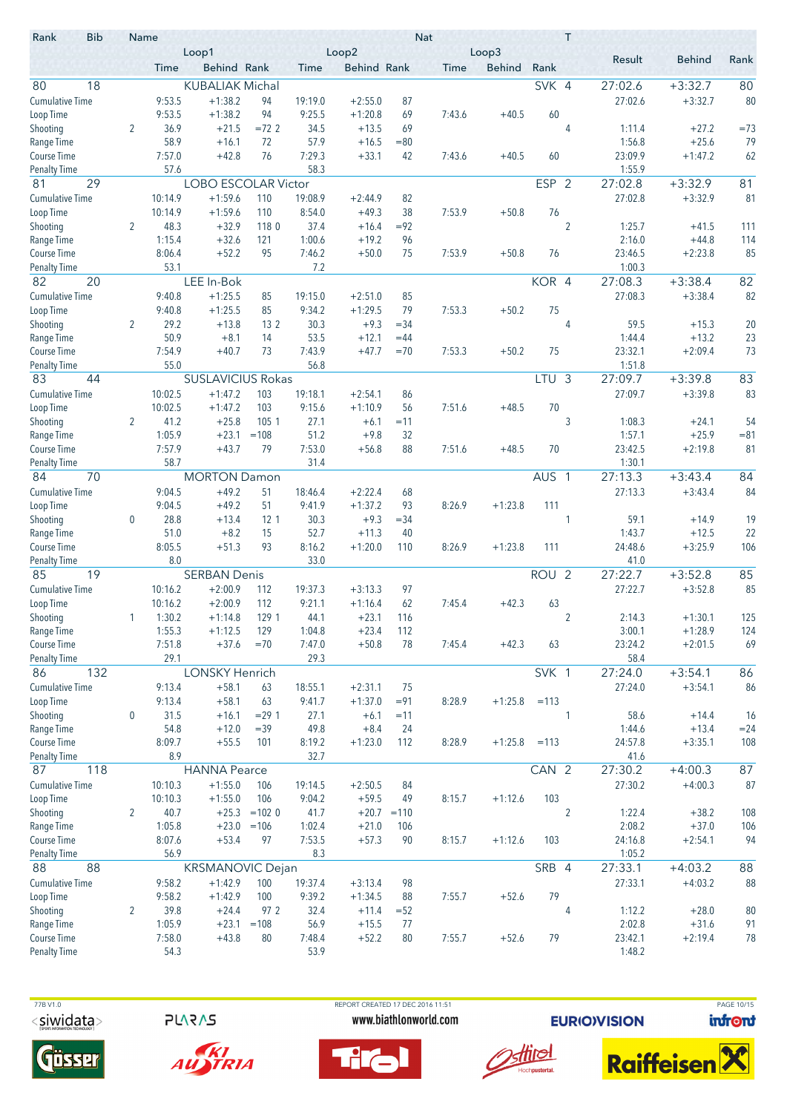| <b>Bib</b><br>Rank                 | Name             |                | Loop1                                |                 |                   | Loop2                  |             | <b>Nat</b> | Loop3         |                  | T              |                    |                        |          |
|------------------------------------|------------------|----------------|--------------------------------------|-----------------|-------------------|------------------------|-------------|------------|---------------|------------------|----------------|--------------------|------------------------|----------|
|                                    |                  | Time           | <b>Behind Rank</b>                   |                 | Time              | <b>Behind Rank</b>     |             | Time       | <b>Behind</b> | Rank             |                | Result             | <b>Behind</b>          | Rank     |
| 80<br>18                           |                  |                | <b>KUBALIAK Michal</b>               |                 |                   |                        |             |            |               | SVK 4            |                | 27:02.6            | $+3:32.7$              | 80       |
| <b>Cumulative Time</b>             |                  | 9:53.5         | $+1:38.2$                            | 94              | 19:19.0           | $+2:55.0$              | 87          |            |               |                  |                | 27:02.6            | $+3:32.7$              | 80       |
| Loop Time                          |                  | 9:53.5         | $+1:38.2$                            | 94              | 9:25.5            | $+1:20.8$              | 69          | 7:43.6     | $+40.5$       | 60               |                |                    |                        |          |
| Shooting                           | 2                | 36.9           | $+21.5$                              | $=72.2$         | 34.5              | $+13.5$                | 69          |            |               |                  | 4              | 1:11.4             | $+27.2$                | $=73$    |
| Range Time                         |                  | 58.9           | $+16.1$                              | 72              | 57.9              | $+16.5$                | $= 80$      |            |               |                  |                | 1:56.8             | $+25.6$                | 79       |
| <b>Course Time</b>                 |                  | 7:57.0<br>57.6 | $+42.8$                              | 76              | 7:29.3<br>58.3    | $+33.1$                | 42          | 7:43.6     | $+40.5$       | 60               |                | 23:09.9<br>1:55.9  | $+1:47.2$              | 62       |
| <b>Penalty Time</b><br>29<br>81    |                  |                | <b>LOBO ESCOLAR Victor</b>           |                 |                   |                        |             |            |               | <b>ESP</b>       | $\overline{2}$ | 27:02.8            | $+3:32.9$              | 81       |
| <b>Cumulative Time</b>             |                  | 10:14.9        | $+1:59.6$                            | 110             | 19:08.9           | $+2:44.9$              | 82          |            |               |                  |                | 27:02.8            | $+3:32.9$              | 81       |
| Loop Time                          |                  | 10:14.9        | $+1:59.6$                            | 110             | 8:54.0            | $+49.3$                | 38          | 7:53.9     | $+50.8$       | 76               |                |                    |                        |          |
| Shooting                           | $\overline{2}$   | 48.3           | $+32.9$                              | 1180            | 37.4              | $+16.4$                | $= 92$      |            |               |                  | $\overline{2}$ | 1:25.7             | $+41.5$                | 111      |
| Range Time                         |                  | 1:15.4         | $+32.6$                              | 121             | 1:00.6            | $+19.2$                | 96          |            |               |                  |                | 2:16.0             | $+44.8$                | 114      |
| <b>Course Time</b>                 |                  | 8:06.4         | $+52.2$                              | 95              | 7:46.2            | $+50.0$                | 75          | 7:53.9     | $+50.8$       | 76               |                | 23:46.5            | $+2:23.8$              | 85       |
| <b>Penalty Time</b>                |                  | 53.1           |                                      |                 | 7.2               |                        |             |            |               |                  |                | 1:00.3             |                        |          |
| 20<br>82                           |                  |                | LEE In-Bok                           |                 |                   |                        |             |            |               | KOR 4            |                | 27:08.3            | $+3:38.4$              | 82       |
| <b>Cumulative Time</b>             |                  | 9:40.8         | $+1:25.5$                            | 85              | 19:15.0           | $+2:51.0$              | 85          |            |               |                  |                | 27:08.3            | $+3:38.4$              | 82       |
| Loop Time                          |                  | 9:40.8         | $+1:25.5$                            | 85              | 9:34.2            | $+1:29.5$              | 79          | 7:53.3     | $+50.2$       | 75               |                |                    |                        |          |
| Shooting                           | 2                | 29.2           | $+13.8$                              | 13 <sub>2</sub> | 30.3              | $+9.3$                 | $= 34$      |            |               |                  | 4              | 59.5               | $+15.3$                | 20       |
| Range Time                         |                  | 50.9<br>7:54.9 | $+8.1$                               | 14              | 53.5<br>7:43.9    | $+12.1$                | $=44$       |            |               |                  |                | 1:44.4<br>23:32.1  | $+13.2$<br>$+2:09.4$   | 23<br>73 |
| Course Time<br><b>Penalty Time</b> |                  | 55.0           | $+40.7$                              | 73              | 56.8              | $+47.7$                | $=70$       | 7:53.3     | $+50.2$       | 75               |                | 1:51.8             |                        |          |
| 83<br>44                           |                  |                | <b>SUSLAVICIUS Rokas</b>             |                 |                   |                        |             |            |               | LTU <sub>3</sub> |                | 27:09.7            | $+3:39.8$              | 83       |
| <b>Cumulative Time</b>             |                  | 10:02.5        | $+1:47.2$                            | 103             | 19:18.1           | $+2:54.1$              | 86          |            |               |                  |                | 27:09.7            | $+3:39.8$              | 83       |
| Loop Time                          |                  | 10:02.5        | $+1:47.2$                            | 103             | 9:15.6            | $+1:10.9$              | 56          | 7:51.6     | $+48.5$       | 70               |                |                    |                        |          |
| Shooting                           | 2                | 41.2           | $+25.8$                              | 105 1           | 27.1              | $+6.1$                 | $=11$       |            |               |                  | 3              | 1:08.3             | $+24.1$                | 54       |
| Range Time                         |                  | 1:05.9         | $+23.1$                              | $=108$          | 51.2              | $+9.8$                 | 32          |            |               |                  |                | 1:57.1             | $+25.9$                | $= 81$   |
| <b>Course Time</b>                 |                  | 7:57.9         | $+43.7$                              | 79              | 7:53.0            | $+56.8$                | 88          | 7:51.6     | $+48.5$       | 70               |                | 23:42.5            | $+2:19.8$              | 81       |
| <b>Penalty Time</b>                |                  | 58.7           |                                      |                 | 31.4              |                        |             |            |               |                  |                | 1:30.1             |                        |          |
| 84<br>70                           |                  |                | <b>MORTON Damon</b>                  |                 |                   |                        |             |            |               | AUS <sub>1</sub> |                | 27:13.3            | $+3:43.4$              | 84       |
| <b>Cumulative Time</b>             |                  | 9:04.5         | $+49.2$                              | 51              | 18:46.4           | $+2:22.4$              | 68          |            |               |                  |                | 27:13.3            | $+3:43.4$              | 84       |
| Loop Time                          |                  | 9:04.5         | $+49.2$                              | 51              | 9:41.9            | $+1:37.2$              | 93          | 8:26.9     | $+1:23.8$     | 111              |                |                    |                        |          |
| Shooting                           | $\mathbf 0$      | 28.8<br>51.0   | $+13.4$<br>$+8.2$                    | 12 1            | 30.3<br>52.7      | $+9.3$                 | $= 34$      |            |               |                  | 1              | 59.1<br>1:43.7     | $+14.9$                | 19<br>22 |
| Range Time<br>Course Time          |                  | 8:05.5         | $+51.3$                              | 15<br>93        | 8:16.2            | $+11.3$<br>$+1:20.0$   | 40<br>110   | 8:26.9     | $+1:23.8$     | 111              |                | 24:48.6            | $+12.5$<br>$+3:25.9$   | 106      |
| <b>Penalty Time</b>                |                  | 8.0            |                                      |                 | 33.0              |                        |             |            |               |                  |                | 41.0               |                        |          |
| 85<br>19                           |                  |                | <b>SERBAN Denis</b>                  |                 |                   |                        |             |            |               | ROU <sub>2</sub> |                | 27:22.7            | $+3:52.8$              | 85       |
| <b>Cumulative Time</b>             |                  | 10:16.2        | $+2:00.9$                            | 112             | 19:37.3           | $+3:13.3$              | 97          |            |               |                  |                | 27:22.7            | $+3:52.8$              | 85       |
| Loop Time                          |                  | 10:16.2        | $+2:00.9$                            | 112             | 9:21.1            | $+1:16.4$              | 62          | 7:45.4     | $+42.3$       | 63               |                |                    |                        |          |
| Shooting                           |                  | 1:30.2         | $+1:14.8$                            | 129 1           | 44.1              | $+23.1$                | 116         |            |               |                  | $\overline{2}$ | 2:14.3             | $+1:30.1$              | 125      |
| Range Time                         |                  | 1:55.3         | $+1:12.5$                            | 129             | 1:04.8            | $+23.4$                | 112         |            |               |                  |                | 3:00.1             | $+1:28.9$              | 124      |
| Course Time                        |                  | 7:51.8         | $+37.6$                              | $=70$           | 7:47.0            | $+50.8$                | 78          | 7:45.4     | $+42.3$       | 63               |                | 23:24.2            | $+2:01.5$              | 69       |
| <b>Penalty Time</b>                |                  | 29.1           |                                      |                 | 29.3              |                        |             |            |               |                  |                | 58.4               |                        |          |
| 86<br>132                          |                  |                | <b>LONSKY Henrich</b>                |                 |                   |                        |             |            |               | SVK 1            |                | 27:24.0            | $+3:54.1$              | 86       |
| <b>Cumulative Time</b>             |                  | 9:13.4         | $+58.1$                              | 63              | 18:55.1           | $+2:31.1$              | 75          |            |               |                  |                | 27:24.0            | $+3:54.1$              | 86       |
| Loop Time                          | $\boldsymbol{0}$ | 9:13.4<br>31.5 | $+58.1$<br>$+16.1$                   | 63<br>$= 291$   | 9:41.7<br>27.1    | $+1:37.0$<br>$+6.1$    | $= 91$      | 8:28.9     | $+1:25.8$     | $=113$           | 1              | 58.6               |                        | 16       |
| Shooting<br>Range Time             |                  | 54.8           | $+12.0$                              | $=39$           | 49.8              | $+8.4$                 | $=11$<br>24 |            |               |                  |                | 1:44.6             | $+14.4$<br>$+13.4$     | $= 24$   |
| Course Time                        |                  | 8:09.7         | $+55.5$                              | 101             | 8:19.2            | $+1:23.0$              | 112         | 8:28.9     | $+1:25.8$     | $=113$           |                | 24:57.8            | $+3:35.1$              | 108      |
| <b>Penalty Time</b>                |                  | 8.9            |                                      |                 | 32.7              |                        |             |            |               |                  |                | 41.6               |                        |          |
| 118<br>87                          |                  |                | <b>HANNA Pearce</b>                  |                 |                   |                        |             |            |               | CAN <sub>2</sub> |                | 27:30.2            | $+4:00.3$              | 87       |
| <b>Cumulative Time</b>             |                  | 10:10.3        | $+1:55.0$                            | 106             | 19:14.5           | $+2:50.5$              | 84          |            |               |                  |                | 27:30.2            | $+4:00.3$              | 87       |
| Loop Time                          |                  | 10:10.3        | $+1:55.0$                            | 106             | 9:04.2            | $+59.5$                | 49          | 8:15.7     | $+1:12.6$     | 103              |                |                    |                        |          |
| Shooting                           | 2                | 40.7           |                                      | $+25.3 = 1020$  | 41.7              | $+20.7 = 110$          |             |            |               |                  | $\overline{2}$ | 1:22.4             | $+38.2$                | 108      |
| Range Time                         |                  | 1:05.8         | $+23.0$                              | $=106$          | 1:02.4            | $+21.0$                | 106         |            |               |                  |                | 2:08.2             | $+37.0$                | 106      |
| Course Time                        |                  | 8:07.6         | $+53.4$                              | 97              | 7:53.5            | $+57.3$                | 90          | 8:15.7     | $+1:12.6$     | 103              |                | 24:16.8            | $+2:54.1$              | 94       |
| <b>Penalty Time</b>                |                  | 56.9           |                                      |                 | 8.3               |                        |             |            |               |                  |                | 1:05.2             |                        |          |
| 88<br>88<br><b>Cumulative Time</b> |                  | 9:58.2         | <b>KRSMANOVIC Dejan</b><br>$+1:42.9$ | 100             |                   |                        | 98          |            |               | SRB 4            |                | 27:33.1<br>27:33.1 | $+4:03.2$<br>$+4:03.2$ | 88<br>88 |
| Loop Time                          |                  | 9:58.2         | $+1:42.9$                            | 100             | 19:37.4<br>9:39.2 | $+3:13.4$<br>$+1:34.5$ | 88          | 7:55.7     | $+52.6$       | 79               |                |                    |                        |          |
| Shooting                           | 2                | 39.8           | $+24.4$                              | 97 2            | 32.4              | $+11.4$                | $= 52$      |            |               |                  | 4              | 1:12.2             | $+28.0$                | 80       |
| Range Time                         |                  | 1:05.9         | $+23.1$                              | $=108$          | 56.9              | $+15.5$                | 77          |            |               |                  |                | 2:02.8             | $+31.6$                | 91       |
| Course Time                        |                  | 7:58.0         | $+43.8$                              | 80              | 7:48.4            | $+52.2$                | 80          | 7:55.7     | $+52.6$       | 79               |                | 23:42.1            | $+2:19.4$              | 78       |
| <b>Penalty Time</b>                |                  | 54.3           |                                      |                 | 53.9              |                        |             |            |               |                  |                | 1:48.2             |                        |          |

**PLARAS** 





 77B V1.0 REPORT CREATED 17 DEC 2016 11:51 PAGE 10/15www.biathlonworld.com





**EURIOVISION** 

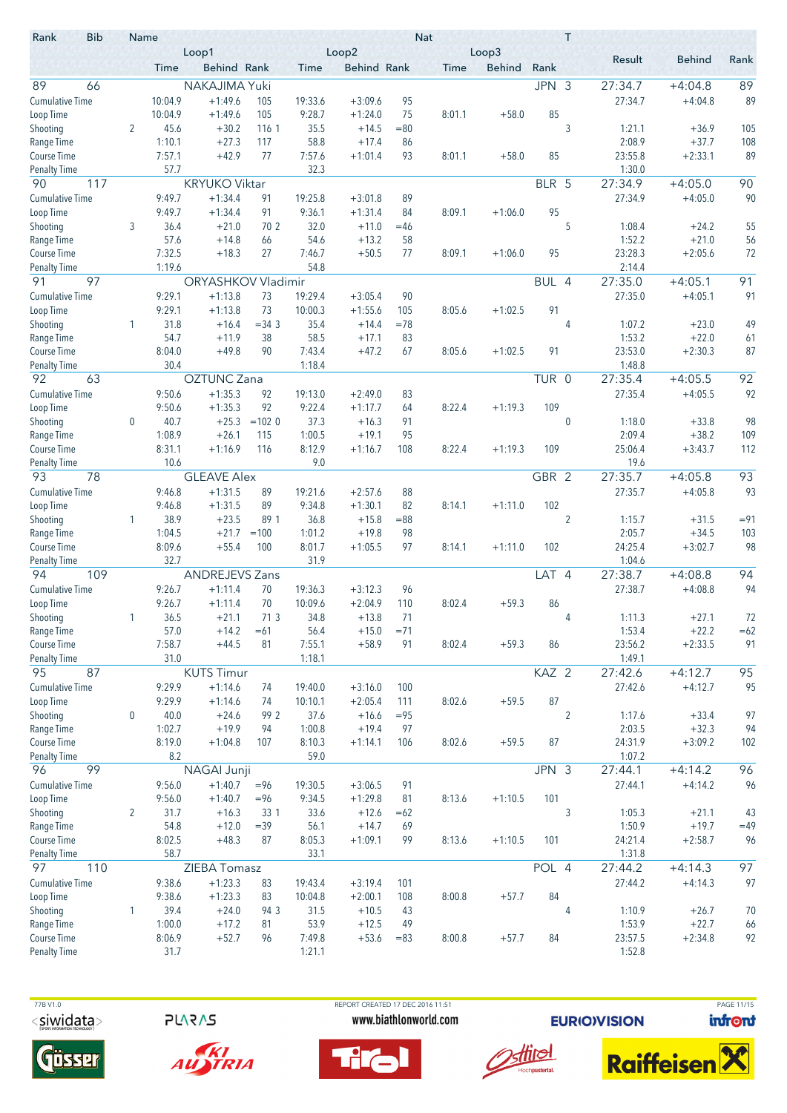| <b>Bib</b><br>Rank        |     |                  | Name             | Loop1                  |          |                    | Loop2                  |           | <b>Nat</b>  | Loop3         |       | T              |                   |                      |          |
|---------------------------|-----|------------------|------------------|------------------------|----------|--------------------|------------------------|-----------|-------------|---------------|-------|----------------|-------------------|----------------------|----------|
|                           |     |                  | Time             | Behind Rank            |          | Time               | <b>Behind Rank</b>     |           | <b>Time</b> | <b>Behind</b> | Rank  |                | Result            | <b>Behind</b>        | Rank     |
| 89                        | 66  |                  |                  | NAKAJIMA Yuki          |          |                    |                        |           |             |               | JPN 3 |                | 27:34.7           | $+4:04.8$            | 89       |
| <b>Cumulative Time</b>    |     |                  | 10:04.9          | $+1:49.6$              | 105      | 19:33.6            | $+3:09.6$              | 95        |             |               |       |                | 27:34.7           | $+4:04.8$            | 89       |
| Loop Time                 |     |                  | 10:04.9          | $+1:49.6$              | 105      | 9:28.7             | $+1:24.0$              | 75        | 8:01.1      | $+58.0$       | 85    |                |                   |                      |          |
| Shooting                  |     | $\overline{2}$   | 45.6             | $+30.2$                | 116 1    | 35.5               | $+14.5$                | $= 80$    |             |               |       | 3              | 1:21.1            | $+36.9$              | 105      |
| Range Time                |     |                  | 1:10.1           | $+27.3$                | 117      | 58.8               | $+17.4$                | 86        |             |               |       |                | 2:08.9            | $+37.7$              | 108      |
| <b>Course Time</b>        |     |                  | 7:57.1           | $+42.9$                | 77       | 7:57.6             | $+1:01.4$              | 93        | 8:01.1      | $+58.0$       | 85    |                | 23:55.8           | $+2:33.1$            | 89       |
| <b>Penalty Time</b>       |     |                  | 57.7             |                        |          | 32.3               |                        |           |             |               |       |                | 1:30.0            |                      |          |
| 90                        | 117 |                  |                  | <b>KRYUKO Viktar</b>   |          |                    |                        |           |             |               | BLR 5 |                | 27:34.9           | $+4:05.0$            | 90       |
| <b>Cumulative Time</b>    |     |                  | 9:49.7           | $+1:34.4$              | 91       | 19:25.8            | $+3:01.8$              | 89        |             |               |       |                | 27:34.9           | $+4:05.0$            | 90       |
| Loop Time                 |     |                  | 9:49.7           | $+1:34.4$              | 91       | 9:36.1             | $+1:31.4$              | 84        | 8:09.1      | $+1:06.0$     | 95    |                |                   |                      |          |
| Shooting                  |     | 3                | 36.4             | $+21.0$                | 70 2     | 32.0               | $+11.0$                | $=46$     |             |               |       | 5              | 1:08.4            | $+24.2$              | 55       |
| Range Time                |     |                  | 57.6             | $+14.8$                | 66       | 54.6               | $+13.2$                | 58        |             |               |       |                | 1:52.2            | $+21.0$              | 56       |
| Course Time               |     |                  | 7:32.5<br>1:19.6 | $+18.3$                | 27       | 7:46.7<br>54.8     | $+50.5$                | 77        | 8:09.1      | $+1:06.0$     | 95    |                | 23:28.3<br>2:14.4 | $+2:05.6$            | 72       |
| Penalty Time<br>91        | 97  |                  |                  | ORYASHKOV Vladimir     |          |                    |                        |           |             |               | BUL 4 |                | 27:35.0           | $+4:05.1$            | 91       |
|                           |     |                  | 9:29.1           |                        |          |                    |                        |           |             |               |       |                |                   |                      | 91       |
| <b>Cumulative Time</b>    |     |                  | 9:29.1           | $+1:13.8$<br>$+1:13.8$ | 73<br>73 | 19:29.4<br>10:00.3 | $+3:05.4$<br>$+1:55.6$ | 90<br>105 | 8:05.6      | $+1:02.5$     | 91    |                | 27:35.0           | $+4:05.1$            |          |
| Loop Time<br>Shooting     |     | 1                | 31.8             | $+16.4$                | $= 34.3$ | 35.4               | $+14.4$                | $=78$     |             |               |       | 4              | 1:07.2            | $+23.0$              | 49       |
| Range Time                |     |                  | 54.7             | $+11.9$                | 38       | 58.5               | $+17.1$                | 83        |             |               |       |                | 1:53.2            | $+22.0$              | 61       |
| Course Time               |     |                  | 8:04.0           | $+49.8$                | 90       | 7:43.4             | $+47.2$                | 67        | 8:05.6      | $+1:02.5$     | 91    |                | 23:53.0           | $+2:30.3$            | 87       |
| <b>Penalty Time</b>       |     |                  | 30.4             |                        |          | 1:18.4             |                        |           |             |               |       |                | 1:48.8            |                      |          |
| 92                        | 63  |                  |                  | <b>OZTUNC Zana</b>     |          |                    |                        |           |             |               | TUR 0 |                | 27:35.4           | $+4:05.5$            | 92       |
| <b>Cumulative Time</b>    |     |                  | 9:50.6           | $+1:35.3$              | 92       | 19:13.0            | $+2:49.0$              | 83        |             |               |       |                | 27:35.4           | $+4:05.5$            | 92       |
| Loop Time                 |     |                  | 9:50.6           | $+1:35.3$              | 92       | 9:22.4             | $+1:17.7$              | 64        | 8:22.4      | $+1:19.3$     | 109   |                |                   |                      |          |
| Shooting                  |     | $\mathbf 0$      | 40.7             | $+25.3$                | $=1020$  | 37.3               | $+16.3$                | 91        |             |               |       | $\mathbf 0$    | 1:18.0            | $+33.8$              | 98       |
| Range Time                |     |                  | 1:08.9           | $+26.1$                | 115      | 1:00.5             | $+19.1$                | 95        |             |               |       |                | 2:09.4            | $+38.2$              | 109      |
| Course Time               |     |                  | 8:31.1           | $+1:16.9$              | 116      | 8:12.9             | $+1:16.7$              | 108       | 8:22.4      | $+1:19.3$     | 109   |                | 25:06.4           | $+3:43.7$            | 112      |
| <b>Penalty Time</b>       |     |                  | 10.6             |                        |          | 9.0                |                        |           |             |               |       |                | 19.6              |                      |          |
| 93                        | 78  |                  |                  | <b>GLEAVE Alex</b>     |          |                    |                        |           |             |               | GBR 2 |                | 27:35.7           | $+4:05.8$            | 93       |
| <b>Cumulative Time</b>    |     |                  | 9:46.8           | $+1:31.5$              | 89       | 19:21.6            | $+2:57.6$              | 88        |             |               |       |                | 27:35.7           | $+4:05.8$            | 93       |
| Loop Time                 |     |                  | 9:46.8           | $+1:31.5$              | 89       | 9:34.8             | $+1:30.1$              | 82        | 8:14.1      | $+1:11.0$     | 102   |                |                   |                      |          |
| Shooting                  |     | 1                | 38.9             | $+23.5$                | 89 1     | 36.8               | $+15.8$                | $= 88$    |             |               |       | $\overline{2}$ | 1:15.7            | $+31.5$              | $= 91$   |
| Range Time                |     |                  | 1:04.5           | $+21.7$                | $=100$   | 1:01.2             | $+19.8$                | 98        |             |               |       |                | 2:05.7            | $+34.5$              | 103      |
| Course Time               |     |                  | 8:09.6           | $+55.4$                | 100      | 8:01.7             | $+1:05.5$              | 97        | 8:14.1      | $+1:11.0$     | 102   |                | 24:25.4           | $+3:02.7$            | 98       |
| <b>Penalty Time</b><br>94 |     |                  | 32.7             |                        |          | 31.9               |                        |           |             |               | LAT 4 |                | 1:04.6            |                      | 94       |
|                           | 109 |                  |                  | <b>ANDREJEVS Zans</b>  |          |                    |                        |           |             |               |       |                | 27:38.7           | $+4:08.8$            |          |
| <b>Cumulative Time</b>    |     |                  | 9:26.7<br>9:26.7 | $+1:11.4$<br>$+1:11.4$ | 70<br>70 | 19:36.3<br>10:09.6 | $+3:12.3$<br>$+2:04.9$ | 96<br>110 | 8:02.4      | $+59.3$       | 86    |                | 27:38.7           | $+4:08.8$            | 94       |
| Loop Time                 |     |                  |                  | $+21.1$                | 713      |                    |                        | 71        |             |               |       | 4              |                   |                      | 72       |
| Shooting<br>Range Time    |     |                  | 36.5<br>57.0     | $+14.2$                | $=61$    | 34.8<br>56.4       | $+13.8$<br>$+15.0$     | $= 71$    |             |               |       |                | 1:11.3<br>1:53.4  | $+27.1$<br>$+22.2$   | $=62$    |
| Course Time               |     |                  | 7:58.7           | $+44.5$                | 81       | 7:55.1             | $+58.9$                | 91        | 8:02.4      | $+59.3$       | 86    |                | 23:56.2           | $+2:33.5$            | 91       |
| <b>Penalty Time</b>       |     |                  | 31.0             |                        |          | 1:18.1             |                        |           |             |               |       |                | 1:49.1            |                      |          |
| 95                        | 87  |                  |                  | <b>KUTS Timur</b>      |          |                    |                        |           |             |               | KAZ 2 |                | 27:42.6           | $+4:12.7$            | 95       |
| <b>Cumulative Time</b>    |     |                  | 9:29.9           | $+1:14.6$              | 74       | 19:40.0            | $+3:16.0$              | 100       |             |               |       |                | 27:42.6           | $+4:12.7$            | 95       |
| Loop Time                 |     |                  | 9:29.9           | $+1:14.6$              | 74       | 10:10.1            | $+2:05.4$              | 111       | 8:02.6      | $+59.5$       | 87    |                |                   |                      |          |
| Shooting                  |     | $\boldsymbol{0}$ | 40.0             | $+24.6$                | 99 2     | 37.6               | $+16.6$                | $= 95$    |             |               |       | $\overline{c}$ | 1:17.6            | $+33.4$              | 97       |
| Range Time                |     |                  | 1:02.7           | $+19.9$                | 94       | 1:00.8             | $+19.4$                | 97        |             |               |       |                | 2:03.5            | $+32.3$              | 94       |
| Course Time               |     |                  | 8:19.0           | $+1:04.8$              | 107      | 8:10.3             | $+1:14.1$              | 106       | 8:02.6      | $+59.5$       | 87    |                | 24:31.9           | $+3:09.2$            | 102      |
| <b>Penalty Time</b>       |     |                  | 8.2              |                        |          | 59.0               |                        |           |             |               |       |                | 1:07.2            |                      |          |
| 96                        | 99  |                  |                  | NAGAI Junji            |          |                    |                        |           |             |               | JPN 3 |                | 27:44.1           | $+4:14.2$            | 96       |
| <b>Cumulative Time</b>    |     |                  | 9:56.0           | $+1:40.7$              | $= 96$   | 19:30.5            | $+3:06.5$              | 91        |             |               |       |                | 27:44.1           | $+4:14.2$            | 96       |
| Loop Time                 |     |                  | 9:56.0           | $+1:40.7$              | $= 96$   | 9:34.5             | $+1:29.8$              | 81        | 8:13.6      | $+1:10.5$     | 101   |                |                   |                      |          |
| Shooting                  |     | $\overline{2}$   | 31.7             | $+16.3$                | 33 1     | 33.6               | $+12.6$                | $=62$     |             |               |       | 3              | 1:05.3            | $+21.1$              | 43       |
| Range Time                |     |                  | 54.8             | $+12.0$                | $=39$    | 56.1               | $+14.7$                | 69        |             |               |       |                | 1:50.9            | $+19.7$              | $=49$    |
| Course Time               |     |                  | 8:02.5           | $+48.3$                | 87       | 8:05.3             | $+1:09.1$              | 99        | 8:13.6      | $+1:10.5$     | 101   |                | 24:21.4           | $+2:58.7$            | 96       |
| <b>Penalty Time</b>       |     |                  | 58.7             |                        |          | 33.1               |                        |           |             |               |       |                | 1:31.8            |                      |          |
| 97                        | 110 |                  |                  | ZIEBA Tomasz           |          |                    |                        |           |             |               | POL 4 |                | 27:44.2           | $+4:14.3$            | 97       |
| <b>Cumulative Time</b>    |     |                  | 9:38.6           | $+1:23.3$              | 83       | 19:43.4            | $+3:19.4$              | 101       |             |               |       |                | 27:44.2           | $+4:14.3$            | 97       |
| Loop Time                 |     |                  | 9:38.6           | $+1:23.3$              | 83       | 10:04.8            | $+2:00.1$              | 108       | 8:00.8      | $+57.7$       | 84    |                |                   |                      |          |
| Shooting                  |     | 1                | 39.4<br>1:00.0   | $+24.0$<br>$+17.2$     | 94 3     | 31.5<br>53.9       | $+10.5$                | 43<br>49  |             |               |       | 4              | 1:10.9<br>1:53.9  | $+26.7$              | 70       |
| Range Time<br>Course Time |     |                  | 8:06.9           | $+52.7$                | 81<br>96 | 7:49.8             | $+12.5$<br>$+53.6$     | $=83$     | 8:00.8      | $+57.7$       | 84    |                | 23:57.5           | $+22.7$<br>$+2:34.8$ | 66<br>92 |
| <b>Penalty Time</b>       |     |                  | 31.7             |                        |          | 1:21.1             |                        |           |             |               |       |                | 1:52.8            |                      |          |
|                           |     |                  |                  |                        |          |                    |                        |           |             |               |       |                |                   |                      |          |

**PLARAS** 





 77B V1.0 REPORT CREATED 17 DEC 2016 11:51 PAGE 11/15www.biathlonworld.com





**EURIOVISION** 

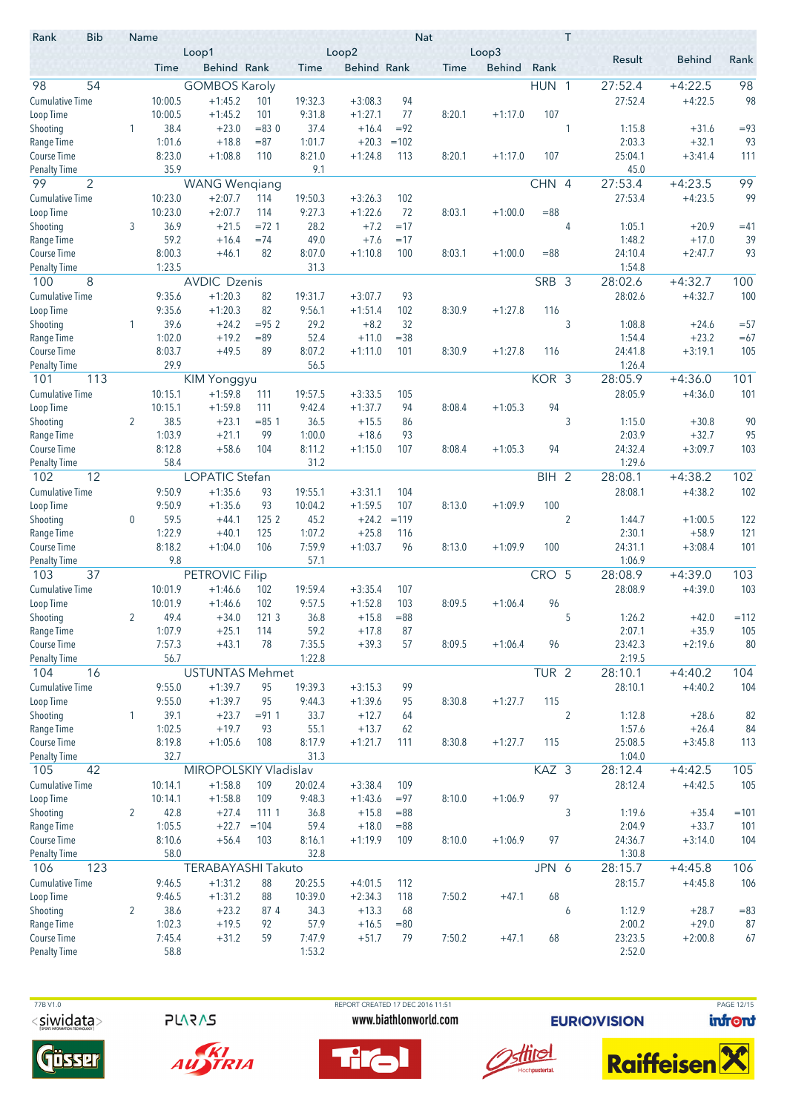| <b>Bib</b><br>Rank               |                | Name            | Loop1                  |                   |                | Loop2               |                | <b>Nat</b> | Loop3         |                  | T              |                   |                    |              |
|----------------------------------|----------------|-----------------|------------------------|-------------------|----------------|---------------------|----------------|------------|---------------|------------------|----------------|-------------------|--------------------|--------------|
|                                  |                | Time            | Behind Rank            |                   | Time           | <b>Behind Rank</b>  |                | Time       | <b>Behind</b> | Rank             |                | Result            | <b>Behind</b>      | Rank         |
| 54<br>98                         |                |                 | <b>GOMBOS Karoly</b>   |                   |                |                     |                |            |               | HUN 1            |                | 27:52.4           | $+4:22.5$          | 98           |
| <b>Cumulative Time</b>           |                | 10:00.5         | $+1:45.2$              | 101               | 19:32.3        | $+3:08.3$           | 94             |            |               |                  |                | 27:52.4           | $+4:22.5$          | 98           |
| Loop Time                        |                | 10:00.5         | $+1:45.2$              | 101               | 9:31.8         | $+1:27.1$           | 77             | 8:20.1     | $+1:17.0$     | 107              |                |                   |                    |              |
| Shooting                         | 1              | 38.4            | $+23.0$                | $= 830$           | 37.4           | $+16.4$             | $= 92$         |            |               |                  | 1              | 1:15.8            | $+31.6$            | $= 93$       |
| Range Time                       |                | 1:01.6          | $+18.8$                | $= 87$            | 1:01.7         | $+20.3$             | $=102$         |            |               |                  |                | 2:03.3            | $+32.1$            | 93           |
| Course Time                      |                | 8:23.0          | $+1:08.8$              | 110               | 8:21.0         | $+1:24.8$           | 113            | 8:20.1     | $+1:17.0$     | 107              |                | 25:04.1           | $+3:41.4$          | 111          |
| <b>Penalty Time</b>              |                | 35.9            |                        |                   | 9.1            |                     |                |            |               |                  |                | 45.0              |                    |              |
| $\overline{2}$<br>99             |                |                 | <b>WANG Wengiang</b>   |                   |                |                     |                |            |               | CHN 4            |                | 27:53.4           | $+4:23.5$          | 99           |
| Cumulative Time                  |                | 10:23.0         | $+2:07.7$              | 114               | 19:50.3        | $+3:26.3$           | 102            |            |               |                  |                | 27:53.4           | $+4:23.5$          | 99           |
| Loop Time                        |                | 10:23.0<br>36.9 | $+2:07.7$<br>$+21.5$   | 114               | 9:27.3         | $+1:22.6$<br>$+7.2$ | 72             | 8:03.1     | $+1:00.0$     | $= 88$           |                |                   |                    |              |
| Shooting<br>Range Time           | 3              | 59.2            | $+16.4$                | $= 72.1$<br>$=74$ | 28.2<br>49.0   | $+7.6$              | $=17$<br>$=17$ |            |               |                  | 4              | 1:05.1<br>1:48.2  | $+20.9$<br>$+17.0$ | $=41$<br>39  |
| Course Time                      |                | 8:00.3          | $+46.1$                | 82                | 8:07.0         | $+1:10.8$           | 100            | 8:03.1     | $+1:00.0$     | $= 88$           |                | 24:10.4           | $+2:47.7$          | 93           |
| <b>Penalty Time</b>              |                | 1:23.5          |                        |                   | 31.3           |                     |                |            |               |                  |                | 1:54.8            |                    |              |
| 8<br>100                         |                |                 | <b>AVDIC Dzenis</b>    |                   |                |                     |                |            |               | SRB 3            |                | 28:02.6           | $+4:32.7$          | 100          |
| <b>Cumulative Time</b>           |                | 9:35.6          | $+1:20.3$              | 82                | 19:31.7        | $+3:07.7$           | 93             |            |               |                  |                | 28:02.6           | $+4:32.7$          | 100          |
| Loop Time                        |                | 9:35.6          | $+1:20.3$              | 82                | 9:56.1         | $+1:51.4$           | 102            | 8:30.9     | $+1:27.8$     | 116              |                |                   |                    |              |
| Shooting                         | 1              | 39.6            | $+24.2$                | $= 952$           | 29.2           | $+8.2$              | 32             |            |               |                  | 3              | 1:08.8            | $+24.6$            | $= 57$       |
| Range Time                       |                | 1:02.0          | $+19.2$                | $= 89$            | 52.4           | $+11.0$             | $= 38$         |            |               |                  |                | 1:54.4            | $+23.2$            | $=67$        |
| Course Time                      |                | 8:03.7          | $+49.5$                | 89                | 8:07.2         | $+1:11.0$           | 101            | 8:30.9     | $+1:27.8$     | 116              |                | 24:41.8           | $+3:19.1$          | 105          |
| <b>Penalty Time</b>              |                | 29.9            |                        |                   | 56.5           |                     |                |            |               |                  |                | 1:26.4            |                    |              |
| 113<br>101                       |                |                 | KIM Yonggyu            |                   |                |                     |                |            |               | KOR 3            |                | 28:05.9           | $+4:36.0$          | 101          |
| <b>Cumulative Time</b>           |                | 10:15.1         | $+1:59.8$              | 111               | 19:57.5        | $+3:33.5$           | 105            |            |               |                  |                | 28:05.9           | $+4:36.0$          | 101          |
| Loop Time                        |                | 10:15.1         | $+1:59.8$              | 111               | 9:42.4         | $+1:37.7$           | 94             | 8:08.4     | $+1:05.3$     | 94               |                |                   |                    |              |
| Shooting                         | 2              | 38.5            | $+23.1$                | $= 851$           | 36.5           | $+15.5$             | 86             |            |               |                  | 3              | 1:15.0            | $+30.8$            | 90           |
| Range Time                       |                | 1:03.9          | $+21.1$                | 99                | 1:00.0         | $+18.6$             | 93             |            |               |                  |                | 2:03.9            | $+32.7$            | 95           |
| Course Time                      |                | 8:12.8<br>58.4  | $+58.6$                | 104               | 8:11.2<br>31.2 | $+1:15.0$           | 107            | 8:08.4     | $+1:05.3$     | 94               |                | 24:32.4<br>1:29.6 | $+3:09.7$          | 103          |
| <b>Penalty Time</b><br>12<br>102 |                |                 | <b>LOPATIC Stefan</b>  |                   |                |                     |                |            |               | BIH <sub>2</sub> |                | 28:08.1           | $+4:38.2$          | 102          |
| <b>Cumulative Time</b>           |                | 9:50.9          | $+1:35.6$              | 93                | 19:55.1        | $+3:31.1$           | 104            |            |               |                  |                | 28:08.1           | $+4:38.2$          | 102          |
| Loop Time                        |                | 9:50.9          | $+1:35.6$              | 93                | 10:04.2        | $+1:59.5$           | 107            | 8:13.0     | $+1:09.9$     | 100              |                |                   |                    |              |
| Shooting                         | 0              | 59.5            | $+44.1$                | 125 2             | 45.2           | $+24.2$             | $=119$         |            |               |                  | $\overline{2}$ | 1:44.7            | $+1:00.5$          | 122          |
| Range Time                       |                | 1:22.9          | $+40.1$                | 125               | 1:07.2         | $+25.8$             | 116            |            |               |                  |                | 2:30.1            | $+58.9$            | 121          |
| Course Time                      |                | 8:18.2          | $+1:04.0$              | 106               | 7:59.9         | $+1:03.7$           | 96             | 8:13.0     | $+1:09.9$     | 100              |                | 24:31.1           | $+3:08.4$          | 101          |
| <b>Penalty Time</b>              |                | 9.8             |                        |                   | 57.1           |                     |                |            |               |                  |                | 1:06.9            |                    |              |
| 103<br>37                        |                |                 | PETROVIC Filip         |                   |                |                     |                |            |               | CRO <sub>5</sub> |                | 28:08.9           | $+4:39.0$          | 103          |
| <b>Cumulative Time</b>           |                | 10:01.9         | $+1:46.6$              | 102               | 19:59.4        | $+3:35.4$           | 107            |            |               |                  |                | 28:08.9           | $+4:39.0$          | 103          |
| Loop Time                        |                | 10:01.9         | $+1:46.6$              | 102               | 9:57.5         | $+1:52.8$           | 103            | 8:09.5     | $+1:06.4$     | 96               |                |                   |                    |              |
| Shooting                         | 2              | 49.4            | $+34.0$                | 1213              | 36.8           | $+15.8$             | $= 88$         |            |               |                  | 5              | 1:26.2            | $+42.0$            | $=112$       |
| Range Time                       |                | 1:07.9          | $+25.1$                | 114               | 59.2           | $+17.8$             | 87             |            |               |                  |                | 2:07.1            | $+35.9$            | 105          |
| Course Time                      |                | 7:57.3          | $+43.1$                | 78                | 7:35.5         | $+39.3$             | 57             | 8:09.5     | $+1:06.4$     | 96               |                | 23:42.3           | $+2:19.6$          | 80           |
| <b>Penalty Time</b><br>16<br>104 |                | 56.7            | <b>USTUNTAS Mehmet</b> |                   | 1:22.8         |                     |                |            |               | TUR <sub>2</sub> |                | 2:19.5<br>28:10.1 | $+4:40.2$          | 104          |
| <b>Cumulative Time</b>           |                | 9:55.0          | $+1:39.7$              | 95                | 19:39.3        | $+3:15.3$           | 99             |            |               |                  |                | 28:10.1           | $+4:40.2$          | 104          |
| Loop Time                        |                | 9:55.0          | $+1:39.7$              | 95                | 9:44.3         | $+1:39.6$           | 95             | 8:30.8     | $+1:27.7$     | 115              |                |                   |                    |              |
| Shooting                         | 1              | 39.1            | $+23.7$                | $= 911$           | 33.7           | $+12.7$             | 64             |            |               |                  | $\overline{2}$ | 1:12.8            | $+28.6$            | 82           |
| Range Time                       |                | 1:02.5          | $+19.7$                | 93                | 55.1           | $+13.7$             | 62             |            |               |                  |                | 1:57.6            | $+26.4$            | 84           |
| Course Time                      |                | 8:19.8          | $+1:05.6$              | 108               | 8:17.9         | $+1:21.7$           | 111            | 8:30.8     | $+1:27.7$     | 115              |                | 25:08.5           | $+3:45.8$          | 113          |
| <b>Penalty Time</b>              |                | 32.7            |                        |                   | 31.3           |                     |                |            |               |                  |                | 1:04.0            |                    |              |
| 42<br>105                        |                |                 | MIROPOLSKIY Vladislav  |                   |                |                     |                |            |               | KAZ 3            |                | 28:12.4           | $+4:42.5$          | 105          |
| <b>Cumulative Time</b>           |                | 10:14.1         | $+1:58.8$              | 109               | 20:02.4        | $+3:38.4$           | 109            |            |               |                  |                | 28:12.4           | $+4:42.5$          | 105          |
| Loop Time                        |                | 10:14.1         | $+1:58.8$              | 109               | 9:48.3         | $+1:43.6$           | $= 97$         | 8:10.0     | $+1:06.9$     | 97               |                |                   |                    |              |
| Shooting                         | 2              | 42.8            | $+27.4$                | 111 1             | 36.8           | $+15.8$             | $= 88$         |            |               |                  | 3              | 1:19.6            | $+35.4$            | $=101$       |
| Range Time                       |                | 1:05.5          | $+22.7$                | $=104$            | 59.4           | $+18.0$             | $= 88$         |            |               |                  |                | 2:04.9            | $+33.7$            | 101          |
| Course Time                      |                | 8:10.6          | $+56.4$                | 103               | 8:16.1         | $+1:19.9$           | 109            | 8:10.0     | $+1:06.9$     | 97               |                | 24:36.7           | $+3:14.0$          | 104          |
| <b>Penalty Time</b>              |                | 58.0            |                        |                   | 32.8           |                     |                |            |               |                  |                | 1:30.8            |                    |              |
| 123<br>106                       |                |                 | TERABAYASHI Takuto     |                   |                |                     |                |            |               | JPN 6            |                | 28:15.7           | $+4:45.8$          | 106          |
| <b>Cumulative Time</b>           |                | 9:46.5          | $+1:31.2$              | 88                | 20:25.5        | $+4:01.5$           | 112            |            |               |                  |                | 28:15.7           | $+4:45.8$          | 106          |
| Loop Time                        |                | 9:46.5          | $+1:31.2$              | 88                | 10:39.0        | $+2:34.3$           | 118            | 7:50.2     | $+47.1$       | 68               |                |                   |                    |              |
| Shooting<br>Range Time           | $\overline{2}$ | 38.6<br>1:02.3  | $+23.2$<br>$+19.5$     | 874<br>92         | 34.3<br>57.9   | $+13.3$<br>$+16.5$  | 68<br>$= 80$   |            |               |                  | 6              | 1:12.9<br>2:00.2  | $+28.7$<br>$+29.0$ | $= 83$<br>87 |
| Course Time                      |                | 7:45.4          | $+31.2$                | 59                | 7:47.9         | $+51.7$             | 79             | 7:50.2     | $+47.1$       | 68               |                | 23:23.5           | $+2:00.8$          | 67           |
| <b>Penalty Time</b>              |                | 58.8            |                        |                   | 1:53.2         |                     |                |            |               |                  |                | 2:52.0            |                    |              |
|                                  |                |                 |                        |                   |                |                     |                |            |               |                  |                |                   |                    |              |

**PLARAS** 





REPORT CREATED 17 DEC 2016 11:51 www.biathlonworld.com





**EURIOVISION** 



PAGE 12/15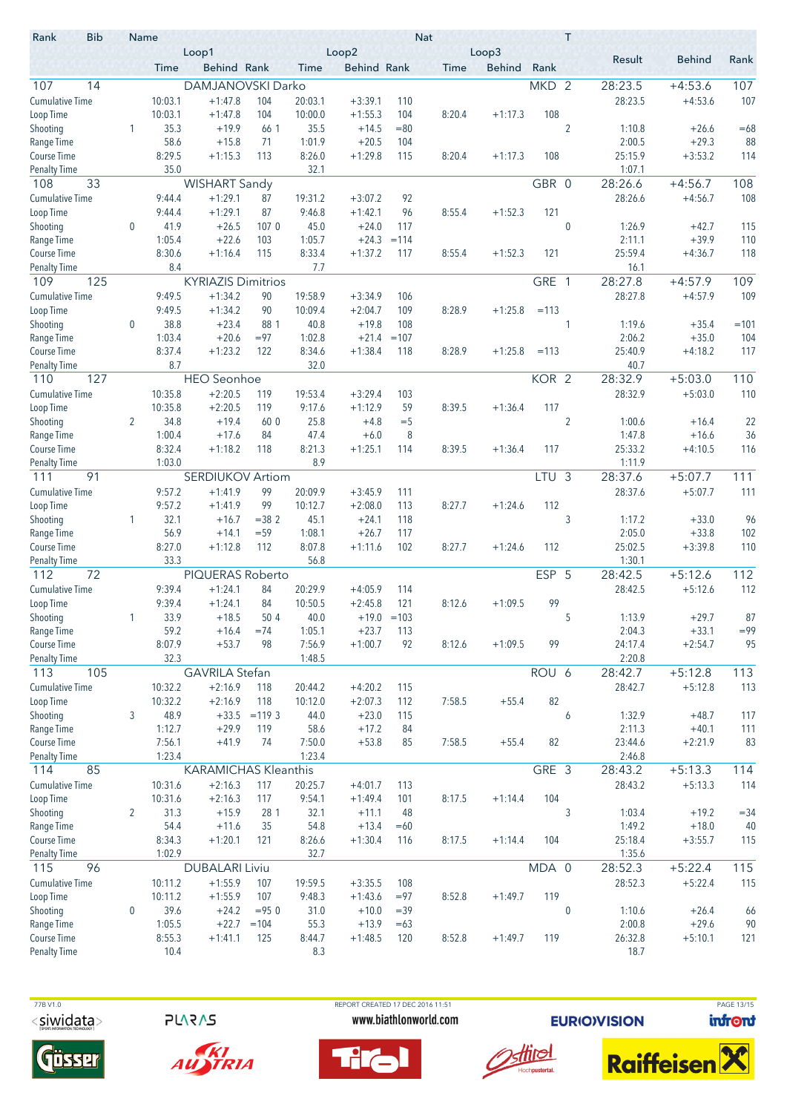| <b>Bib</b><br>Rank               |                | Name             | Loop1                       |                   |                 | Loop2              |               | <b>Nat</b> | Loop3         |                  | T              |                   |                    |        |
|----------------------------------|----------------|------------------|-----------------------------|-------------------|-----------------|--------------------|---------------|------------|---------------|------------------|----------------|-------------------|--------------------|--------|
|                                  |                | Time             | Behind Rank                 |                   | <b>Time</b>     | <b>Behind Rank</b> |               | Time       | <b>Behind</b> | Rank             |                | Result            | <b>Behind</b>      | Rank   |
| 107<br>14                        |                |                  | DAMJANOVSKI Darko           |                   |                 |                    |               |            |               | MKD <sub>2</sub> |                | 28:23.5           | $+4:53.6$          | 107    |
| <b>Cumulative Time</b>           |                | 10:03.1          | $+1:47.8$                   | 104               | 20:03.1         | $+3:39.1$          | 110           |            |               |                  |                | 28:23.5           | $+4:53.6$          | 107    |
| Loop Time                        |                | 10:03.1          | $+1:47.8$                   | 104               | 10:00.0         | $+1:55.3$          | 104           | 8:20.4     | $+1:17.3$     | 108              |                |                   |                    |        |
| Shooting                         | 1              | 35.3             | $+19.9$                     | 66 1              | 35.5            | $+14.5$            | $= 80$        |            |               |                  | $\overline{2}$ | 1:10.8            | $+26.6$            | $=68$  |
| Range Time                       |                | 58.6             | $+15.8$                     | 71                | 1:01.9          | $+20.5$            | 104           |            |               |                  |                | 2:00.5            | $+29.3$            | 88     |
| Course Time                      |                | 8:29.5           | $+1:15.3$                   | 113               | 8:26.0          | $+1:29.8$          | 115           | 8:20.4     | $+1:17.3$     | 108              |                | 25:15.9           | $+3:53.2$          | 114    |
| <b>Penalty Time</b>              |                | 35.0             |                             |                   | 32.1            |                    |               |            |               |                  |                | 1:07.1            |                    |        |
| 108<br>33                        |                |                  | <b>WISHART Sandy</b>        |                   |                 |                    |               |            |               | GBR 0            |                | 28:26.6           | $+4:56.7$          | 108    |
| <b>Cumulative Time</b>           |                | 9:44.4           | $+1:29.1$                   | 87                | 19:31.2         | $+3:07.2$          | 92            |            |               |                  |                | 28:26.6           | $+4:56.7$          | 108    |
| Loop Time                        |                | 9:44.4           | $+1:29.1$                   | 87                | 9:46.8          | $+1:42.1$          | 96            | 8:55.4     | $+1:52.3$     | 121              |                |                   |                    |        |
| Shooting                         | 0              | 41.9             | $+26.5$                     | 1070              | 45.0            | $+24.0$            | 117           |            |               |                  | $\mathbf 0$    | 1:26.9            | $+42.7$            | 115    |
| Range Time                       |                | 1:05.4           | $+22.6$                     | 103               | 1:05.7          | $+24.3$            | $=114$        |            |               |                  |                | 2:11.1            | $+39.9$            | 110    |
| Course Time                      |                | 8:30.6           | $+1:16.4$                   | 115               | 8:33.4          | $+1:37.2$          | 117           | 8:55.4     | $+1:52.3$     | 121              |                | 25:59.4           | $+4:36.7$          | 118    |
| <b>Penalty Time</b>              |                | 8.4              |                             |                   | 7.7             |                    |               |            |               |                  |                | 16.1              |                    |        |
| 109<br>125                       |                |                  | <b>KYRIAZIS Dimitrios</b>   |                   |                 |                    |               |            |               | GRE 1            |                | 28:27.8           | $+4:57.9$          | 109    |
| <b>Cumulative Time</b>           |                | 9:49.5           | $+1:34.2$                   | 90                | 19:58.9         | $+3:34.9$          | 106           |            |               |                  |                | 28:27.8           | $+4:57.9$          | 109    |
| Loop Time                        |                | 9:49.5           | $+1:34.2$                   | 90                | 10:09.4         | $+2:04.7$          | 109           | 8:28.9     | $+1:25.8$     | $=113$           |                |                   |                    |        |
| Shooting                         | 0              | 38.8             | $+23.4$                     | 88 1              | 40.8            | $+19.8$            | 108           |            |               |                  | 1              | 1:19.6            | $+35.4$            | $=101$ |
| Range Time                       |                | 1:03.4           | $+20.6$                     | $= 97$            | 1:02.8          | $+21.4$            | $=107$        |            |               |                  |                | 2:06.2            | $+35.0$            | 104    |
| Course Time                      |                | 8:37.4           | $+1:23.2$                   | 122               | 8:34.6          | $+1:38.4$          | 118           | 8:28.9     | $+1:25.8$     | $=113$           |                | 25:40.9           | $+4:18.2$          | 117    |
| <b>Penalty Time</b>              |                | 8.7              |                             |                   | 32.0            |                    |               |            |               |                  |                | 40.7              |                    |        |
| 110<br>127                       |                |                  | <b>HEO</b> Seonhoe          |                   |                 |                    |               |            |               | KOR <sub>2</sub> |                | 28:32.9           | $+5:03.0$          | 110    |
| <b>Cumulative Time</b>           |                | 10:35.8          | $+2:20.5$                   | 119               | 19:53.4         | $+3:29.4$          | 103           |            |               |                  |                | 28:32.9           | $+5:03.0$          | 110    |
| Loop Time                        |                | 10:35.8          | $+2:20.5$                   | 119               | 9:17.6          | $+1:12.9$          | 59            | 8:39.5     | $+1:36.4$     | 117              |                |                   |                    |        |
| Shooting                         | $\overline{2}$ | 34.8             | $+19.4$                     | 60 0              | 25.8            | $+4.8$             | $=$ 5         |            |               |                  | $\overline{2}$ | 1:00.6            | $+16.4$            | 22     |
| Range Time                       |                | 1:00.4           | $+17.6$                     | 84                | 47.4            | $+6.0$             | 8             |            |               |                  |                | 1:47.8            | $+16.6$            | 36     |
| Course Time                      |                | 8:32.4           | $+1:18.2$                   | 118               | 8:21.3          | $+1:25.1$          | 114           | 8:39.5     | $+1:36.4$     | 117              |                | 25:33.2           | $+4:10.5$          | 116    |
| <b>Penalty Time</b><br>91<br>111 |                | 1:03.0           | <b>SERDIUKOV Artiom</b>     |                   | 8.9             |                    |               |            |               |                  | $\mathfrak{Z}$ | 1:11.9<br>28:37.6 |                    | 111    |
| <b>Cumulative Time</b>           |                |                  | $+1:41.9$                   |                   |                 |                    |               |            |               | LTU              |                | 28:37.6           | $+5:07.7$          | 111    |
|                                  |                | 9:57.2<br>9:57.2 | $+1:41.9$                   | 99<br>99          | 20:09.9         | $+3:45.9$          | 111           |            |               | 112              |                |                   | $+5:07.7$          |        |
| Loop Time                        |                |                  |                             |                   | 10:12.7<br>45.1 | $+2:08.0$          | 113           | 8:27.7     | $+1:24.6$     |                  |                |                   |                    | 96     |
| Shooting<br>Range Time           | 1              | 32.1<br>56.9     | $+16.7$<br>$+14.1$          | $= 382$<br>$= 59$ | 1:08.1          | $+24.1$<br>$+26.7$ | 118<br>117    |            |               |                  | 3              | 1:17.2<br>2:05.0  | $+33.0$<br>$+33.8$ | 102    |
| Course Time                      |                | 8:27.0           | $+1:12.8$                   | 112               | 8:07.8          | $+1:11.6$          | 102           | 8:27.7     | $+1:24.6$     | 112              |                | 25:02.5           | $+3:39.8$          | 110    |
| <b>Penalty Time</b>              |                | 33.3             |                             |                   | 56.8            |                    |               |            |               |                  |                | 1:30.1            |                    |        |
| 112<br>72                        |                |                  | PIQUERAS Roberto            |                   |                 |                    |               |            |               | ESP 5            |                | 28:42.5           | $+5:12.6$          | 112    |
| <b>Cumulative Time</b>           |                | 9:39.4           | $+1:24.1$                   | 84                | 20:29.9         | $+4:05.9$          | 114           |            |               |                  |                | 28:42.5           | $+5:12.6$          | 112    |
| Loop Time                        |                | 9:39.4           | $+1:24.1$                   | 84                | 10:50.5         | $+2:45.8$          | 121           | 8:12.6     | $+1:09.5$     | 99               |                |                   |                    |        |
| Shooting                         |                | 33.9             | $+18.5$                     | 50 4              | 40.0            |                    | $+19.0 = 103$ |            |               |                  | 5              | 1:13.9            | $+29.7$            | 87     |
| Range Time                       |                | 59.2             | $+16.4$                     | $=74$             | 1:05.1          | $+23.7$            | 113           |            |               |                  |                | 2:04.3            | $+33.1$            | $= 99$ |
| Course Time                      |                | 8:07.9           | $+53.7$                     | 98                | 7:56.9          | $+1:00.7$          | 92            | 8:12.6     | $+1:09.5$     | 99               |                | 24:17.4           | $+2:54.7$          | 95     |
| <b>Penalty Time</b>              |                | 32.3             |                             |                   | 1:48.5          |                    |               |            |               |                  |                | 2:20.8            |                    |        |
| 113<br>105                       |                |                  | <b>GAVRILA Stefan</b>       |                   |                 |                    |               |            |               | ROU 6            |                | 28:42.7           | $+5:12.8$          | 113    |
| <b>Cumulative Time</b>           |                | 10:32.2          | $+2:16.9$                   | 118               | 20:44.2         | $+4:20.2$          | 115           |            |               |                  |                | 28:42.7           | $+5:12.8$          | 113    |
| Loop Time                        |                | 10:32.2          | $+2:16.9$                   | 118               | 10:12.0         | $+2:07.3$          | 112           | 7:58.5     | $+55.4$       | 82               |                |                   |                    |        |
| Shooting                         | 3              | 48.9             | $+33.5$                     | $= 119.3$         | 44.0            | $+23.0$            | 115           |            |               |                  | 6              | 1:32.9            | $+48.7$            | 117    |
| Range Time                       |                | 1:12.7           | $+29.9$                     | 119               | 58.6            | $+17.2$            | 84            |            |               |                  |                | 2:11.3            | $+40.1$            | 111    |
| Course Time                      |                | 7:56.1           | $+41.9$                     | 74                | 7:50.0          | $+53.8$            | 85            | 7:58.5     | $+55.4$       | 82               |                | 23:44.6           | $+2:21.9$          | 83     |
| <b>Penalty Time</b>              |                | 1:23.4           |                             |                   | 1:23.4          |                    |               |            |               |                  |                | 2:46.8            |                    |        |
| 85<br>114                        |                |                  | <b>KARAMICHAS Kleanthis</b> |                   |                 |                    |               |            |               | GRE 3            |                | 28:43.2           | $+5:13.3$          | 114    |
| <b>Cumulative Time</b>           |                | 10:31.6          | $+2:16.3$                   | 117               | 20:25.7         | $+4:01.7$          | 113           |            |               |                  |                | 28:43.2           | $+5:13.3$          | 114    |
| Loop Time                        |                | 10:31.6          | $+2:16.3$                   | 117               | 9:54.1          | $+1:49.4$          | 101           | 8:17.5     | $+1:14.4$     | 104              |                |                   |                    |        |
| Shooting                         | $\overline{2}$ | 31.3             | $+15.9$                     | 28 1              | 32.1            | $+11.1$            | 48            |            |               |                  | 3              | 1:03.4            | $+19.2$            | $= 34$ |
| Range Time                       |                | 54.4             | $+11.6$                     | 35                | 54.8            | $+13.4$            | $=60$         |            |               |                  |                | 1:49.2            | $+18.0$            | 40     |
| Course Time                      |                | 8:34.3           | $+1:20.1$                   | 121               | 8:26.6          | $+1:30.4$          | 116           | 8:17.5     | $+1:14.4$     | 104              |                | 25:18.4           | $+3:55.7$          | 115    |
| <b>Penalty Time</b>              |                | 1:02.9           |                             |                   | 32.7            |                    |               |            |               |                  |                | 1:35.6            |                    |        |
| 96<br>115                        |                |                  | <b>DUBALARI Liviu</b>       |                   |                 |                    |               |            |               | MDA 0            |                | 28:52.3           | $+5:22.4$          | 115    |
| <b>Cumulative Time</b>           |                | 10:11.2          | $+1:55.9$                   | 107               | 19:59.5         | $+3:35.5$          | 108           |            |               |                  |                | 28:52.3           | $+5:22.4$          | 115    |
| Loop Time                        |                | 10:11.2          | $+1:55.9$                   | 107               | 9:48.3          | $+1:43.6$          | $= 97$        | 8:52.8     | $+1:49.7$     | 119              |                |                   |                    |        |
| Shooting                         | $\bf{0}$       | 39.6             | $+24.2$                     | $= 950$           | 31.0            | $+10.0$            | $=39$         |            |               |                  | $\bf{0}$       | 1:10.6            | $+26.4$            | 66     |
| Range Time                       |                | 1:05.5           | $+22.7$                     | $=104$            | 55.3            | $+13.9$            | $=63$         |            |               |                  |                | 2:00.8            | $+29.6$            | 90     |
| Course Time                      |                | 8:55.3           | $+1:41.1$                   | 125               | 8:44.7          | $+1:48.5$          | 120           | 8:52.8     | $+1:49.7$     | 119              |                | 26:32.8           | $+5:10.1$          | 121    |
| <b>Penalty Time</b>              |                | 10.4             |                             |                   | 8.3             |                    |               |            |               |                  |                | 18.7              |                    |        |

**PLARAS** 





 77B V1.0 REPORT CREATED 17 DEC 2016 11:51 PAGE 13/15www.biathlonworld.com





**EURIOVISION** 

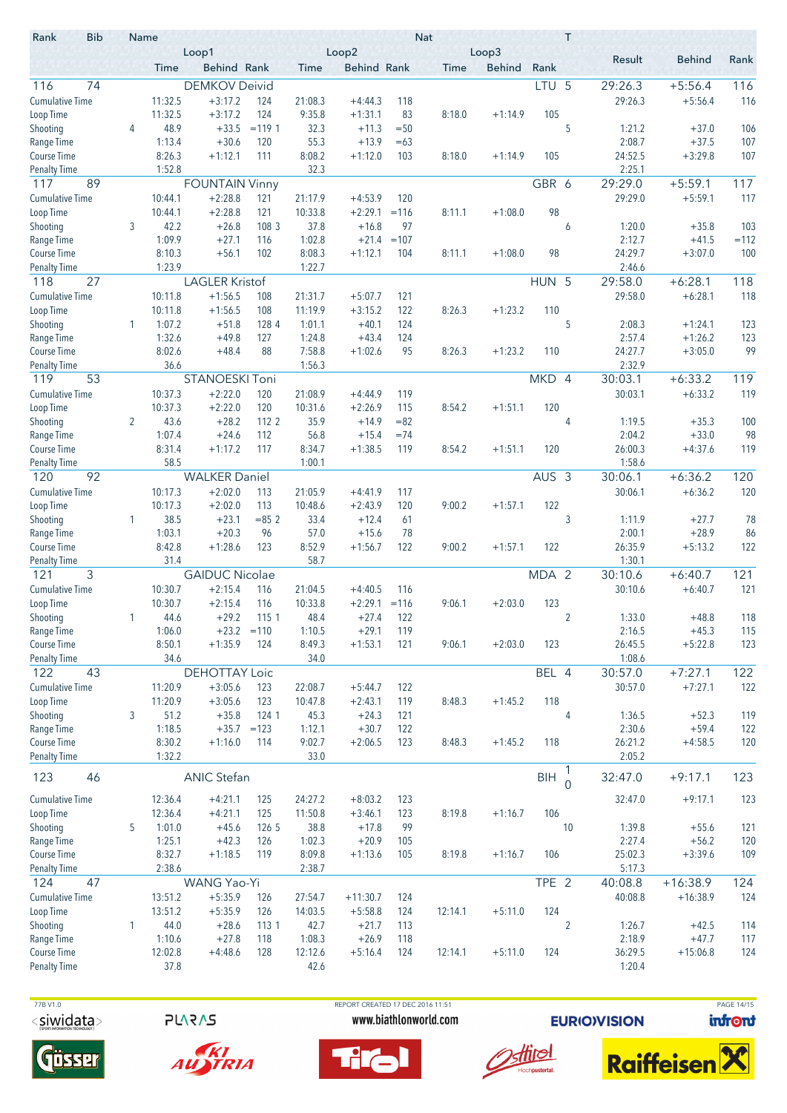| <b>Bib</b><br>Rank                        |   | Name             | Loop1                 |                 | Nat<br>Loop2<br>Loop3 |                      |            |         |               |                  | T              |                   |                        |            |
|-------------------------------------------|---|------------------|-----------------------|-----------------|-----------------------|----------------------|------------|---------|---------------|------------------|----------------|-------------------|------------------------|------------|
|                                           |   | Time             | <b>Behind Rank</b>    |                 | Time                  | <b>Behind Rank</b>   |            | Time    | <b>Behind</b> | Rank             |                | Result            | <b>Behind</b>          | Rank       |
| 74<br>116                                 |   |                  | <b>DEMKOV Deivid</b>  |                 |                       |                      |            |         |               | LTU <sub>5</sub> |                | 29:26.3           | $+5:56.4$              | 116        |
| <b>Cumulative Time</b>                    |   | 11:32.5          | $+3:17.2$             | 124             | 21:08.3               | $+4:44.3$            | 118        |         |               |                  |                | 29:26.3           | $+5:56.4$              | 116        |
| Loop Time                                 |   | 11:32.5          | $+3:17.2$             | 124             | 9:35.8                | $+1:31.1$            | 83         | 8:18.0  | $+1:14.9$     | 105              |                |                   |                        |            |
| Shooting                                  | 4 | 48.9             | $+33.5$               | $= 119.1$       | 32.3                  | $+11.3$              | $=50$      |         |               |                  | 5              | 1:21.2            | $+37.0$                | 106        |
| Range Time                                |   | 1:13.4           | $+30.6$               | 120             | 55.3                  | $+13.9$              | $=63$      |         |               |                  |                | 2:08.7            | $+37.5$                | 107        |
| <b>Course Time</b><br><b>Penalty Time</b> |   | 8:26.3<br>1:52.8 | $+1:12.1$             | 111             | 8:08.2<br>32.3        | $+1:12.0$            | 103        | 8:18.0  | $+1:14.9$     | 105              |                | 24:52.5<br>2:25.1 | $+3:29.8$              | 107        |
| 89<br>117                                 |   |                  | <b>FOUNTAIN Vinny</b> |                 |                       |                      |            |         |               | GBR 6            |                | 29:29.0           | $+5:59.1$              | 117        |
| <b>Cumulative Time</b>                    |   | 10:44.1          | $+2:28.8$             | 121             | 21:17.9               | $+4:53.9$            | 120        |         |               |                  |                | 29:29.0           | $+5:59.1$              | 117        |
| Loop Time                                 |   | 10:44.1          | $+2:28.8$             | 121             | 10:33.8               | $+2:29.1$            | $=116$     | 8:11.1  | $+1:08.0$     | 98               |                |                   |                        |            |
| Shooting                                  | 3 | 42.2             | $+26.8$               | 108 3           | 37.8                  | $+16.8$              | 97         |         |               |                  | 6              | 1:20.0            | $+35.8$                | 103        |
| Range Time                                |   | 1:09.9           | $+27.1$               | 116             | 1:02.8                | $+21.4$              | $=107$     |         |               |                  |                | 2:12.7            | $+41.5$                | $=112$     |
| <b>Course Time</b>                        |   | 8:10.3           | $+56.1$               | 102             | 8:08.3                | $+1:12.1$            | 104        | 8:11.1  | $+1:08.0$     | 98               |                | 24:29.7           | $+3:07.0$              | 100        |
| <b>Penalty Time</b>                       |   | 1:23.9           |                       |                 | 1:22.7                |                      |            |         |               |                  |                | 2:46.6            |                        |            |
| 27<br>118                                 |   |                  | <b>LAGLER Kristof</b> |                 |                       |                      |            |         |               | HUN 5            |                | 29:58.0           | $+6:28.1$              | 118        |
| <b>Cumulative Time</b>                    |   | 10:11.8          | $+1:56.5$             | 108             | 21:31.7               | $+5:07.7$            | 121        |         |               |                  |                | 29:58.0           | $+6:28.1$              | 118        |
| Loop Time                                 |   | 10:11.8          | $+1:56.5$             | 108             | 11:19.9               | $+3:15.2$            | 122        | 8:26.3  | $+1:23.2$     | 110              |                |                   |                        |            |
| Shooting                                  | 1 | 1:07.2           | $+51.8$               | 128 4           | 1:01.1                | $+40.1$              | 124        |         |               |                  | 5              | 2:08.3            | $+1:24.1$              | 123        |
| Range Time<br>Course Time                 |   | 1:32.6<br>8:02.6 | $+49.8$<br>$+48.4$    | 127<br>88       | 1:24.8<br>7:58.8      | $+43.4$<br>$+1:02.6$ | 124<br>95  | 8:26.3  |               |                  |                | 2:57.4<br>24:27.7 | $+1:26.2$<br>$+3:05.0$ | 123<br>99  |
| Penalty Time                              |   | 36.6             |                       |                 | 1:56.3                |                      |            |         | $+1:23.2$     | 110              |                | 2:32.9            |                        |            |
| 53<br>119                                 |   |                  | <b>STANOESKI Toni</b> |                 |                       |                      |            |         |               | MKD 4            |                | 30:03.1           | $+6:33.2$              | 119        |
| <b>Cumulative Time</b>                    |   | 10:37.3          | $+2:22.0$             | 120             | 21:08.9               | $+4:44.9$            | 119        |         |               |                  |                | 30:03.1           | $+6:33.2$              | 119        |
| Loop Time                                 |   | 10:37.3          | $+2:22.0$             | 120             | 10:31.6               | $+2:26.9$            | 115        | 8:54.2  | $+1:51.1$     | 120              |                |                   |                        |            |
| Shooting                                  | 2 | 43.6             | $+28.2$               | 112 2           | 35.9                  | $+14.9$              | $= 82$     |         |               |                  | 4              | 1:19.5            | $+35.3$                | 100        |
| Range Time                                |   | 1:07.4           | $+24.6$               | 112             | 56.8                  | $+15.4$              | $=74$      |         |               |                  |                | 2:04.2            | $+33.0$                | 98         |
| Course Time                               |   | 8:31.4           | $+1:17.2$             | 117             | 8:34.7                | $+1:38.5$            | 119        | 8:54.2  | $+1:51.1$     | 120              |                | 26:00.3           | $+4:37.6$              | 119        |
| <b>Penalty Time</b>                       |   | 58.5             |                       |                 | 1:00.1                |                      |            |         |               |                  |                | 1:58.6            |                        |            |
| 92<br>120                                 |   |                  | <b>WALKER Daniel</b>  |                 |                       |                      |            |         |               | $AUS$ 3          |                | 30:06.1           | $+6:36.2$              | 120        |
| <b>Cumulative Time</b>                    |   | 10:17.3          | $+2:02.0$             | 113             | 21:05.9               | $+4:41.9$            | 117        |         |               |                  |                | 30:06.1           | $+6:36.2$              | 120        |
| Loop Time                                 |   | 10:17.3          | $+2:02.0$             | 113             | 10:48.6               | $+2:43.9$            | 120        | 9:00.2  | $+1:57.1$     | 122              |                |                   |                        |            |
| Shooting                                  | 1 | 38.5             | $+23.1$               | $= 852$         | 33.4                  | $+12.4$              | 61         |         |               |                  | 3              | 1:11.9            | $+27.7$                | 78         |
| Range Time<br>Course Time                 |   | 1:03.1<br>8:42.8 | $+20.3$<br>$+1:28.6$  | 96<br>123       | 57.0<br>8:52.9        | $+15.6$<br>$+1:56.7$ | 78<br>122  | 9:00.2  | $+1:57.1$     | 122              |                | 2:00.1<br>26:35.9 | $+28.9$<br>$+5:13.2$   | 86<br>122  |
| <b>Penalty Time</b>                       |   | 31.4             |                       |                 | 58.7                  |                      |            |         |               |                  |                | 1:30.1            |                        |            |
| 3<br>121                                  |   |                  | <b>GAIDUC Nicolae</b> |                 |                       |                      |            |         |               | MDA 2            |                | 30:10.6           | $+6:40.7$              | 121        |
| <b>Cumulative Time</b>                    |   | 10:30.7          | $+2:15.4$             | 116             | 21:04.5               | $+4:40.5$            | 116        |         |               |                  |                | 30:10.6           | $+6:40.7$              | 121        |
| Loop Time                                 |   | 10:30.7          | $+2:15.4$             | 116             | 10:33.8               | $+2:29.1 = 116$      |            | 9:06.1  | $+2:03.0$     | 123              |                |                   |                        |            |
| Shooting                                  |   | 44.6             | $+29.2$               | 1151            | 48.4                  | $+27.4$              | 122        |         |               |                  | $\overline{2}$ | 1:33.0            | $+48.8$                | 118        |
| Range Time                                |   | 1:06.0           | $+23.2 = 110$         |                 | 1:10.5                | $+29.1$              | 119        |         |               |                  |                | 2:16.5            | $+45.3$                | 115        |
| Course Time                               |   | 8:50.1           | $+1:35.9$             | 124             | 8:49.3                | $+1:53.1$            | 121        | 9:06.1  | $+2:03.0$     | 123              |                | 26:45.5           | $+5:22.8$              | 123        |
| <b>Penalty Time</b>                       |   | 34.6             |                       |                 | 34.0                  |                      |            |         |               |                  |                | 1:08.6            |                        |            |
| 122<br>43                                 |   |                  | <b>DEHOTTAY Loic</b>  |                 |                       |                      |            |         |               | BEL 4            |                | 30:57.0           | $+7:27.1$              | 122        |
| <b>Cumulative Time</b>                    |   | 11:20.9          | $+3:05.6$             | 123             | 22:08.7               | $+5:44.7$            | 122        |         |               |                  |                | 30:57.0           | $+7:27.1$              | 122        |
| Loop Time                                 |   | 11:20.9          | $+3:05.6$             | 123             | 10:47.8               | $+2:43.1$            | 119        | 8:48.3  | $+1:45.2$     | 118              |                |                   |                        |            |
| Shooting<br>Range Time                    | 3 | 51.2<br>1:18.5   | $+35.8$<br>$+35.7$    | 124 1<br>$=123$ | 45.3<br>1:12.1        | $+24.3$<br>$+30.7$   | 121<br>122 |         |               |                  | 4              | 1:36.5<br>2:30.6  | $+52.3$<br>$+59.4$     | 119<br>122 |
| Course Time                               |   | 8:30.2           | $+1:16.0$             | 114             | 9:02.7                | $+2:06.5$            | 123        | 8:48.3  | $+1:45.2$     | 118              |                | 26:21.2           | $+4:58.5$              | 120        |
| <b>Penalty Time</b>                       |   | 1:32.2           |                       |                 | 33.0                  |                      |            |         |               |                  |                | 2:05.2            |                        |            |
|                                           |   |                  |                       |                 |                       |                      |            |         |               |                  | 1              |                   |                        |            |
| 123<br>46                                 |   |                  | <b>ANIC Stefan</b>    |                 |                       |                      |            |         |               | <b>BIH</b>       | $\Omega$       | 32:47.0           | $+9:17.1$              | 123        |
| <b>Cumulative Time</b>                    |   | 12:36.4          | $+4:21.1$             | 125             | 24:27.2               | $+8:03.2$            | 123        |         |               |                  |                | 32:47.0           | $+9:17.1$              | 123        |
| Loop Time                                 |   | 12:36.4          | $+4:21.1$             | 125             | 11:50.8               | $+3:46.1$            | 123        | 8:19.8  | $+1:16.7$     | 106              |                |                   |                        |            |
| Shooting                                  | 5 | 1:01.0           | $+45.6$               | 126 5           | 38.8                  | $+17.8$              | 99         |         |               |                  | 10             | 1:39.8            | $+55.6$                | 121        |
| Range Time                                |   | 1:25.1           | $+42.3$               | 126             | 1:02.3                | $+20.9$              | 105        |         |               |                  |                | 2:27.4            | $+56.2$                | 120        |
| Course Time                               |   | 8:32.7           | $+1:18.5$             | 119             | 8:09.8                | $+1:13.6$            | 105        | 8:19.8  | $+1:16.7$     | 106              |                | 25:02.3           | $+3:39.6$              | 109        |
| <b>Penalty Time</b>                       |   | 2:38.6           |                       |                 | 2:38.7                |                      |            |         |               |                  |                | 5:17.3            |                        |            |
| 47<br>124                                 |   |                  | WANG Yao-Yi           |                 |                       |                      |            |         |               | TPE <sub>2</sub> |                | 40:08.8           | $+16:38.9$             | 124        |
| <b>Cumulative Time</b>                    |   | 13:51.2          | $+5:35.9$             | 126             | 27:54.7               | $+11:30.7$           | 124        |         |               |                  |                | 40:08.8           | $+16:38.9$             | 124        |
| Loop Time                                 |   | 13:51.2          | $+5:35.9$             | 126             | 14:03.5               | $+5:58.8$            | 124        | 12:14.1 | $+5:11.0$     | 124              |                |                   |                        |            |
| Shooting<br>Range Time                    | 1 | 44.0<br>1:10.6   | $+28.6$<br>$+27.8$    | 113 1<br>118    | 42.7<br>1:08.3        | $+21.7$<br>$+26.9$   | 113<br>118 |         |               |                  | $\overline{2}$ | 1:26.7<br>2:18.9  | $+42.5$<br>$+47.7$     | 114<br>117 |
| Course Time                               |   | 12:02.8          | $+4:48.6$             | 128             | 12:12.6               | $+5:16.4$            | 124        | 12:14.1 | $+5:11.0$     | 124              |                | 36:29.5           | $+15:06.8$             | 124        |
| <b>Penalty Time</b>                       |   | 37.8             |                       |                 | 42.6                  |                      |            |         |               |                  |                | 1:20.4            |                        |            |
|                                           |   |                  |                       |                 |                       |                      |            |         |               |                  |                |                   |                        |            |

**PLARAS** 





REPORT CREATED 17 DEC 2016 11:51 www.biathlonworld.com





**EURIOVISION** 



PAGE 14/15